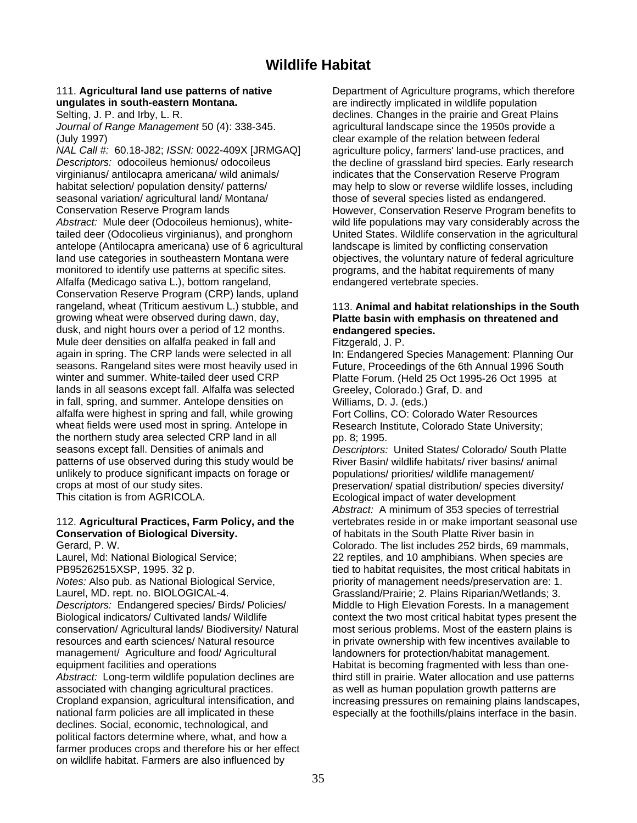## **Wildlife Habitat**

## **ungulates in south-eastern Montana.** are indirectly implicated in wildlife population

(July 1997) clear example of the relation between federal

*NAL Call #:* 60.18-J82; *ISSN:* 0022-409X [JRMGAQ] agriculture policy, farmers' land-use practices, and *Descriptors:* odocoileus hemionus/ odocoileus the decline of grassland bird species. Early research virginianus/ antilocapra americana/ wild animals/ indicates that the Conservation Reserve Program habitat selection/ population density/ patterns/ may help to slow or reverse wildlife losses, including seasonal variation/ agricultural land/ Montana/ those of several species listed as endangered. Conservation Reserve Program lands **However, Conservation Reserve Program benefits to** antelope (Antilocapra americana) use of 6 agricultural landscape is limited by conflicting conservation land use categories in southeastern Montana were objectives, the voluntary nature of federal agriculture monitored to identify use patterns at specific sites. programs, and the habitat requirements of many Alfalfa (Medicago sativa L.), bottom rangeland, endangered vertebrate species. Conservation Reserve Program (CRP) lands, upland growing wheat were observed during dawn, day, **Platte basin with emphasis on threatened and**  dusk, and night hours over a period of 12 months. **endangered species.** Mule deer densities on alfalfa peaked in fall and Fitzgerald, J. P.<br>again in spring. The CRP lands were selected in all Fitzgerald, J. P. again in spring. The CRP lands were selected in all and lime Endangered Species Management: Planning Our<br>Seasons. Rangeland sites were most heavily used in Future, Proceedings of the 6th Annual 1996 South seasons. Rangeland sites were most heavily used in Future, Proceedings of the 6th Annual 1996 South<br>winter and summer. White-tailed deer used CRP Platte Forum. (Held 25 Oct 1995-26 Oct 1995 at lands in all seasons except fall. Alfalfa was selected Greeley, Colorado.) Graf, D. and in fall, spring, and summer. Antelope densities on Williams, D. J. (eds.) alfalfa were highest in spring and fall, while growing Fort Collins, CO: Colorado Water Resources wheat fields were used most in spring. Antelope in Research Institute, Colorado State University; the northern study area selected CRP land in all pp. 8; 1995. seasons except fall. Densities of animals and *Descriptors:* United States/ Colorado/ South Platte patterns of use observed during this study would be River Basin/ wildlife habitats/ river basins/ animal unlikely to produce significant impacts on forage or populations/ priorities/ wildlife management/<br>crops at most of our study sites.<br>preservation/ spatial distribution/ species div crops at most of our study sites. preservation/ spatial distribution/ species diversity/

## **Conservation of Biological Diversity.** of habitats in the South Platte River basin in

Laurel, Md: National Biological Service; 22 reptiles, and 10 amphibians. When species are PB95262515XSP, 1995. 32 p. tied to habitat requisites, the most critical habitats in *Notes:* Also pub. as National Biological Service, priority of management needs/preservation are: 1.<br>Laurel. MD. rept. no. BIOLOGICAL-4. **Grassland/Prairie: 2. Plains Riparian/Wetlands**; 3. *Descriptors:* Endangered species/ Birds/ Policies/ Middle to High Elevation Forests. In a management conservation/ Agricultural lands/ Biodiversity/ Natural most serious problems. Most of the eastern plains is<br>
resources and earth sciences/ Natural resource in private ownership with few incentives available to management/ Agriculture and food/ Agricultural landowners for protection/habitat management. equipment facilities and operations **Habitat is becoming fragmented with less than one**associated with changing agricultural practices. as well as human population growth patterns are declines. Social, economic, technological, and political factors determine where, what, and how a farmer produces crops and therefore his or her effect on wildlife habitat. Farmers are also influenced by

111. **Agricultural land use patterns of native** Department of Agriculture programs, which therefore Selting, J. P. and Irby, L. R. declines. Changes in the prairie and Great Plains *Journal of Range Management* 50 (4): 338-345. **agricultural landscape since the 1950s provide a** Abstract: Mule deer (Odocoileus hemionus), white-<br>
tailed deer (Odocolieus virginianus), and pronghorn United States. Wildlife conservation in the agricultural United States. Wildlife conservation in the agricultural

# rangeland, wheat (Triticum aestivum L.) stubble, and 113. **Animal and habitat relationships in the South**

Platte Forum. (Held 25 Oct 1995-26 Oct 1995 at

Ecological impact of water development *Abstract:* A minimum of 353 species of terrestrial 112. **Agricultural Practices, Farm Policy, and the** vertebrates reside in or make important seasonal use Gerard, P. W. Colorado. The list includes 252 birds, 69 mammals, Grassland/Prairie; 2. Plains Riparian/Wetlands; 3. Biological indicators/ Cultivated lands/ Wildlife context the two most critical habitat types present the in private ownership with few incentives available to *Abstract:* Long-term wildlife population declines are third still in prairie. Water allocation and use patterns Cropland expansion, agricultural intensification, and increasing pressures on remaining plains landscapes, national farm policies are all implicated in these especially at the foothills/plains interface in the basin.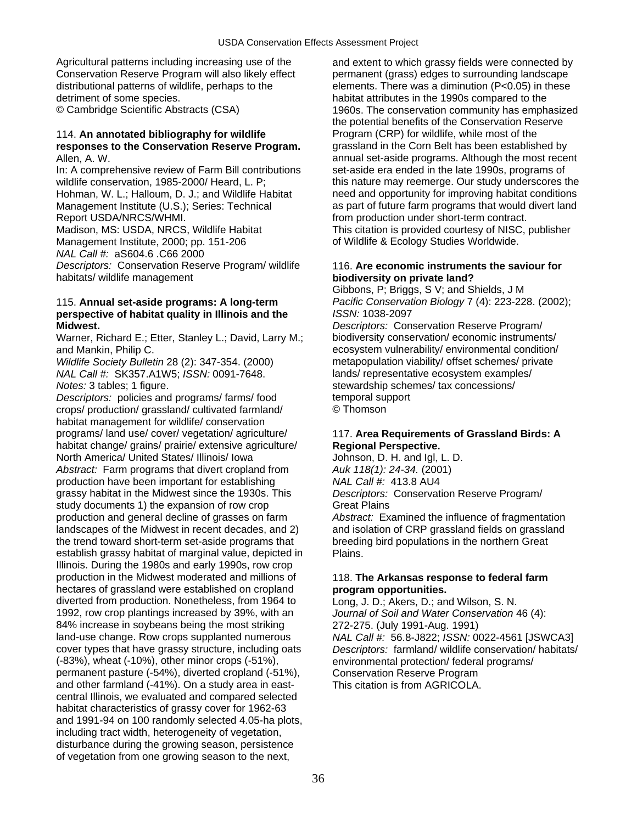Agricultural patterns including increasing use of the Conservation Reserve Program will also likely effect distributional patterns of wildlife, perhaps to the detriment of some species.

© Cambridge Scientific Abstracts (CSA)

### 114. **An annotated bibliography for wildlife responses to the Conservation Reserve Program.**  Allen, A. W.

In: A comprehensive review of Farm Bill contributions wildlife conservation, 1985-2000/ Heard, L. P; Hohman, W. L.; Halloum, D. J.; and Wildlife Habitat Management Institute (U.S.); Series: Technical Report USDA/NRCS/WHMI.

Madison, MS: USDA, NRCS, Wildlife Habitat Management Institute, 2000; pp. 151-206 *NAL Call #:* aS604.6 .C66 2000

*Descriptors:* Conservation Reserve Program/ wildlife habitats/ wildlife management

### 115. **Annual set-aside programs: A long-term perspective of habitat quality in Illinois and the Midwest.**

Warner, Richard E.; Etter, Stanley L.; David, Larry M.; and Mankin, Philip C.

*Wildlife Society Bulletin* 28 (2): 347-354. (2000) *NAL Call #:* SK357.A1W5; *ISSN:* 0091-7648. *Notes:* 3 tables; 1 figure.

*Descriptors:* policies and programs/ farms/ food crops/ production/ grassland/ cultivated farmland/ habitat management for wildlife/ conservation programs/ land use/ cover/ vegetation/ agriculture/ habitat change/ grains/ prairie/ extensive agriculture/ North America/ United States/ Illinois/ Iowa *Abstract:* Farm programs that divert cropland from production have been important for establishing grassy habitat in the Midwest since the 1930s. This study documents 1) the expansion of row crop production and general decline of grasses on farm landscapes of the Midwest in recent decades, and 2) the trend toward short-term set-aside programs that establish grassy habitat of marginal value, depicted in Illinois. During the 1980s and early 1990s, row crop production in the Midwest moderated and millions of hectares of grassland were established on cropland diverted from production. Nonetheless, from 1964 to 1992, row crop plantings increased by 39%, with an 84% increase in soybeans being the most striking land-use change. Row crops supplanted numerous cover types that have grassy structure, including oats (-83%), wheat (-10%), other minor crops (-51%), permanent pasture (-54%), diverted cropland (-51%), and other farmland (-41%). On a study area in eastcentral Illinois, we evaluated and compared selected habitat characteristics of grassy cover for 1962-63 and 1991-94 on 100 randomly selected 4.05-ha plots, including tract width, heterogeneity of vegetation, disturbance during the growing season, persistence of vegetation from one growing season to the next,

and extent to which grassy fields were connected by permanent (grass) edges to surrounding landscape elements. There was a diminution (P<0.05) in these habitat attributes in the 1990s compared to the 1960s. The conservation community has emphasized the potential benefits of the Conservation Reserve Program (CRP) for wildlife, while most of the grassland in the Corn Belt has been established by annual set-aside programs. Although the most recent set-aside era ended in the late 1990s, programs of this nature may reemerge. Our study underscores the need and opportunity for improving habitat conditions as part of future farm programs that would divert land from production under short-term contract. This citation is provided courtesy of NISC, publisher of Wildlife & Ecology Studies Worldwide.

### 116. **Are economic instruments the saviour for biodiversity on private land?**

Gibbons, P; Briggs, S V; and Shields, J M *Pacific Conservation Biology* 7 (4): 223-228. (2002); *ISSN:* 1038-2097

*Descriptors:* Conservation Reserve Program/ biodiversity conservation/ economic instruments/ ecosystem vulnerability/ environmental condition/ metapopulation viability/ offset schemes/ private lands/ representative ecosystem examples/ stewardship schemes/ tax concessions/ temporal support © Thomson

### 117. **Area Requirements of Grassland Birds: A Regional Perspective.**

Johnson, D. H. and Igl, L. D. *Auk 118(1): 24-34.* (2001) *NAL Call #:* 413.8 AU4 *Descriptors:* Conservation Reserve Program/ Great Plains

*Abstract:* Examined the influence of fragmentation and isolation of CRP grassland fields on grassland breeding bird populations in the northern Great Plains.

### 118. **The Arkansas response to federal farm program opportunities.**

Long, J. D.; Akers, D.; and Wilson, S. N. *Journal of Soil and Water Conservation* 46 (4): 272-275. (July 1991-Aug. 1991) *NAL Call #:* 56.8-J822; *ISSN:* 0022-4561 [JSWCA3] *Descriptors:* farmland/ wildlife conservation/ habitats/ environmental protection/ federal programs/ Conservation Reserve Program This citation is from AGRICOLA.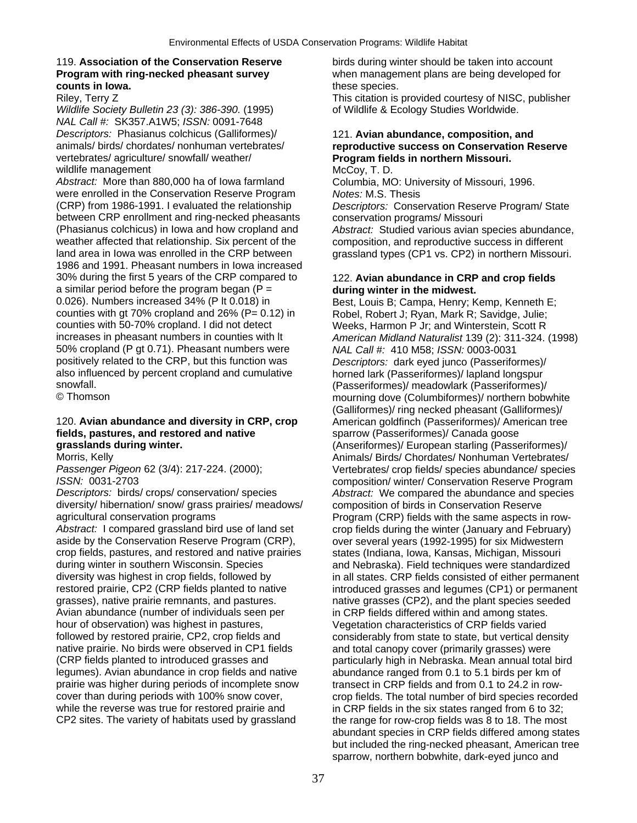## 119. **Association of the Conservation Reserve** birds during winter should be taken into account **counts in Iowa. these species.**

*Wildlife Society Bulletin 23 (3): 386-390.* (1995) of Wildlife & Ecology Studies Worldwide. *NAL Call #:* SK357.A1W5; *ISSN:* 0091-7648 *Descriptors:* Phasianus colchicus (Galliformes)/ 121. **Avian abundance, composition, and**  vertebrates/ agriculture/ snowfall/ weather/ **Program fields in northern Missouri.**  wildlife management and management and management of the McCoy, T. D.

*Abstract:* More than 880,000 ha of Iowa farmland Columbia, MO: University of Missouri, 1996. were enrolled in the Conservation Reserve Program *Notes:* M.S. Thesis (CRP) from 1986-1991. I evaluated the relationship *Descriptors:* Conservation Reserve Program/ State between CRP enrollment and ring-necked pheasants conservation programs/ Missouri (Phasianus colchicus) in Iowa and how cropland and *Abstract:* Studied various avian species abundance, weather affected that relationship. Six percent of the composition, and reproductive success in different land area in Iowa was enrolled in the CRP between grassland types (CP1 vs. CP2) in northern Missouri. 1986 and 1991. Pheasant numbers in Iowa increased 30% during the first 5 years of the CRP compared to 122. **Avian abundance in CRP and crop fields**  a similar period before the program began (P = **during winter in the midwest.**  0.026). Numbers increased 34% (P lt 0.018) in Best, Louis B; Campa, Henry; Kemp, Kenneth E; counties with gt 70% cropland and 26% (P= 0.12) in Robel, Robert J; Ryan, Mark R; Savidge, Julie;<br>counties with 50-70% cropland. I did not detect Weeks. Harmon P Jr: and Winterstein. Scott R counties with 50-70% cropland. I did not detect Weeks, Harmon P Jr; and Winterstein, Scott R<br>
increases in pheasant numbers in counties with It American Midland Naturalist 139 (2): 311-324. 50% cropland (P gt 0.71). Pheasant numbers were *NAL Call #:* 410 M58; *ISSN:* 0003-0031 positively related to the CRP, but this function was *Descriptors:* dark eyed junco (Passeriformes)/ also influenced by percent cropland and cumulative horned lark (Passeriformes)/ lapland longspur

### 120. **Avian abundance and diversity in CRP, crop** American goldfinch (Passeriformes)/ American tree **fields, pastures, and restored and native** sparrow (Passeriformes)/ Canada goose **grasslands during winter.** (Anseriformes)/ European starling (Passeriformes)/

diversity/ hibernation/ snow/ grass prairies/ meadows/ composition of birds in Conservation Reserve agricultural conservation programs **Program (CRP)** fields with the same aspects in row-

Abstract: I compared grassland bird use of land set crop fields during the winter (January and February) aside by the Conservation Reserve Program (CRP), over several years (1992-1995) for six Midwestern crop fields, pastures, and restored and native prairies states (Indiana, Iowa, Kansas, Michigan, Missouri during winter in southern Wisconsin. Species and Nebraska). Field techniques were standardized<br>diversity was highest in crop fields, followed by in all states. CRP fields consisted of either permaner grasses), native prairie remnants, and pastures. The native grasses (CP2), and the plant species seeded Avian abundance (number of individuals seen per in CRP fields differed within and among states. hour of observation) was highest in pastures, Vegetation characteristics of CRP fields varied followed by restored prairie, CP2, crop fields and considerably from state to state, but vertical density native prairie. No birds were observed in CP1 fields and total canopy cover (primarily grasses) were (CRP fields planted to introduced grasses and particularly high in Nebraska. Mean annual total bird legumes). Avian abundance in crop fields and native abundance ranged from 0.1 to 5.1 birds per km of prairie was higher during periods of incomplete snow transect in CRP fields and from 0.1 to 24.2 in rowwhile the reverse was true for restored prairie and in CRP fields in the six states ranged from 6 to 32;<br>CP2 sites. The variety of habitats used by grassland the range for row-crop fields was 8 to 18. The most

**Program with ring-necked pheasant survey** when management plans are being developed for

Riley, Terry Z This citation is provided courtesy of NISC, publisher

# animals/ birds/ chordates/ nonhuman vertebrates/ **reproductive success on Conservation Reserve**

American Midland Naturalist 139 (2): 311-324. (1998) snowfall. (Passeriformes)/ meadowlark (Passeriformes)/ mourning dove (Columbiformes)/ northern bobwhite (Galliformes)/ ring necked pheasant (Galliformes)/ Morris, Kelly<br>Passenger Pigeon 62 (3/4): 217-224. (2000); 
<br>
Vertebrates/ crop fields/ species abundance/ specie *Vertebrates/ crop fields/ species abundance/ species ISSN:* 0031-2703 composition/ winter/ Conservation Reserve Program<br>Descriptors: birds/ crops/ conservation/ species **and abstract**: We compared the abundance and species Abstract: We compared the abundance and species diversity was highest in crop fields, followed by in all states. CRP fields consisted of either permanent<br>
restored prairie, CP2 (CRP fields planted to native introduced grasses and legumes (CP1) or permanent introduced grasses and legumes (CP1) or permanent and total canopy cover (primarily grasses) were cover than during periods with 100% snow cover, crop fields. The total number of bird species recorded the range for row-crop fields was 8 to 18. The most abundant species in CRP fields differed among states but included the ring-necked pheasant, American tree sparrow, northern bobwhite, dark-eyed junco and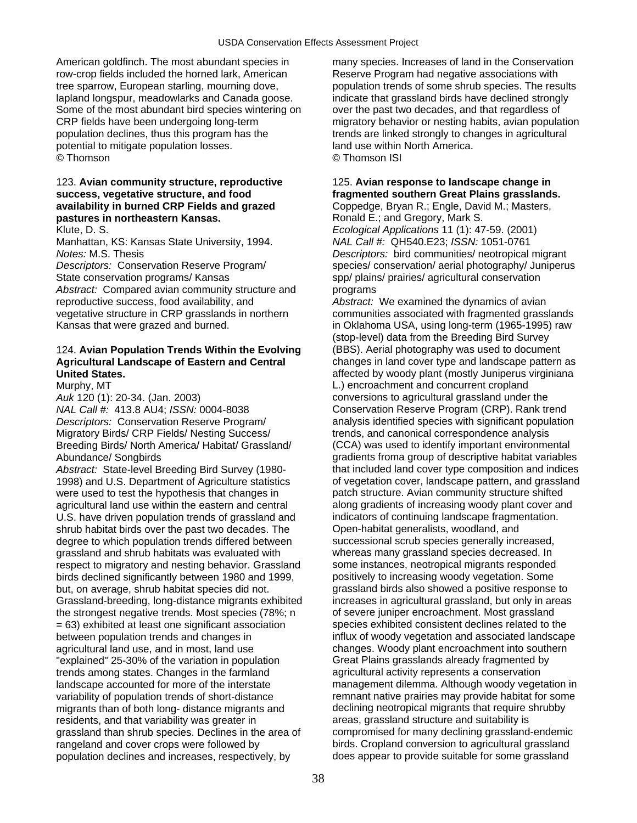American goldfinch. The most abundant species in many species. Increases of land in the Conservation row-crop fields included the horned lark, American Reserve Program had negative associations with lapland longspur, meadowlarks and Canada goose. indicate that grassland birds have declined strongly Some of the most abundant bird species wintering on over the past two decades, and that regardless of population declines, thus this program has the trends are linked strongly to changes in agricultural potential to mitigate population losses. **In the set of the matter of the matter** potential to mitigate population losses. © Thomson © Thomson ISI

## **success, vegetative structure, and food fragmented southern Great Plains grasslands. availability in burned CRP Fields and grazed Coppedge, Bryan R.; Engle, David M.; Masters, pastures in northeastern Kansas. Ronald E.; and Gregory, Mark S. Ronald E.**; and Gregory, Mark S.

Manhattan, KS: Kansas State University, 1994. *NAL Call #:* QH540.E23; *ISSN:* 1051-0761

State conservation programs/ Kansas spp/ plains/ prairies/ agricultural conservation Abstract: Compared avian community structure and programs reproductive success, food availability, and *Abstract:* We examined the dynamics of avian vegetative structure in CRP grasslands in northern communities associated with fragmented grasslands Kansas that were grazed and burned. in Oklahoma USA, using long-term (1965-1995) raw

## **Agricultural Landscape of Eastern and Central** changes in land cover type and landscape pattern as **United States.** affected by woody plant (mostly Juniperus virginiana

*Auk* 120 (1): 20-34. (Jan. 2003) conversions to agricultural grassland under the Breeding Birds/ North America/ Habitat/ Grassland/

were used to test the hypothesis that changes in patch structure. Avian community structure shifted agricultural land use within the eastern and central along gradients of increasing woody plant cover and U.S. have driven population trends of grassland and indicators of continuing landscape fragmentation. shrub habitat birds over the past two decades. The Open-habitat generalists, woodland, and degree to which population trends differed between successional scrub species generally increased, grassland and shrub habitats was evaluated with whereas many grassland species decreased. In respect to migratory and nesting behavior. Grassland some instances, neotropical migrants responded<br>birds declined significantly between 1980 and 1999. <br>positively to increasing woody vegetation. Some birds declined significantly between 1980 and 1999, but, on average, shrub habitat species did not. grassland birds also showed a positive response to Grassland-breeding, long-distance migrants exhibited increases in agricultural grassland, but only in areas<br>the strongest negative trends. Most species (78%; n or severe juniper encroachment. Most grassland the strongest negative trends. Most species (78%; n  $= 63$ ) exhibited at least one significant association species exhibited consistent declines related to the between population trends and changes in influx of woody vegetation and associated landscape agricultural land use, and in most, land use changes. Woody plant encroachment into southern "explained" 25-30% of the variation in population Great Plains grasslands already fragmented by trends among states. Changes in the farmland agricultural activity represents a conservation landscape accounted for more of the interstate management dilemma. Although woody vegetation in variability of population trends of short-distance remnant native prairies may provide habitat for some migrants than of both long- distance migrants and declining neotropical migrants that require shrubby<br>residents, and that variability was greater in areas, grassland structure and suitability is residents, and that variability was greater in grassland than shrub species. Declines in the area of compromised for many declining grassland-endemic rangeland and cover crops were followed by birds. Cropland conversion to agricultural grassland<br>
population declines and increases, respectively, by does appear to provide suitable for some grassland population declines and increases, respectively, by

tree sparrow, European starling, mourning dove, population trends of some shrub species. The results CRP fields have been undergoing long-term migratory behavior or nesting habits, avian population

## 123. **Avian community structure, reproductive** 125. **Avian response to landscape change in**

Klute, D. S. *Ecological Applications* 11 (1): 47-59. (2001) *Notes:* M.S. Thesis *Descriptors:* bird communities/ neotropical migrant *Descriptors:* Conservation Reserve Program/ species/ conservation/ aerial photography/ Juniperus

(stop-level) data from the Breeding Bird Survey 124. **Avian Population Trends Within the Evolving** (BBS). Aerial photography was used to document Murphy, MT L.) encroachment and concurrent cropland *NAL Call #:* 413.8 AU4; *ISSN:* 0004-8038 Conservation Reserve Program (CRP). Rank trend *Descriptors:* Conservation Reserve Program/ analysis identified species with significant population<br>Migratory Birds/ CRP Fields/ Nesting Success/ frends, and canonical correspondence analysis Migratory Birds/ CRP Fields/ Nesting Success/ trends, and canonical correspondence analysis<br>Breeding Birds/ North America/ Habitat/ Grassland/ (CCA) was used to identify important environmental Abundance/ Songbirds gradients from gradients from a group of descriptive habitat variables *Abstract:* State-level Breeding Bird Survey (1980- that included land cover type composition and indices 1998) and U.S. Department of Agriculture statistics of vegetation cover, landscape pattern, and grassland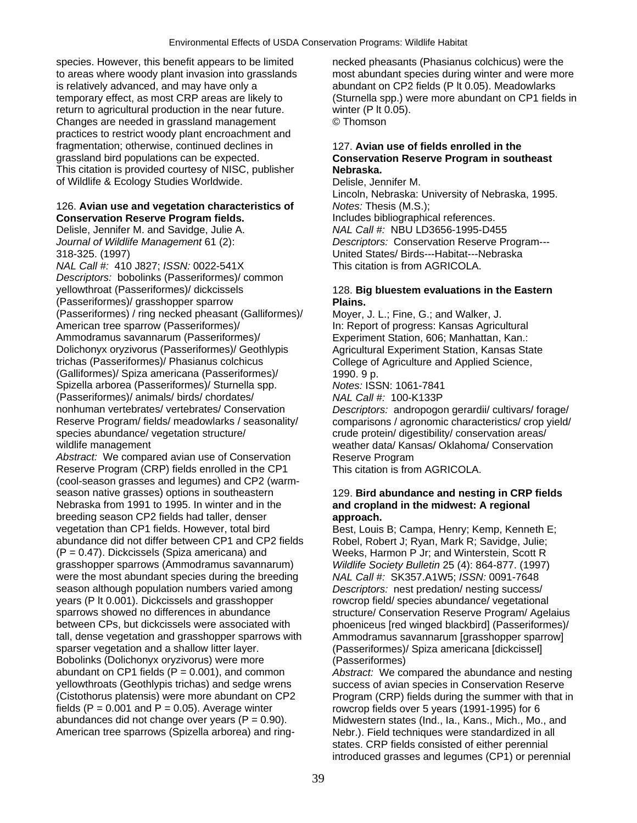species. However, this benefit appears to be limited necked pheasants (Phasianus colchicus) were the to areas where woody plant invasion into grasslands most abundant species during winter and were more temporary effect, as most CRP areas are likely to return to agricultural production in the near future. winter (P lt 0.05).<br>Changes are needed in grassland management C Thomson Changes are needed in grassland management practices to restrict woody plant encroachment and fragmentation; otherwise, continued declines in 127. **Avian use of fields enrolled in the**  grassland bird populations can be expected. **Conservation Reserve Program in southeast**  This citation is provided courtesy of NISC, publisher **Nebraska.**  of Wildlife & Ecology Studies Worldwide. Delisle, Jennifer M.

### 126. **Avian use and vegetation characteristics of** *Notes:* Thesis (M.S.); **Conservation Reserve Program fields. Includes bibliographical references.**

Delisle, Jennifer M. and Savidge, Julie A. *NAL Call #:* NBU LD3656-1995-D455

*NAL Call #:* 410 J827; *ISSN:* 0022-541X This citation is from AGRICOLA. *Descriptors:* bobolinks (Passeriformes)/ common yellowthroat (Passeriformes)/ dickcissels 128. **Big bluestem evaluations in the Eastern**  (Passeriformes)/ grasshopper sparrow **Plains.**  (Passeriformes) / ring necked pheasant (Galliformes) / Moyer, J. L.; Fine, G.; and Walker, J.<br>American tree sparrow (Passeriformes) / ln: Report of progress: Kansas Agricu Ammodramus savannarum (Passeriformes)/ Experiment Station, 606; Manhattan, Kan.: Dolichonyx oryzivorus (Passeriformes)/ Geothlypis Agricultural Experiment Station, Kansas State<br>
trichas (Passeriformes)/ Phasianus colchicus College of Agriculture and Applied Science. (Galliformes)/ Spiza americana (Passeriformes)/ 1990. 9 p. Spizella arborea (Passeriformes)/ Sturnella spp. *Notes:* ISSN: 1061-7841 (Passeriformes)/ animals/ birds/ chordates/ *NAL Call #:* 100-K133P nonhuman vertebrates/ vertebrates/ Conservation *Descriptors:* andropogon gerardii/ cultivars/ forage/ Reserve Program/ fields/ meadowlarks / seasonality/ comparisons / agronomic characteristics/ crop yield/ species abundance/ vegetation structure/ crude protein/ digestibility/ conservation areas/<br>weather data/ Kansas/ Oklahoma/ Conservation<br>weather data/ Kansas/ Oklahoma/ Conservation

Abstract: We compared avian use of Conservation Reserve Program Reserve Program (CRP) fields enrolled in the CP1 This citation is from AGRICOLA. (cool-season grasses and legumes) and CP2 (warmseason native grasses) options in southeastern 129. **Bird abundance and nesting in CRP fields**<br>
Nebraska from 1991 to 1995. In winter and in the **and cropland in the midwest: A regional** breeding season CP2 fields had taller, denser vegetation than CP1 fields. However, total bird Best, Louis B; Campa, Henry; Kemp, Kenneth E; abundance did not differ between CP1 and CP2 fields Robel, Robert J; Ryan, Mark R; Savidge, Julie; (P = 0.47). Dickcissels (Spiza americana) and Weeks, Harmon P Jr; and Winterstein, Scott R grasshopper sparrows (Ammodramus savannarum) *Wildlife Society Bulletin* 25 (4): 864-877. (1997)<br>were the most abundant species during the breeding MAL Call #: SK357.A1W5: ISSN: 0091-7648 season although population numbers varied among *Descriptors:* nest predation/ nesting success/ years (P lt 0.001). Dickcissels and grasshopper rowcrop field/ species abundance/ vegetational<br>sparrows showed no differences in abundance structure/ Conservation Reserve Program/ Agel sparrows showed no differences in abundance structure/ Conservation Reserve Program/ Agelaius<br>between CPs. but dickcissels were associated with betweeniceus Ired winged blackbirdl (Passeriformes)/ tall, dense vegetation and grasshopper sparrows with Ammodramus savannarum [grasshopper sparrow]<br>sparser vegetation and a shallow litter layer. (Passeriformes)/ Spiza americana [dickcissel] Bobolinks (Dolichonyx oryzivorus) were more (Passeriformes) abundant on CP1 fields (P = 0.001), and common *Abstract:* We compared the abundance and nesting yellowthroats (Geothlypis trichas) and sedge wrens success of avian species in Conservation Reserve (Cistothorus platensis) were more abundant on CP2 Program (CRP) fields during the summer with that in fields (P = 0.001 and P = 0.05). Average winter rowcrop fields over 5 years (1991-1995) for 6 abundances did not change over years (P = 0.90). Midwestern states (Ind., Ia., Kans., Mich., Mo. American tree sparrows (Spizella arborea) and ring- Nebr.). Field techniques were standardized in all

is relatively advanced, and may have only a abundant on CP2 fields (P lt 0.05). Meadowlarks<br>temporary effect, as most CRP areas are likely to (Sturnella spp.) were more abundant on CP1 fields in

Lincoln, Nebraska: University of Nebraska, 1995. *Journal of Wildlife Management* 61 (2): *Descriptors:* Conservation Reserve Program--- 318-325. (1997) United States/ Birds---Habitat---Nebraska

In: Report of progress: Kansas Agricultural College of Agriculture and Applied Science,

weather data/ Kansas/ Oklahoma/ Conservation

# and cropland in the midwest: A regional approach.

WAL Call #: SK357.A1W5; *ISSN:* 0091-7648 phoeniceus [red winged blackbird] (Passeriformes)/ (Passeriformes)/ Spiza americana [dickcissel]

Midwestern states (Ind., Ia., Kans., Mich., Mo., and states. CRP fields consisted of either perennial introduced grasses and legumes (CP1) or perennial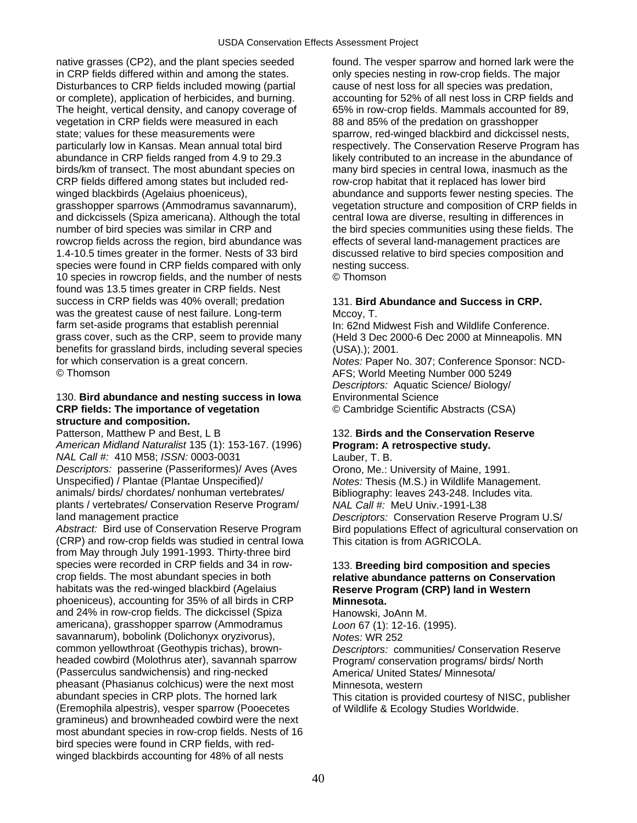native grasses (CP2), and the plant species seeded found. The vesper sparrow and horned lark were the in CRP fields differed within and among the states. only species nesting in row-crop fields. The major<br>Disturbances to CRP fields included mowing (partial cause of nest loss for all species was predation, Disturbances to CRP fields included mowing (partial or complete), application of herbicides, and burning. accounting for 52% of all nest loss in CRP fields and The height, vertical density, and canopy coverage of 65% in row-crop fields. Mammals accounted for 89, vegetation in CRP fields were measured in each 88 and 85% of the predation on grasshopper state; values for these measurements were subsequently sparrow, red-winged blackbird and dickcissel nests, particularly low in Kansas. Mean annual total bird respectively. The Conservation Reserve Program has abundance in CRP fields ranged from 4.9 to 29.3 likely contributed to an increase in the abundance of birds/km of transect. The most abundant species on many bird species in central Iowa, inasmuch as the CRP fields differed among states but included red-<br>winged blackbirds (Agelaius phoeniceus), example abundance and supports fewer nesting species grasshopper sparrows (Ammodramus savannarum), vegetation structure and composition of CRP fields in and dickcissels (Spiza americana). Although the total central Iowa are diverse, resulting in differences in number of bird species was similar in CRP and the bird species communities using these fields. The rowcrop fields across the region, bird abundance was effects of several land-management practices are 1.4-10.5 times greater in the former. Nests of 33 bird discussed relative to bird species composition and species were found in CRP fields compared with only nesting success. 10 species in rowcrop fields, and the number of nests © Thomson found was 13.5 times greater in CRP fields. Nest success in CRP fields was 40% overall; predation 131. **Bird Abundance and Success in CRP.** was the greatest cause of nest failure. Long-term Mccoy, T. farm set-aside programs that establish perennial In: 62nd Midwest Fish and Wildlife Conference. grass cover, such as the CRP, seem to provide many (Held 3 Dec 2000-6 Dec 2000 at Minneapolis. MN benefits for grassland birds, including several species (USA).); 2001.<br>for which conservation is a great concern. Motes: Paper N © Thomson AFS; World Meeting Number 000 5249

### 130. **Bird abundance and nesting success in Iowa** Environmental Science **CRP fields: The importance of vegetation** © Cambridge Scientific Abstracts (CSA) **structure and composition.**

*American Midland Naturalist* 135 (1): 153-167. (1996) **Program: A retrospective study.**  *NAL Call #:* 410 M58; *ISSN:* 0003-0031 Lauber, T. B. *Descriptors:* passerine (Passeriformes)/ Aves (Aves Crono, Me.: University of Maine, 1991.<br>Unspecified) / Plantae (Plantae Unspecified)/ *Notes:* Thesis (M.S.) in Wildlife Manage animals/ birds/ chordates/ nonhuman vertebrates/ Bibliography: leaves 243-248. Includes vita. plants / vertebrates/ Conservation Reserve Program/ *NAL Call #:* MeU Univ.-1991-L38 land management practice *Descriptors:* Conservation Reserve Program U.S/

(CRP) and row-crop fields was studied in central Iowa This citation is from AGRICOLA. from May through July 1991-1993. Thirty-three bird species were recorded in CRP fields and 34 in row- 133. **Breeding bird composition and species**  habitats was the red-winged blackbird (Agelaius **Reserve Program (CRP) land in Western** phoeniceus), accounting for 35% of all birds in CRP **Minnesota.**  and 24% in row-crop fields. The dickcissel (Spiza Hanowski, JoAnn M. americana), grasshopper sparrow (Ammodramus *Loon* 67 (1): 12-16. (1995). savannarum), bobolink (Dolichonyx oryzivorus), *Notes:* WR 252<br>common yellowthroat (Geothypis trichas), brown-<br>*Descriptors:* co headed cowbird (Molothrus ater), savannah sparrow Program/ conservation programs/ birds/ North (Passerculus sandwichensis) and ring-necked America/ United States/ Minnesota/ pheasant (Phasianus colchicus) were the next most Minnesota, western<br>abundant species in CRP plots. The horned lark This citation is proviabundant species in CRP plots. The horned lark This citation is provided courtesy of NISC, publisher<br>(Eremophila alpestris), vesper sparrow (Pooecetes of Wildlife & Ecology Studies Worldwide. gramineus) and brownheaded cowbird were the next most abundant species in row-crop fields. Nests of 16 bird species were found in CRP fields, with redwinged blackbirds accounting for 48% of all nests

abundance and supports fewer nesting species. The the bird species communities using these fields. The

Notes: Paper No. 307; Conference Sponsor: NCD-*Descriptors:* Aquatic Science/ Biology/

## Patterson, Matthew P and Best, L B 132. **Birds and the Conservation Reserve**

*Notes:* Thesis (M.S.) in Wildlife Management. Abstract: Bird use of Conservation Reserve Program Bird populations Effect of agricultural conservation on

# relative abundance patterns on Conservation

Descriptors: communities/ Conservation Reserve of Wildlife & Ecology Studies Worldwide.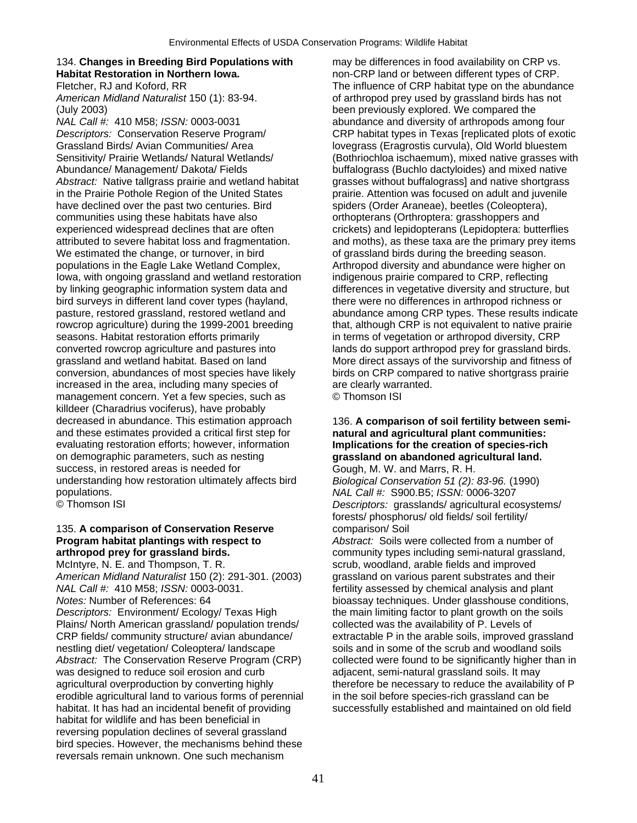### 134. **Changes in Breeding Bird Populations with** may be differences in food availability on CRP vs. **Habitat Restoration in Northern Iowa.** non-CRP land or between different types of CRP.

*Descriptors:* Conservation Reserve Program/ CRP habitat types in Texas [replicated plots of exotic Grassland Birds/ Avian Communities/ Area lovegrass (Eragrostis curvula), Old World bluestem Abundance/ Management/ Dakota/ Fields buffalograss (Buchlo dactyloides) and mixed native Abstract: Native tallgrass prairie and wetland habitat grasses without buffalograss] and native shortgrass in the Prairie Pothole Region of the United States prairie. Attention was focused on adult and juvenile have declined over the past two centuries. Bird spiders (Order Araneae), beetles (Coleoptera), communities using these habitats have also orthopterans (Orthroptera: grasshoppers and experienced widespread declines that are often crickets) and lepidopterans (Lepidoptera: butter attributed to severe habitat loss and fragmentation. and moths), as these taxa are the primary prey items We estimated the change, or turnover, in bird of grassland birds during the breeding season. populations in the Eagle Lake Wetland Complex, Arthropod diversity and abundance were higher on Iowa, with ongoing grassland and wetland restoration indigenous prairie compared to CRP, reflecting by linking geographic information system data and differences in vegetative diversity and structure, but bird surveys in different land cover types (hayland, there were no differences in arthropod richness or rowcrop agriculture) during the 1999-2001 breeding that, although CRP is not equivalent to native prairie seasons. Habitat restoration efforts primarily in terms of vegetation or arthropod diversity, CRP converted rowcrop agriculture and pastures into lands do support arthropod prey for grassland birds. grassland and wetland habitat. Based on land More direct assays of the survivorship and fitness of conversion, abundances of most species have likely birds on CRP compared to native shortgrass prairie increased in the area, including many species of are clearly warranted. management concern. Yet a few species, such as  $\heartsuit$  Thomson ISI killdeer (Charadrius vociferus), have probably decreased in abundance. This estimation approach 136. **A comparison of soil fertility between semi**and these estimates provided a critical first step for **natural and agricultural plant communities:**  evaluating restoration efforts; however, information **Implications for the creation of species-rich**<br>
on demographic parameters, such as nesting **and and and and and and and anticultural land.** success, in restored areas is needed for Gough, M. W. and Marrs, R. H. understanding how restoration ultimately affects bird *Biological Conservation 51 (2): 83-96.* (1990)

# 135. A comparison of Conservation Reserve **comparison/ Soil**

*American Midland Naturalist* 150 (2): 291-301. (2003) grassland on various parent substrates and their *NAL Call #:* 410 M58; *ISSN:* 0003-0031. fertility assessed by chemical analysis and plant *Notes:* Number of References: 64 bioassay techniques. Under glasshouse conditions, *Descriptors:* Environment/ Ecology/ Texas High the main limiting factor to plant growth on the soils Plains/ North American grassland/ population trends/ collected was the availability of P. Levels of CRP fields/ community structure/ avian abundance/ extractable P in the arable soils, improved grassland nestling diet/ vegetation/ Coleoptera/ landscape soils and in some of the scrub and woodland soils Abstract: The Conservation Reserve Program (CRP) collected were found to be significantly higher than in was designed to reduce soil erosion and curb adjacent, semi-natural grassland soils. It may agricultural overproduction by converting highly therefore be necessary to reduce the availability of P erodible agricultural land to various forms of perennial in the soil before species-rich grassland can be habitat. It has had an incidental benefit of providing successfully established and maintained on old field habitat for wildlife and has been beneficial in reversing population declines of several grassland bird species. However, the mechanisms behind these reversals remain unknown. One such mechanism

Fletcher, RJ and Koford, RR The influence of CRP habitat type on the abundance *American Midland Naturalist* 150 (1): 83-94. of arthropod prey used by grassland birds has not (July 2003)<br>
MAL Call #: 410 M58: ISSN: 0003-0031 been previously explored. We compared the<br>
abundance and diversity of arthropods amon abundance and diversity of arthropods among four Sensitivity/ Prairie Wetlands/ Natural Wetlands/ (Bothriochloa ischaemum), mixed native grasses with crickets) and lepidopterans (Lepidoptera: butterflies pasture, restored grassland, restored wetland and abundance among CRP types. These results indicate

# grassland on abandoned agricultural land.

populations. *NAL Call #:* S900.B5; *ISSN:* 0006-3207 Descriptors: grasslands/ agricultural ecosystems/ forests/ phosphorus/ old fields/ soil fertility/

**Program habitat plantings with respect to** *Abstract:* Soils were collected from a number of **arthropod prey for grassland birds. community types including semi-natural grassland,** McIntyre, N. E. and Thompson, T. R. Scrub, woodland, arable fields and improved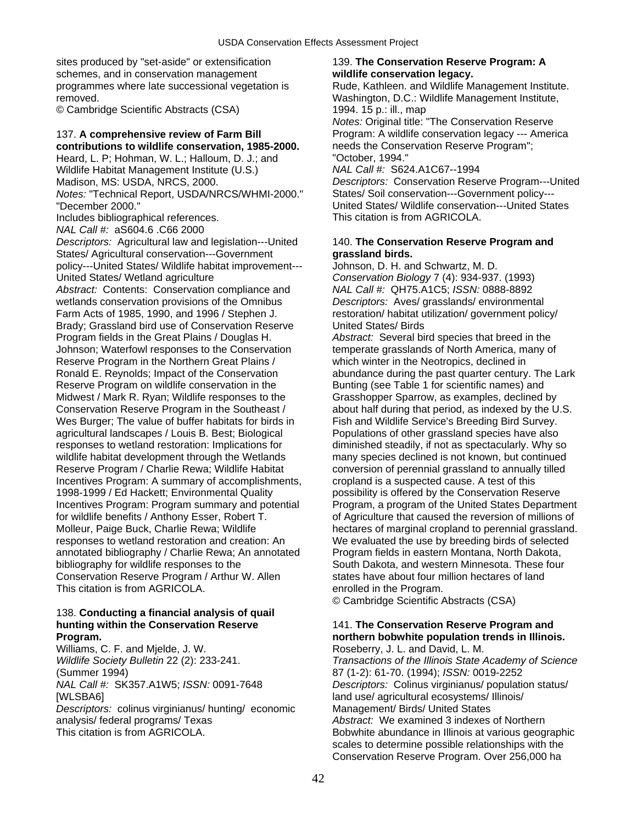sites produced by "set-aside" or extensification 139. **The Conservation Reserve Program: A**  schemes, and in conservation management **wildlife conservation legacy.**<br> **Example 20 Formal programmes where late successional vegetation is Rude, Kathleen. and Wildlife Management Institute.** programmes where late successional vegetation is removed. Washington, D.C.: Wildlife Management Institute,

© Cambridge Scientific Abstracts (CSA) 1994. 15 p.: ill., map

### 137. **A comprehensive review of Farm Bill** Program: A wildlife conservation legacy --- America **contributions to wildlife conservation, 1985-2000.** needs the Conservation Reserve Program";

Heard, L. P; Hohman, W. L.; Halloum, D. J.; and "October, 1994."<br>Wildlife Habitat Management Institute (U.S.) MAL Call #: S624.A1C67--1994 Wildlife Habitat Management Institute (U.S.) Madison, MS: USDA, NRCS, 2000. *Descriptors:* Conservation Reserve Program---United *Notes:* "Technical Report, USDA/NRCS/WHMI-2000." States/ Soil conservation---Government policy--- "December 2000." United States/ Wildlife conservation---United States Includes bibliographical references. *NAL Call #:* aS604.6 .C66 2000 *Descriptors:* Agricultural law and legislation---United 140. **The Conservation Reserve Program and**  States/ Agricultural conservation---Government **grassland birds.**  policy---United States/ Wildlife habitat improvement--- Johnson, D. H. and Schwartz, M. D. United States/ Wetland agriculture *Conservation Biology* 7 (4): 934-937. (1993) *Abstract:* Contents: Conservation compliance and *NAL Call #:* QH75.A1C5; *ISSN:* 0888-8892 wetlands conservation provisions of the Omnibus *Descriptors:* Aves/ grasslands/ environmental Farm Acts of 1985, 1990, and 1996 / Stephen J. restoration/ habitat utilization/ government policy/ Brady; Grassland bird use of Conservation Reserve United States/ Birds Program fields in the Great Plains / Douglas H. *Abstract:* Several bird species that breed in the Johnson; Waterfowl responses to the Conservation temperate grasslands of North America, many of Reserve Program in the Northern Great Plains / which winter in the Neotropics, declined in Ronald E. Reynolds; Impact of the Conservation abundance during the past quarter century. The Lark Reserve Program on wildlife conservation in the Bunting (see Table 1 for scientific names) and Midwest / Mark R. Ryan; Wildlife responses to the Grasshopper Sparrow, as examples, declined by Conservation Reserve Program in the Southeast / about half during that period, as indexed by the U.S. Wes Burger; The value of buffer habitats for birds in Fish and Wildlife Service's Breeding Bird Survey. agricultural landscapes / Louis B. Best; Biological Populations of other grassland species have also responses to wetland restoration: Implications for diminished steadily, if not as spectacularly. Why so wildlife habitat development through the Wetlands many species declined is not known, but continued Reserve Program / Charlie Rewa; Wildlife Habitat conversion of perennial grassland to annually tilled Incentives Program: A summary of accomplishments, cropland is a suspected cause. A test of this 1998-1999 / Ed Hackett; Environmental Quality possibility is offered by the Conservation Reserve Incentives Program: Program summary and potential Program, a program of the United States Department for wildlife benefits / Anthony Esser, Robert T. of Agriculture that caused the reversion of millions of Molleur, Paige Buck, Charlie Rewa; Wildlife hectares of marginal cropland to perennial grassland. responses to wetland restoration and creation: An We evaluated the use by breeding birds of selected annotated bibliography / Charlie Rewa; An annotated Program fields in eastern Montana, North Dakota, bibliography for wildlife responses to the South Dakota, and western Minnesota. These four Conservation Reserve Program / Arthur W. Allen states have about four million hectares of land This citation is from AGRICOLA. enrolled in the Program.

# 138. **Conducting a financial analysis of quail**

Williams, C. F. and Mjelde, J. W. Roseberry, J. L. and David, L. M. (Summer 1994) 87 (1-2): 61-70. (1994); *ISSN:* 0019-2252 [WLSBA6] land use/ agricultural ecosystems/ Illinois/ *Descriptors:* colinus virginianus/ hunting/ economic Management/ Birds/ United States analysis/ federal programs/ Texas *Abstract:* We examined 3 indexes

*Notes:* Original title: "The Conservation Reserve

many species declined is not known, but continued

© Cambridge Scientific Abstracts (CSA)

### **hunting within the Conservation Reserve** 141. **The Conservation Reserve Program and Program. northern bobwhite population trends in Illinois.**

*Wildlife Society Bulletin* 22 (2): 233-241. *Transactions of the Illinois State Academy of Science NAL Call #:* SK357.A1W5; *ISSN:* 0091-7648 *Descriptors:* Colinus virginianus/ population status/ analysis/ federal programs/ Texas **Abstract:** We examined 3 indexes of Northern<br>This citation is from AGRICOLA. Bobwhite abundance in Illinois at various geog Bobwhite abundance in Illinois at various geographic scales to determine possible relationships with the Conservation Reserve Program. Over 256,000 ha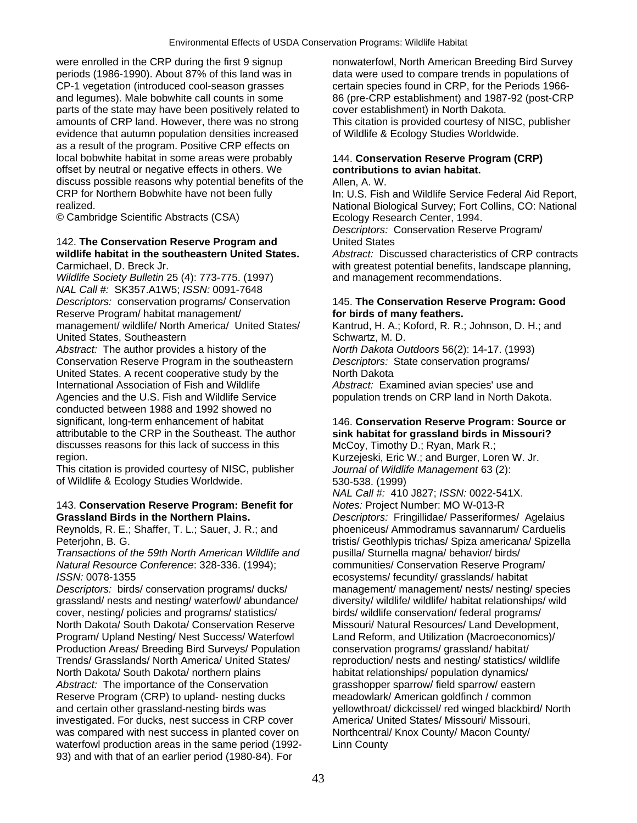were enrolled in the CRP during the first 9 signup nonwaterfowl, North American Breeding Bird Survey periods (1986-1990). About 87% of this land was in data were used to compare trends in populations of CP-1 vegetation (introduced cool-season grasses certain species found in CRP, for the Periods 1966and legumes). Male bobwhite call counts in some 86 (pre-CRP establishment) and 1987-92 (post-CRP parts of the state may have been positively related to cover establishment) in North Dakota. amounts of CRP land. However, there was no strong This citation is provided courtesy of NISC, publisher evidence that autumn population densities increased of Wildlife & Ecology Studies Worldwide. as a result of the program. Positive CRP effects on local bobwhite habitat in some areas were probably 144. **Conservation Reserve Program (CRP)**  offset by neutral or negative effects in others. We **contributions to avian habitat.**  discuss possible reasons why potential benefits of the Allen, A. W. CRP for Northern Bobwhite have not been fully In: U.S. Fish and Wildlife Service Federal Aid Report, realized. National Biological Survey; Fort Collins, CO: National

© Cambridge Scientific Abstracts (CSA) Ecology Research Center, 1994.

## 142. **The Conservation Reserve Program and** United States

*Wildlife Society Bulletin* 25 (4): 773-775. (1997) and management recommendations. *NAL Call #:* SK357.A1W5; *ISSN:* 0091-7648 *Descriptors:* conservation programs/ Conservation 145. **The Conservation Reserve Program: Good**  Reserve Program/ habitat management/ **for birds of many feathers.**  management/ wildlife/ North America/ United States/ Kantrud, H. A.; Koford, R. R.; Johnson, D. H.; and United States, Southeastern Schwartz, M. D.

*Abstract:* The author provides a history of the *North Dakota Outdoors* 56(2): 14-17. (1993) Conservation Reserve Program in the southeastern *Descriptors:* State conservation programs/ United States. A recent cooperative study by the North Dakota International Association of Fish and Wildlife *Abstract:* Examined avian species' use and Agencies and the U.S. Fish and Wildlife Service population trends on CRP land in North Dakota. conducted between 1988 and 1992 showed no significant, long-term enhancement of habitat 146. **Conservation Reserve Program: Source or attributable to the CRP** in the Southeast. The author **signified in the state of a signified and solve the CRP** in the Southeast discusses reasons for this lack of success in this McCoy, Timothy D.; Ryan, Mark R.; region. Kurzejeski, Eric W.; and Burger, Loren W. Jr.

This citation is provided courtesy of NISC, publisher *Journal of Wildlife Management* 63 (2): of Wildlife & Ecology Studies Worldwide. 530-538. (1999)

### 143. **Conservation Reserve Program: Benefit for** *Notes:* Project Number: MO W-013-R **Grassland Birds in the Northern Plains.** *Descriptors:* Fringillidae/ Passeriformes/ Agelaius

*Transactions of the 59th North American Wildlife and* pusilla/ Sturnella magna/ behavior/ birds/ *Natural Resource Conference*: 328-336. (1994); communities/ Conservation Reserve Program/ *ISSN:* 0078-1355 ecosystems/ fecundity/ grasslands/ habitat

*Descriptors:* birds/ conservation programs/ ducks/ management/ management/ nests/ nesting/ species grassland/ nests and nesting/ waterfowl/ abundance/ diversity/ wildlife/ wildlife/ habitat relationships/ wild cover, nesting/ policies and programs/ statistics/ birds/ wildlife conservation/ federal programs/ North Dakota/ South Dakota/ Conservation Reserve Missouri/ Natural Resources/ Land Development, Program/ Upland Nesting/ Nest Success/ Waterfowl Land Reform, and Utilization (Macroeconomics)/ Production Areas/ Breeding Bird Surveys/ Population conservation programs/ grassland/ habitat/ Trends/ Grasslands/ North America/ United States/ reproduction/ nests and nesting/ statistics/ wildlife North Dakota/ South Dakota/ northern plains habitat relationships/ population dynamics/ *Abstract:* The importance of the Conservation grasshopper sparrow/ field sparrow/ eastern Reserve Program (CRP) to upland- nesting ducks meadowlark/ American goldfinch / common and certain other grassland-nesting birds was yellowthroat/ dickcissel/ red winged blackbird/ North<br>
investigated. For ducks, nest success in CRP cover<br>
America/ United States/ Missouri/ Missouri, investigated. For ducks, nest success in CRP cover was compared with nest success in planted cover on Northcentral/ Knox County/ Macon County/ waterfowl production areas in the same period (1992- Linn County 93) and with that of an earlier period (1980-84). For

*Descriptors:* Conservation Reserve Program/

**wildlife habitat in the southeastern United States.** *Abstract:* Discussed characteristics of CRP contracts Carmichael, D. Breck Jr. with greatest potential benefits, landscape planning,

## sink habitat for grassland birds in Missouri?

*NAL Call #:* 410 J827; *ISSN:* 0022-541X. Reynolds, R. E.; Shaffer, T. L.; Sauer, J. R.; and phoeniceus/ Ammodramus savannarum/ Carduelis Peterjohn, B. G. tristis/ Geothlypis trichas/ Spiza americana/ Spizella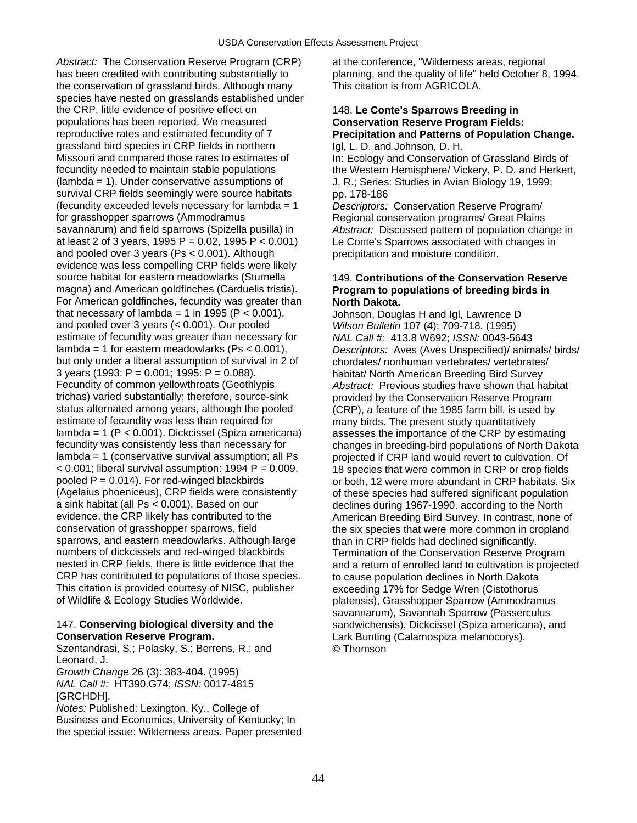*Abstract:* The Conservation Reserve Program (CRP) at the conference, "Wilderness areas, regional has been credited with contributing substantially to planning, and the quality of life" held October 8, 1994.<br>
the conservation of grassland birds. Although many This citation is from AGRICOLA. the conservation of grassland birds. Although many species have nested on grasslands established under the CRP, little evidence of positive effect on 148. **Le Conte's Sparrows Breeding in**  populations has been reported. We measured **Conservation Reserve Program Fields:**  grassland bird species in CRP fields in northern Igl, L. D. and Johnson, D. H. Missouri and compared those rates to estimates of In: Ecology and Conservation of Grassland Birds of fecundity needed to maintain stable populations the Western Hemisphere/ Vickery, P. D. and Herkert, (lambda = 1). Under conservative assumptions of J. R.; Series: Studies in Avian Biology 19, 1999; survival CRP fields seemingly were source habitats pp. 178-186 (fecundity exceeded levels necessary for lambda = 1 *Descriptors:* Conservation Reserve Program/ for grasshopper sparrows (Ammodramus Regional conservation programs/ Great Plains savannarum) and field sparrows (Spizella pusilla) in *Abstract:* Discussed pattern of population char at least 2 of 3 years, 1995  $P = 0.02$ , 1995  $P < 0.001$  Le Conte's Sparrows associated with changes in and pooled over 3 years (Ps < 0.001). Although precipitation and moisture condition. evidence was less compelling CRP fields were likely source habitat for eastern meadowlarks (Sturnella 149. **Contributions of the Conservation Reserve**  magna) and American goldfinches (Carduelis tristis). **Program to populations of breeding birds in**  For American goldfinches, fecundity was greater than **North Dakota.**<br>
that necessary of lambda = 1 in 1995 (P < 0.001), Johnson, Douglas H and Igl, Lawrence D that necessary of lambda = 1 in 1995 ( $P < 0.001$ ), and pooled over 3 years (< 0.001). Our pooled *Wilson Bulletin* 107 (4): 709-718. (1995) estimate of fecundity was greater than necessary for *NAL Call #:* 413.8 W692; *ISSN:* 0043-5643 but only under a liberal assumption of survival in  $2$  of chordates/ nonhuman vertebrates/ vertebrates/ 3 years (1993: P = 0.001; 1995: P = 0.088). 3 years (1993: P = 0.001; 1995: P = 0.088).<br>
Fecundity of common yellowthroats (Geothlypis *Abstract:* Previous studies have shown that ha trichas) varied substantially; therefore, source-sink provided by the Conservation Reserve Program status alternated among years, although the pooled (CRP), a feature of the 1985 farm bill. is used by<br>estimate of fecundity was less than required for many birds. The present study quantitatively estimate of fecundity was less than required for many birds. The present study quantitatively<br>
lambda = 1 (P < 0.001). Dickcissel (Spiza americana) assesses the importance of the CRP by estir lambda = 1 (P < 0.001). Dickcissel (Spiza americana) assesses the importance of the CRP by estimating fecundity was consistently less than necessary for example of thanges in breeding-bird populations of North Dakota<br>
lambda = 1 (conservative survival assumption; all Ps expression or provincted if CRP land would revert to lambda = 1 (conservative survival assumption; all Ps projected if CRP land would revert to cultivation. Of  $\lt$  0.001; liberal survival assumption: 1994 P = 0.009, 18 species that were common in CRP or crop fields  $<$  0.001; liberal survival assumption: 1994 P = 0.009, 18 species that were common in CRP or crop fields<br>pooled P = 0.014). For red-winged blackbirds or both. 12 were more abundant in CRP habitats. Si pooled P = 0.014). For red-winged blackbirds or both, 12 were more abundant in CRP habitats. Six<br>(Agelaius phoeniceus), CRP fields were consistently of these species had suffered significant population (Agelaius phoeniceus), CRP fields were consistently of these species had suffered significant population<br>a sink habitat (all Ps < 0.001). Based on our declines during 1967-1990, according to the North a sink habitat (all Ps < 0.001). Based on our declines during 1967-1990. according to the North evidence, the CRP likely has contributed to the American Breeding Bird Survey. In contrast, none of<br>
conservation of grasshopper sparrows, field
the six species that were more common in cropland sparrows, and eastern meadowlarks. Although large than in CRP fields had declined significantly.<br>
numbers of dickcissels and red-winged blackbirds Termination of the Conservation Reserve Pro numbers of dickcissels and red-winged blackbirds<br>
Termination of the Conservation Reserve Program<br>
nested in CRP fields, there is little evidence that the<br>
and a return of enrolled land to cultivation is project nested in CRP fields, there is little evidence that the and a return of enrolled land to cultivation is projected CRP has contributed to populations of those species. <br>CRP has contributed to populations of those species. T This citation is provided courtesy of NISC, publisher exceeding 17% for Sedge Wren (Cistothorus<br>of Wildlife & Ecology Studies Worldwide. publisher blatensis). Grasshopper Sparrow (Ammodran

## **Conservation Reserve Program.** Lark Bunting (Calamospiza melanocorys).

Szentandrasi, S.; Polasky, S.; Berrens, R.; and  $\qquad \qquad \odot$  Thomson Leonard, J. *Growth Change* 26 (3): 383-404. (1995) *NAL Call #:* HT390.G74; *ISSN:* 0017-4815 [GRCHDH].

*Notes:* Published: Lexington, Ky., College of Business and Economics, University of Kentucky; In the special issue: Wilderness areas. Paper presented

# **Precipitation and Patterns of Population Change.**

Abstract: Discussed pattern of population change in

Descriptors: Aves (Aves Unspecified)/ animals/ birds/ Abstract: Previous studies have shown that habitat the six species that were more common in cropland to cause population declines in North Dakota platensis), Grasshopper Sparrow (Ammodramus savannarum), Savannah Sparrow (Passerculus 147. **Conserving biological diversity and the** sandwichensis), Dickcissel (Spiza americana), and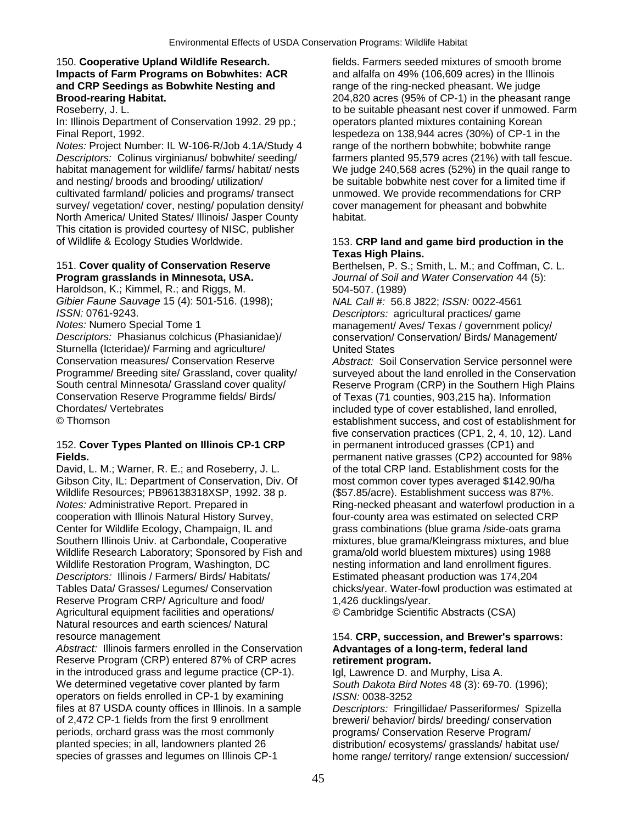## 150. **Cooperative Upland Wildlife Research.** fields. Farmers seeded mixtures of smooth brome **Impacts of Farm Programs on Bobwhites: ACR** and alfalfa on 49% (106,609 acres) in the Illinois **and CRP Seedings as Bobwhite Nesting and** range of the ring-necked pheasant. We judge

In: Illinois Department of Conservation 1992. 29 pp.; operators planted mixtures containing Korean Final Report, 1992. lespedeza on 138,944 acres (30%) of CP-1 in the

*Notes:* Project Number: IL W-106-R/Job 4.1A/Study 4 range of the northern bobwhite; bobwhite range *Descriptors:* Colinus virginianus/ bobwhite/ seeding/ farmers planted 95,579 acres (21%) with tall fescue. habitat management for wildlife/ farms/ habitat/ nests We judge 240,568 acres (52%) in the quail range to and nesting/ broods and brooding/ utilization/ be suitable bobwhite nest cover for a limited time if cultivated farmland/ policies and programs/ transect unmowed. We provide recommendations for CRP survey/ vegetation/ cover, nesting/ population density/ cover management for pheasant and bobwhite North America/ United States/ Illinois/ Jasper County habitat. This citation is provided courtesy of NISC, publisher of Wildlife & Ecology Studies Worldwide. 153. **CRP land and game bird production in the** 

Haroldson, K.; Kimmel, R.; and Riggs, M. 504-507. (1989) *Gibier Faune Sauvage* 15 (4): 501-516. (1998); *NAL Call #:* 56.8 J822; *ISSN:* 0022-4561

*Descriptors:* Phasianus colchicus (Phasianidae)/ conservation/ Conservation/ Birds/ Management/ Sturnella (Icteridae)/ Farming and agriculture/ United States<br>Conservation measures/ Conservation Reserve *Abstract:* Soil Conservation Reserve Programme fields/ Birds/ of Texas (71 counties, 903,215 ha). Information Chordates/ Vertebrates included type of cover established, land enrolled,

## 152. **Cover Types Planted on Illinois CP-1 CRP** in permanent introduced grasses (CP1) and

David, L. M.; Warner, R. E.; and Roseberry, J. L. of the total CRP land. Establishment costs for the Gibson City, IL: Department of Conservation, Div. Of most common cover types averaged \$142.90/ha Wildlife Resources; PB96138318XSP, 1992. 38 p. (\$57.85/acre). Establishment success was 87%. *Notes:* Administrative Report. Prepared in Ring-necked pheasant and waterfowl production in a cooperation with Illinois Natural History Survey, four-county area was estimated on selected CRP Center for Wildlife Ecology, Champaign, IL and grass combinations (blue grama /side-oats grama Southern Illinois Univ. at Carbondale, Cooperative mixtures, blue grama/Kleingrass mixtures, and blue Wildlife Research Laboratory; Sponsored by Fish and grama/old world bluestem mixtures) using 1988 Wildlife Restoration Program, Washington, DC nesting information and land enrollment figures. *Descriptors:* Illinois / Farmers/ Birds/ Habitats/ Estimated pheasant production was 174,204 Tables Data/ Grasses/ Legumes/ Conservation chicks/year. Water-fowl production was estimated at Reserve Program CRP/ Agriculture and food/ 1,426 ducklings/year. Agricultural equipment facilities and operations/ © Cambridge Scientific Abstracts (CSA) Natural resources and earth sciences/ Natural resource management 154. **CRP, succession, and Brewer's sparrows:** 

*Abstract:* Illinois farmers enrolled in the Conservation **Advantages of a long-term, federal land**  Reserve Program (CRP) entered 87% of CRP acres **retirement program.**  in the introduced grass and legume practice (CP-1). Igl, Lawrence D. and Murphy, Lisa A. We determined vegetative cover planted by farm *South Dakota Bird Notes* 48 (3): 69-70. (1996); operators on fields enrolled in CP-1 by examining *ISSN:* 0038-3252 files at 87 USDA county offices in Illinois. In a sample *Descriptors:* Fringillidae/ Passeriformes/ Spizella periods, orchard grass was the most commonly programs/ Conservation Reserve Program/ planted species; in all, landowners planted 26 distribution/ ecosystems/ grasslands/ habitat use/<br>species of grasses and legumes on Illinois CP-1 home range/ territory/ range extension/ succession

**Brood-rearing Habitat.** 204,820 acres (95% of CP-1) in the pheasant range Roseberry, J. L. to be suitable pheasant nest cover if unmowed. Farm

## **Texas High Plains.**

151. **Cover quality of Conservation Reserve** Berthelsen, P. S.; Smith, L. M.; and Coffman, C. L. **Program grasslands in Minnesota, USA.** *Journal of Soil and Water Conservation* 44 (5):

*ISSN:* 0761-9243. *Descriptors:* agricultural practices/ game management/ Aves/ Texas / government policy/

Abstract: Soil Conservation Service personnel were Programme/ Breeding site/ Grassland, cover quality/ surveyed about the land enrolled in the Conservation<br>South central Minnesota/ Grassland cover quality/ Reserve Program (CRP) in the Southern High Plains Reserve Program (CRP) in the Southern High Plains © Thomson establishment success, and cost of establishment for five conservation practices (CP1, 2, 4, 10, 12). Land **Fields.** permanent native grasses (CP2) accounted for 98%

breweri/ behavior/ birds/ breeding/ conservation home range/ territory/ range extension/ succession/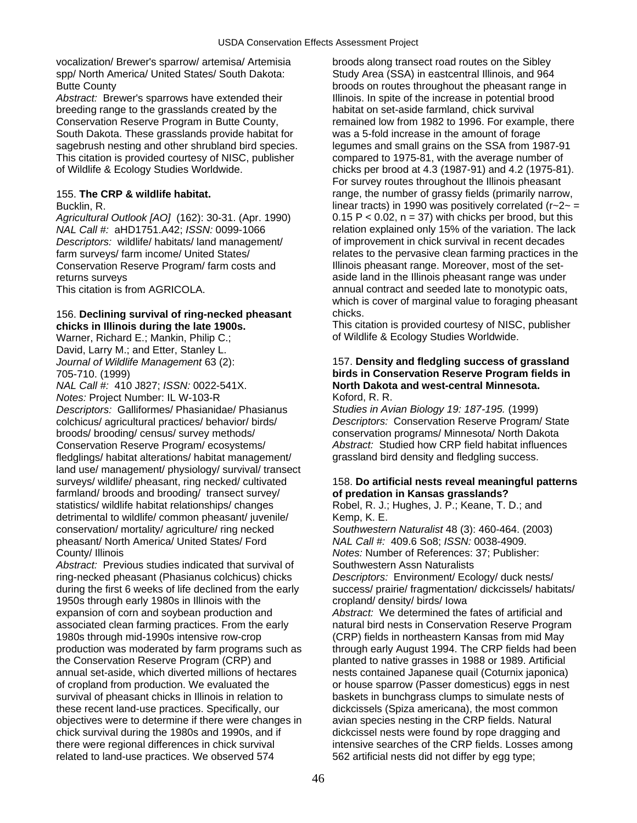vocalization/ Brewer's sparrow/ artemisa/ Artemisia broods along transect road routes on the Sibley spp/ North America/ United States/ South Dakota: Study Area (SSA) in eastcentral Illinois, and 964

Abstract: Brewer's sparrows have extended their Illinois. In spite of the increase in potential brood breeding range to the grasslands created by the habitat on set-aside farmland, chick survival South Dakota. These grasslands provide habitat for was a 5-fold increase in the amount of forage sagebrush nesting and other shrubland bird species. legumes and small grains on the SSA from 1987-91 This citation is provided courtesy of NISC, publisher compared to 1975-81, with the average number of

*Descriptors:* wildlife/ habitats/ land management/ of improvement in chick survival in recent decades Conservation Reserve Program/ farm costs and Illinois pheasant range. Moreover, most of the set-

## 156. **Declining survival of ring-necked pheasant** chicks.

Warner, Richard E.; Mankin, Philip C.; David, Larry M.; and Etter, Stanley L.

*NAL Call #:* 410 J827; *ISSN:* 0022-541X. **North Dakota and west-central Minnesota.**  *Notes:* Project Number: IL W-103-R Koford, R. R. *Descriptors:* Galliformes/ Phasianidae/ Phasianus *Studies in Avian Biology 19: 187-195.* (1999) colchicus/ agricultural practices/ behavior/ birds/ *Descriptors:* Conservation Reserve Program/ State broods/ brooding/ census/ survey methods/ conservation programs/ Minnesota/ North Dakota Conservation Reserve Program/ ecosystems/ *Abstract:* Studied how CRP field habitat influences fledglings/ habitat alterations/ habitat management/ grassland bird density and fledgling success. land use/ management/ physiology/ survival/ transect farmland/ broods and brooding/ transect survey/ **of predation in Kansas grasslands?**  statistics/ wildlife habitat relationships/ changes Robel, R. J.; Hughes, J. P.; Keane, T. D.; and detrimental to wildlife/ common pheasant/ juvenile/ Kemp, K. E. conservation/ mortality/ agriculture/ ring necked *Southwestern Naturalist* 48 (3): 460-464. (2003) pheasant/ North America/ United States/ Ford *NAL Call #:* 409.6 So8; *ISSN:* 0038-4909. County/ Illinois *Notes:* Number of References: 37; Publisher:

Abstract: Previous studies indicated that survival of Southwestern Assn Naturalists ring-necked pheasant (Phasianus colchicus) chicks *Descriptors:* Environment/ Ecology/ duck nests/ during the first 6 weeks of life declined from the early success/ prairie/ fragmentation/ dickcissels/ habitats/ 1950s through early 1980s in Illinois with the cropland/ density/ birds/ Iowa expansion of corn and soybean production and *Abstract:* We determined the fates of artificial and associated clean farming practices. From the early natural bird nests in Conservation Reserve Program 1980s through mid-1990s intensive row-crop (CRP) fields in northeastern Kansas from mid May production was moderated by farm programs such as through early August 1994. The CRP fields had been the Conservation Reserve Program (CRP) and planted to native grasses in 1988 or 1989. Artificial annual set-aside, which diverted millions of hectares nests contained Japanese quail (Coturnix japonica) of cropland from production. We evaluated the or house sparrow (Passer domesticus) eggs in nest survival of pheasant chicks in Illinois in relation to baskets in bunchgrass clumps to simulate nests of these recent land-use practices. Specifically, our dickcissels (Spiza americana), the most common objectives were to determine if there were changes in avian species nesting in the CRP fields. Natural chick survival during the 1980s and 1990s, and if dickcissel nests were found by rope dragging and there were regional differences in chick survival intensive searches of the CRP fields. Losses among related to land-use practices. We observed 574 562 artificial nests did not differ by egg type;

Butte County broods on routes throughout the pheasant range in Conservation Reserve Program in Butte County, remained low from 1982 to 1996. For example, there of Wildlife & Ecology Studies Worldwide. chicks per brood at 4.3 (1987-91) and 4.2 (1975-81). For survey routes throughout the Illinois pheasant 155. **The CRP & wildlife habitat.** range, the number of grassy fields (primarily narrow, Bucklin, R. linear tracts) in 1990 was positively correlated ( $r - 2 -$  = *Agricultural Outlook [AO]* (162): 30-31. (Apr. 1990) 0.15 P < 0.02, n = 37) with chicks per brood, but this *NAL Call #:* aHD1751.A42; *ISSN:* 0099-1066 relation explained only 15% of the variation. The lack farm surveys/ farm income/ United States/ relates to the pervasive clean farming practices in the returns surveys assume that the Illinois pheasant range was under This citation is from AGRICOLA. **Annual contract and seeded late to monotypic oats**, which is cover of marginal value to foraging pheasant

**chicks in Illinois during the late 1900s.** This citation is provided courtesy of NISC, publisher Warner, Richard E.; Mankin, Philip C.; on the Multiple of Wildlife & Ecology Studies Worldwide.

## *Journal of Wildlife Management* 63 (2): 157. **Density and fledgling success of grassland**  705-710. (1999) **birds in Conservation Reserve Program fields in**

## surveys/ wildlife/ pheasant, ring necked/ cultivated 158. **Do artificial nests reveal meaningful patterns**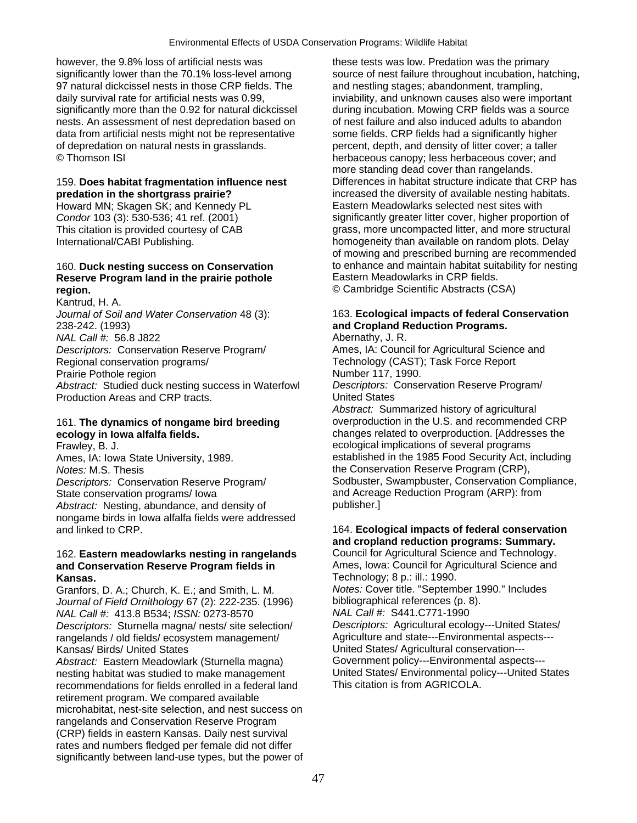however, the 9.8% loss of artificial nests was these tests was low. Predation was the primary 97 natural dickcissel nests in those CRP fields. The and nestling stages; abandonment, trampling, daily survival rate for artificial nests was 0.99. significantly more than the 0.92 for natural dickcissel during incubation. Mowing CRP fields was a source nests. An assessment of nest depredation based on of nest failure and also induced adults to abandon data from artificial nests might not be representative some fields. CRP fields had a significantly higher of depredation on natural nests in grasslands. percent, depth, and density of litter cover; a taller © Thomson ISI herbaceous canopy; less herbaceous cover; and

Howard MN; Skagen SK; and Kennedy PL

## **Reserve Program land in the prairie pothole <b>Eastern Meadowlarks in CRP** fields. **region. Cambridge Scientific Abstracts (CSA)**

Kantrud, H. A. *Journal of Soil and Water Conservation* 48 (3):163. **Ecological impacts of federal Conservation**  238-242. (1993) **and Cropland Reduction Programs.**  *NAL Call #:* 56.8 J822<br> *Descriptors:* Conservation Reserve Program/ **Ames, IA: Council for Agricultural Science** and *Descriptors: Conservation Reserve Program/* Realional conservation programs/ Prairie Pothole region Number 117, 1990. *Abstract:* Studied duck nesting success in Waterfowl *Descriptors:* Conservation Reserve Program/ Production Areas and CRP tracts.

*Notes:* M.S. Thesis the Conservation Reserve Program (CRP), State conservation programs/ Iowa and Acreage Reduction Program (ARP): from Abstract: Nesting, abundance, and density of publisher.] nongame birds in Iowa alfalfa fields were addressed and linked to CRP. 164. **Ecological impacts of federal conservation** 

## 162. **Eastern meadowlarks nesting in rangelands** Council for Agricultural Science and Technology. and Conservation Reserve Program fields in<br>**Kansas**.

Granfors, D. A.; Church, K. E.; and Smith, L. M. *Notes:* Cover title. "September 1990." Includes Journal of Field Ornithology 67 (2): 222-235. (1996) bibliographical references (p. 8). *Journal of Field Ornithology* 67 (2): 222-235. (1996) bibliographical references (p. 8). *NAL Call #:* 413.8 B534; *ISSN:* 0273-8570 *NAL Call #:* S441.C771-1990 *Descriptors:* Sturnella magna/ nests/ site selection/ *Descriptors:* Agricultural ecology---United State<br>1994 rangelands / old fields/ ecosystem management/ **Agriculture** and state---Environmental aspects-rangelands / old fields/ ecosystem management/ Kansas/ Birds/ United States United States/ Agricultural conservation---

*Abstract:* Eastern Meadowlark (Sturnella magna) Government policy---Environmental aspects-- nesting habitat was studied to make management United States/ Environmental policy---United States recommendations for fields enrolled in a federal land retirement program. We compared available microhabitat, nest-site selection, and nest success on rangelands and Conservation Reserve Program (CRP) fields in eastern Kansas. Daily nest survival rates and numbers fledged per female did not differ significantly between land-use types, but the power of

significantly lower than the 70.1% loss-level among source of nest failure throughout incubation, hatching, inviability, and unknown causes also were important more standing dead cover than rangelands. 159. **Does habitat fragmentation influence nest** Differences in habitat structure indicate that CRP has **predation in the shortgrass prairie? increased the diversity of available nesting habitats.**<br>Howard MN: Skagen SK: and Kennedy PL **business Example 20** Eastern Meadowlarks selected nest sites with *Condor* 103 (3): 530-536; 41 ref. (2001) significantly greater litter cover, higher proportion of This citation is provided courtesy of CAB grass, more uncompacted litter, and more structural International/CABI Publishing. https://www.margeneity.com/plots/margeneity than available on random plots. Delay of mowing and prescribed burning are recommended 160. **Duck nesting success on Conservation** to enhance and maintain habitat suitability for nesting

Technology (CAST); Task Force Report

*Abstract:* Summarized history of agricultural 161. **The dynamics of nongame bird breeding** overproduction in the U.S. and recommended CRP **ecology in lowa alfalfa fields.** Componently changes related to overproduction. [Addresses the changes related to overproduction. [Addresses the Frawley, B. J. ecological implications of several programs Ames, IA: Iowa State University, 1989. established in the 1985 Food Security Act, including *Descriptors:* Conservation Reserve Program/ Sodbuster, Swampbuster, Conservation Compliance,

## **and cropland reduction programs: Summary.**

**Kansas.** Technology; 8 p.: ill.: 1990.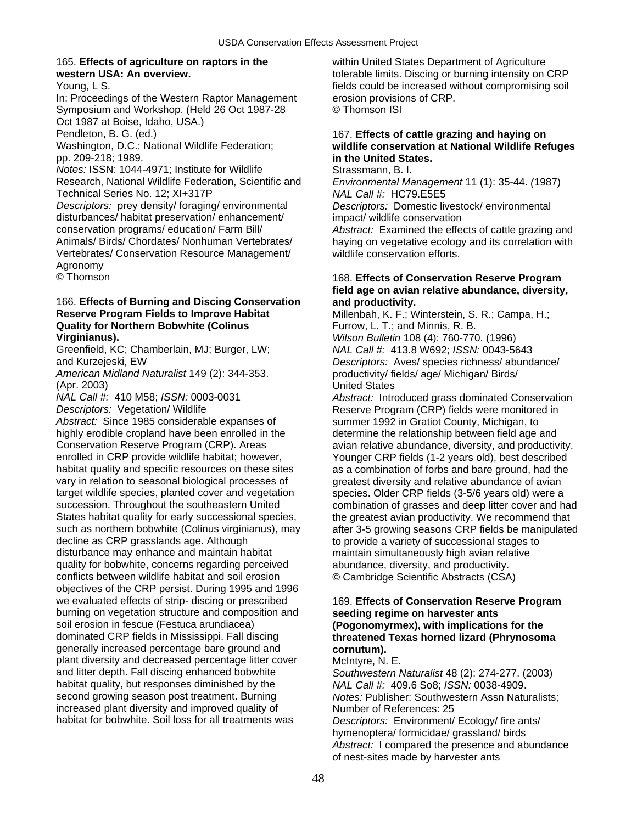In: Proceedings of the Western Raptor Management erosion provisions of CRP. Symposium and Workshop. (Held 26 Oct 1987-28 © Thomson ISI Oct 1987 at Boise, Idaho, USA.)

pp. 209-218; 1989. **in the United States.** 

*Notes:* ISSN: 1044-4971; Institute for Wildlife Strassmann, B. I. Research, National Wildlife Federation, Scientific and *Environmental Management* 11 (1): 35-44. *(*1987) Technical Series No. 12; XI+317P *NAL Call #:* HC79.E5E5

*Descriptors:* prey density/ foraging/ environmental *Descriptors:* Domestic livestock/ environmental disturbances/ habitat preservation/ enhancement/ impact/ wildlife conservation<br>conservation programs/ education/ Farm Bill/ *Abstract:* Examined the effe conservation programs/ education/ Farm Bill/ *Abstract:* Examined the effects of cattle grazing and Vertebrates/ Conservation Resource Management/ wildlife conservation efforts. Agronomy

### 166. **Effects of Burning and Discing Conservation and productivity.**<br> **Reserve Program Fields to Improve Habitat Millenbah, K. F.: Willenbah, K. F.: W Quality for Northern Bobwhite (Colinus Furrow, L. T.; and Minnis, R. B. Virginianus).** *Wilson Bulletin* 108 (4): 760-770. (1996)

Greenfield, KC; Chamberlain, MJ; Burger, LW; *NAL Call #: 413.8 W692; <i>ISSN:* 0043-5643<br>and Kurzejeski, EW *inferential pescriptors: Aves/ species richness/ abund* 

*American Midland Naturalist* 149 (2): 344-353. productivity/ fields/ age/ Michigan/ Birds/

(Apr. 2003) United States

Abstract: Since 1985 considerable expanses of summer 1992 in Gratiot County, Michigan, to highly erodible cropland have been enrolled in the determine the relationship between field age and<br>Conservation Reserve Program (CRP). Areas and avian relative abundance, diversity, and productive Conservation Reserve Program (CRP). Areas avian relative abundance, diversity, and productivity.<br>
enrolled in CRP provide wildlife habitat; however, <br>
Younger CRP fields (1-2 years old), best described habitat quality and specific resources on these sites as a combination of forbs and bare ground, had the vary in relation to seasonal biological processes of greatest diversity and relative abundance of avian target wildlife species, planted cover and vegetation species. Older CRP fields (3-5/6 years old) were a<br>succession. Throughout the southeastern United succession of grasses and deep litter cover and has States habitat quality for early successional species, the greatest avian productivity. We recommend that decline as CRP grasslands age. Although to provide a variety of successional stages to disturbance may enhance and maintain habitat maintain simultaneously high avian relative quality for bobwhite, concerns regarding perceived abundance, diversity, and productivity. conflicts between wildlife habitat and soil erosion © Cambridge Scientific Abstracts (CSA) objectives of the CRP persist. During 1995 and 1996 we evaluated effects of strip- discing or prescribed 169. **Effects of Conservation Reserve Program**  burning on vegetation structure and composition and **seeding regime on harvester ants**  soil erosion in fescue (Festuca arundiacea) **(Pogonomyrmex), with implications for the**  generally increased percentage bare ground and **cornutum).**  plant diversity and decreased percentage litter cover McIntyre, N. E. and litter depth. Fall discing enhanced bobwhite *Southwestern Naturalist* 48 (2): 274-277. (2003) habitat quality, but responses diminished by the *NAL Call #:* 409.6 So8; *ISSN:* 0038-4909. increased plant diversity and improved quality of **Number of References: 25**<br>habitat for bobwhite Soil loss for all treatments was **Descriptors: Environment**/

165. **Effects of agriculture on raptors in the** within United States Department of Agriculture **western USA: An overview.** The same of the state of the state of the state of the state of CRP state of CRP state of CRP Young, L S. fields could be increased without compromising soil

## Pendleton, B. G. (ed.) 167. **Effects of cattle grazing and haying on**  Washington, D.C.: National Wildlife Federation; **wildlife conservation at National Wildlife Refuges**

haying on vegetative ecology and its correlation with

## © Thomson 168. **Effects of Conservation Reserve Program field age on avian relative abundance, diversity,**

**Millenbah, K. F.; Winterstein, S. R.; Campa, H.;** Descriptors: Aves/ species richness/ abundance/

Abstract: Introduced grass dominated Conservation **Descriptors: Vegetation/ Wildlife Reserve Program (CRP) fields were monitored in** Younger CRP fields (1-2 years old), best described combination of grasses and deep litter cover and had such as northern bobwhite (Colinus virginianus), may after 3-5 growing seasons CRP fields be manipulated

# threatened Texas horned lizard (Phrynosoma

Notes: Publisher: Southwestern Assn Naturalists: **Descriptors: Environment/ Ecology/ fire ants/** hymenoptera/ formicidae/ grassland/ birds

*Abstract:* I compared the presence and abundance of nest-sites made by harvester ants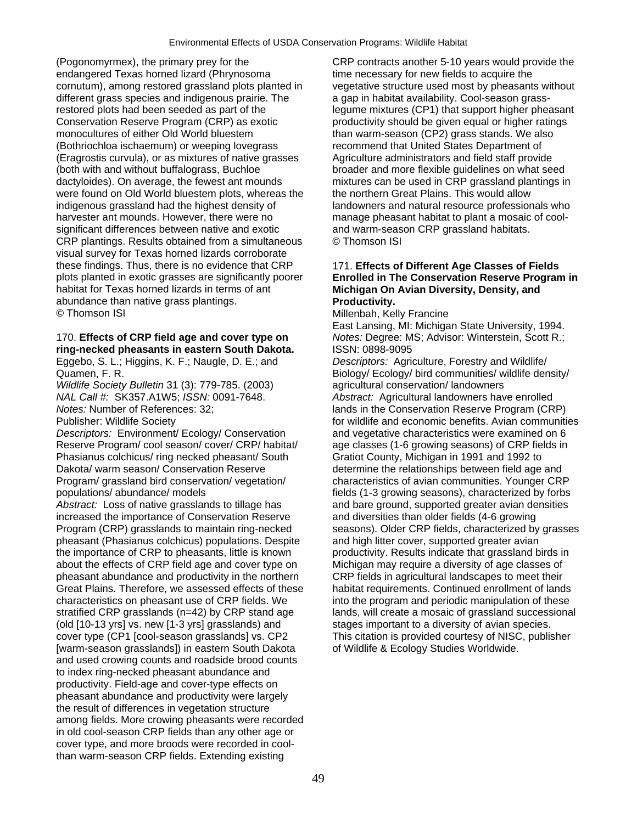(Pogonomyrmex), the primary prey for the CRP contracts another 5-10 years would provide the endangered Texas horned lizard (Phrynosoma time necessary for new fields to acquire the cornutum), among restored grassland plots planted in vegetative structure used most by pheasants without different grass species and indigenous prairie. The a gap in habitat availability. Cool-season grassrestored plots had been seeded as part of the legume mixtures (CP1) that support higher pheasant<br>Conservation Reserve Program (CRP) as exotic conservativity should be given equal or higher ratings Conservation Reserve Program (CRP) as exotic productivity should be given equal or higher ratings<br>monocultures of either Old World bluestem than warm-season (CP2) grass stands. We also (Bothriochloa ischaemum) or weeping lovegrass recommend that United States Department of (Eragrostis curvula), or as mixtures of native grasses Agriculture administrators and field staff provide (both with and without buffalograss, Buchloe broader and more flexible guidelines on what seed dactyloides). On average, the fewest ant mounds mixtures can be used in CRP grassland plantings in<br>were found on Old World bluestem plots, whereas the the northern Great Plains. This would allow were found on Old World bluestem plots, whereas the indigenous grassland had the highest density of landowners and natural resource professionals who harvester ant mounds. However, there were no manage pheasant habitat to plant a mosaic of coolsignificant differences between native and exotic and warm-season CRP grassland habitats. CRP plantings. Results obtained from a simultaneous © Thomson ISI visual survey for Texas horned lizards corroborate these findings. Thus, there is no evidence that CRP 171. **Effects of Different Age Classes of Fields**  plots planted in exotic grasses are significantly poorer **Enrolled in The Conservation Reserve Program in**  habitat for Texas horned lizards in terms of ant **Michigan On Avian Diversity, Density, and**  abundance than native grass plantings. **Productivity.** © Thomson ISI Millenbah, Kelly Francine

### 170. **Effects of CRP field age and cover type on** *Notes:* Degree: MS; Advisor: Winterstein, Scott R.; **ring-necked pheasants in eastern South Dakota.** ISSN: 0898-9095

*Wildlife Society Bulletin* 31 (3): 779-785. (2003) agricultural conservation/ landowners

*Descriptors:* Environment/ Ecology/ Conservation and vegetative characteristics were examined on 6 Reserve Program/ cool season/ cover/ CRP/ habitat/ age classes (1-6 growing seasons) of CRP fields in<br>Phasianus colchicus/ ring necked pheasant/ South Gratiot County, Michigan in 1991 and 1992 to Phasianus colchicus/ ring necked pheasant/ South Dakota/ warm season/ Conservation Reserve entity determine the relationships between field age and Program/ grassland bird conservation/ vegetation/ characteristics of avian communities. Younger CRP populations/ abundance/ models fields (1-3 growing seasons), characterized by forbs

*Abstract:* Loss of native grasslands to tillage has and bare ground, supported greater avian densities increased the importance of Conservation Reserve and diversities than older fields (4-6 growing Program (CRP) grasslands to maintain ring-necked seasons). Older CRP fields, characterized by grasses pheasant (Phasianus colchicus) populations. Despite and high litter cover, supported greater avian the importance of CRP to pheasants, little is known productivity. Results indicate that grassland birds in about the effects of CRP field age and cover type on Michigan may require a diversity of age classes of pheasant abundance and productivity in the northern CRP fields in agricultural landscapes to meet their Great Plains. Therefore, we assessed effects of these habitat requirements. Continued enrollment of lands characteristics on pheasant use of CRP fields. We into the program and periodic manipulation of these stratified CRP grasslands (n=42) by CRP stand age lands, will create a mosaic of grassland successional (old [10-13 yrs] vs. new [1-3 yrs] grasslands) and stages important to a diversity of avian species. cover type (CP1 [cool-season grasslands] vs. CP2 This citation is provided courtesy of NISC, publisher [warm-season grasslands]) in eastern South Dakota of Wildlife & Ecology Studies Worldwide. and used crowing counts and roadside brood counts to index ring-necked pheasant abundance and productivity. Field-age and cover-type effects on pheasant abundance and productivity were largely the result of differences in vegetation structure among fields. More crowing pheasants were recorded in old cool-season CRP fields than any other age or cover type, and more broods were recorded in coolthan warm-season CRP fields. Extending existing

than warm-season (CP2) grass stands. We also

East Lansing, MI: Michigan State University, 1994.

Eggebo, S. L.; Higgins, K. F.; Naugle, D. E.; and *Descriptors:* Agriculture, Forestry and Wildlife/ Quamen, F. R. Biology/ Ecology/ Biology/ Broom unities/ wildlife density/ *NAL Call #:* SK357.A1W5; *ISSN:* 0091-7648. *Abstract:* Agricultural landowners have enrolled *Notes:* Number of References: 32; lands in the Conservation Reserve Program (CRP) Publisher: Wildlife Society for wildlife and economic benefits. Avian communities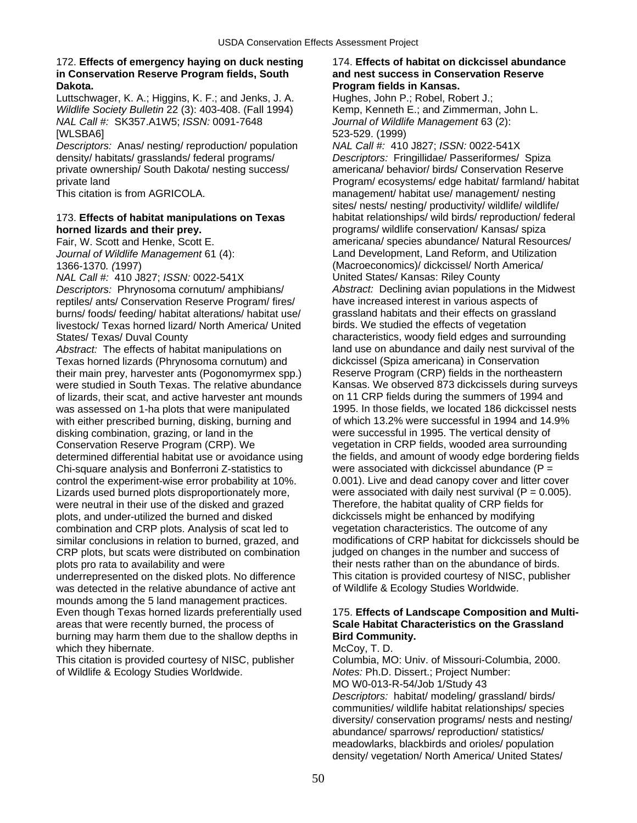### 172. **Effects of emergency haying on duck nesting** 174. **Effects of habitat on dickcissel abundance in Conservation Reserve Program fields, South and nest success in Conservation Reserve Dakota. Program fields in Kansas.**

Luttschwager, K. A.; Higgins, K. F.; and Jenks, J. A. Hughes, John P.; Robel, Robert J.; *Wildlife Society Bulletin* 22 (3): 403-408. (Fall 1994) Kemp, Kenneth E.; and Zimmerman, John L. *NAL Call #:* SK357.A1W5; *ISSN:* 0091-7648 *Journal of Wildlife Management* 63 (2): [WLSBA6] 523-529. (1999)

*Descriptors:* Anas/ nesting/ reproduction/ population *NAL Call #:* 410 J827; *ISSN:* 0022-541X density/ habitats/ grasslands/ federal programs/ *Descriptors:* Fringillidae/ Passeriformes/ Spiza private ownership/ South Dakota/ nesting success/ americana/ behavior/ birds/ Conservation Reserve

## **horned lizards and their prey. programs/ wildlife conservation/ Kansas/ spiza**

*NAL Call #:* 410 J827; *ISSN:* 0022-541X United States/ Kansas: Riley County *Descriptors:* Phrynosoma cornutum/ amphibians/ *Abstract:* Declining avian populations in the Midwest reptiles/ ants/ Conservation Reserve Program/ fires/ have increased interest in various aspects of burns/ foods/ feeding/ habitat alterations/ habitat use/ grassland habitats and their effects on grassland livestock/ Texas horned lizard/ North America/ United birds. We studied the effects of vegetation livestock/ Texas horned lizard/ North America/ United

*Abstract:* The effects of habitat manipulations on land use on abundance and daily nest survival Texas horned lizards (Phrynosoma cornutum) and dickcissel (Spiza americana) in Conservation Texas horned lizards (Phrynosoma cornutum) and their main prey, harvester ants (Pogonomyrmex spp.) Reserve Program (CRP) fields in the northeastern were studied in South Texas. The relative abundance Kansas. We observed 873 dickcissels during surveys of lizards, their scat, and active harvester ant mounds on 11 CRP fields during the summers of 1994 and was assessed on 1-ha plots that were manipulated 1995. In those fields, we located 186 dickcissel nests<br>
with either prescribed burning, disking, burning and for which 13.2% were successful in 1994 and 14.9% with either prescribed burning, disking, burning and disking combination, grazing, or land in the were successful in 1995. The vertical density of Conservation Reserve Program (CRP). We vegetation in CRP fields, wooded area surrounding determined differential habitat use or avoidance using the fields, and amount of woody edge bordering fields Chi-square analysis and Bonferroni Z-statistics to were associated with dickcissel abundance ( $P =$ control the experiment-wise error probability at 10%. 0.001). Live and dead canopy cover and litter cover Lizards used burned plots disproportionately more, were associated with daily nest survival ( $P = 0.005$ ). were neutral in their use of the disked and grazed Therefore, the habitat quality of CRP fields for plots, and under-utilized the burned and disked dickcissels might be enhanced by modifying<br>combination and CRP plots. Analysis of scat led to express vegetation characteristics. The outcome of any combination and CRP plots. Analysis of scat led to similar conclusions in relation to burned, grazed, and modifications of CRP habitat for dickcissels should be<br>CRP plots, but scats were distributed on combination judged on changes in the number and success of CRP plots, but scats were distributed on combination plots pro rata to availability and were the their nests rather than on the abundance of birds. underrepresented on the disked plots. No difference This citation is provided courtesy of NISC, publisher was detected in the relative abundance of active ant of Wildlife & Ecology Studies Worldwide. mounds among the 5 land management practices. Even though Texas horned lizards preferentially used 175. **Effects of Landscape Composition and Multi**areas that were recently burned, the process of **Scale Habitat Characteristics on the Grassland** 

burning may harm them due to the shallow depths in **Bird Community.**  which they hibernate. McCoy, T. D.

of Wildlife & Ecology Studies Worldwide. *Notes:* Ph.D. Dissert.; Project Number:

private land Program/ ecosystems/ edge habitat/ farmland/ habitat This citation is from AGRICOLA. management/ habitat use/ management/ nesting sites/ nests/ nesting/ productivity/ wildlife/ wildlife/ 173. **Effects of habitat manipulations on Texas** habitat relationships/ wild birds/ reproduction/ federal Fair, W. Scott and Henke, Scott E. and americana/ species abundance/ Natural Resources/ *Journal of Wildlife Management* 61 (4):Land Development, Land Reform, and Utilization 1366-1370*. (*1997) (Macroeconomics)/ dickcissel/ North America/ States/ Texas/ Duval County<br>
Abstract: The effects of habitat manipulations on land use on abundance and daily nest survival of the

This citation is provided courtesy of NISC, publisher Columbia, MO: Univ. of Missouri-Columbia, 2000. MO W0-013-R-54/Job 1/Study 43 *Descriptors:* habitat/ modeling/ grassland/ birds/ communities/ wildlife habitat relationships/ species diversity/ conservation programs/ nests and nesting/ abundance/ sparrows/ reproduction/ statistics/ meadowlarks, blackbirds and orioles/ population density/ vegetation/ North America/ United States/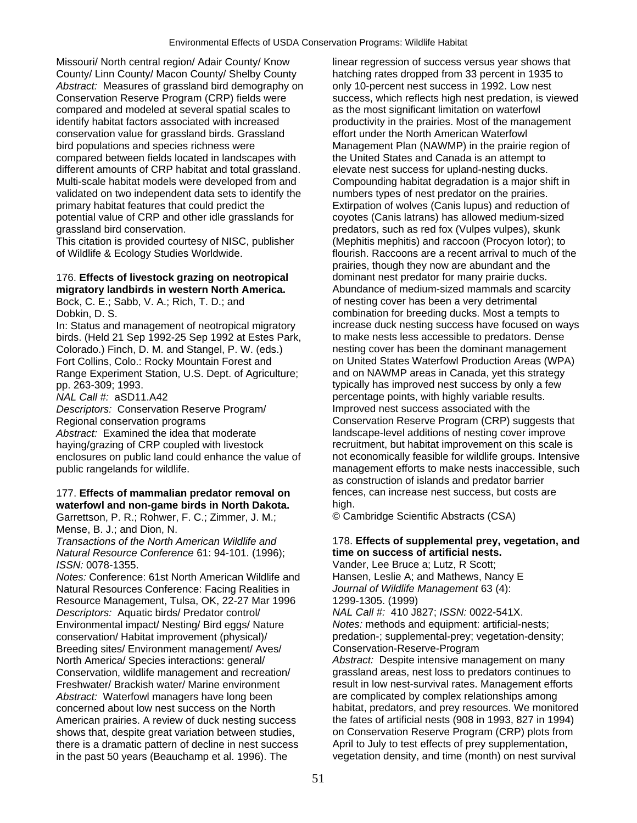Missouri/ North central region/ Adair County/ Know linear regression of success versus year shows that County/ Linn County/ Macon County/ Shelby County hatching rates dropped from 33 percent in 1935 to Abstract: Measures of grassland bird demography on only 10-percent nest success in 1992. Low nest Conservation Reserve Program (CRP) fields were success, which reflects high nest predation, is viewed compared and modeled at several spatial scales to as the most significant limitation on waterfowl identify habitat factors associated with increased productivity in the prairies. Most of the management conservation value for grassland birds. Grassland effort under the North American Waterfowl conservation value for grassland birds. Grassland bird populations and species richness were Management Plan (NAWMP) in the prairie region of compared between fields located in landscapes with the United States and Canada is an attempt to different amounts of CRP habitat and total grassland. elevate nest success for upland-nesting ducks. Multi-scale habitat models were developed from and Compounding habitat degradation is a major shift in validated on two independent data sets to identify the numbers types of nest predator on the prairies. primary habitat features that could predict the Extirpation of wolves (Canis lupus) and reduction of potential value of CRP and other idle grasslands for coyotes (Canis latrans) has allowed medium-sized grassland bird conservation. predators, such as red fox (Vulpes vulpes), skunk

This citation is provided courtesy of NISC, publisher (Mephitis mephitis) and raccoon (Procyon lotor); to

# 176. **Effects of livestock grazing on neotropical** dominant nest predator for many prairie ducks.

In: Status and management of neotropical migratory birds. (Held 21 Sep 1992-25 Sep 1992 at Estes Park, bother the make nests less accessible to predators. Dense<br>Colorado.) Finch. D. M. and Stangel. P. W. (eds.) enterting cover has been the dominant management Colorado.) Finch, D. M. and Stangel, P. W. (eds.) Fort Collins, Colo.: Rocky Mountain Forest and on United States Waterfowl Production Areas (WPA) Range Experiment Station, U.S. Dept. of Agriculture; and on NAWMP areas in Canada, yet this strategy pp. 263-309; 1993. typically has improved nest success by only a few

*Descriptors:* Conservation Reserve Program/ Improved nest success associated with the Abstract: Examined the idea that moderate landscape-level additions of nesting cover improve haying/grazing of CRP coupled with livestock<br>
enclosures on public land could enhance the value of not economically feasible for wildlife groups. Intensive

## 177. **Effects of mammalian predator removal on** fences, can increase nest success, but costs are **waterfowl and non-game birds in North Dakota.** high.<br>Garrettson, P. R.: Rohwer, F. C.: Zimmer, J. M.: © Cambridge Scientific Abstracts (CSA)

Garrettson, P. R.; Rohwer, F. C.; Zimmer, J. M.; Mense, B. J.; and Dion, N.

*Natural Resource Conference* 61: 94-101. (1996); **time on success of artificial nests.** 

*Notes:* Conference: 61st North American Wildlife and Natural Resources Conference: Facing Realities in *Journal of Wildlife Management* 63 (4): Resource Management, Tulsa, OK, 22-27 Mar 1996 1299-1305. (1999)<br>Descriptors: Aquatic birds/ Predator control/ **1200 NAL Call #: 410 J827**; ISSN: 0022-541X. *Descriptors: Aquatic birds/ Predator control/* Environmental impact/ Nesting/ Bird eggs/ Nature *Notes:* methods and equipment: artificial-nests; conservation/ Habitat improvement (physical)/ predation-; supplemental-prey; vegetation-density; Breeding sites/ Environment management/ Aves/ Conservation-Reserve-Program North America/ Species interactions: general/ *Abstract:* Despite intensive management on many Conservation, wildlife management and recreation/ grassland areas, nest loss to predators continues to Freshwater/ Brackish water/ Marine environment result in low nest-survival rates. Management efforts Abstract: Waterfowl managers have long been are complicated by complex relationships among American prairies. A review of duck nesting success the fates of artificial nests (908 in 1993, 827 in 1994) shows that, despite great variation between studies, on Conservation Reserve Program (CRP) plots from there is a dramatic pattern of decline in nest success and pril to July to test effects of prey supplementation,<br>
in the past 50 years (Beauchamp et al. 1996). The vegetation density, and time (month) on nest survival in the past 50 years (Beauchamp et al. 1996). The

of Wildlife & Ecology Studies Worldwide. **Figure 1** flourish. Raccoons are a recent arrival to much of the prairies, though they now are abundant and the **migratory landbirds in western North America.** Abundance of medium-sized mammals and scarcity Bock, C. E.; Sabb, V. A.; Rich, T. D.; and of nesting cover has been a very detrimental Dobkin, D. S.<br>
In: Status and management of neotropical migratory entity combination for breeding success have focused on ways *NAL Call #:* aSD11.A42 percentage points, with highly variable results. Regional conservation programs Conservation Reserve Program (CRP) suggests that not economically feasible for wildlife groups. Intensive public rangelands for wildlife. management efforts to make nests inaccessible, such as construction of islands and predator barrier

## *Transactions of the North American Wildlife and* 178. **Effects of supplemental prey, vegetation, and**

*ISSN:* 0078-1355.<br>*Notes:* Conference: 61st North American Wildlife and **Notes: And Mathematic Mathews**, Nancy E

concerned about low nest success on the North habitat, predators, and prey resources. We monitored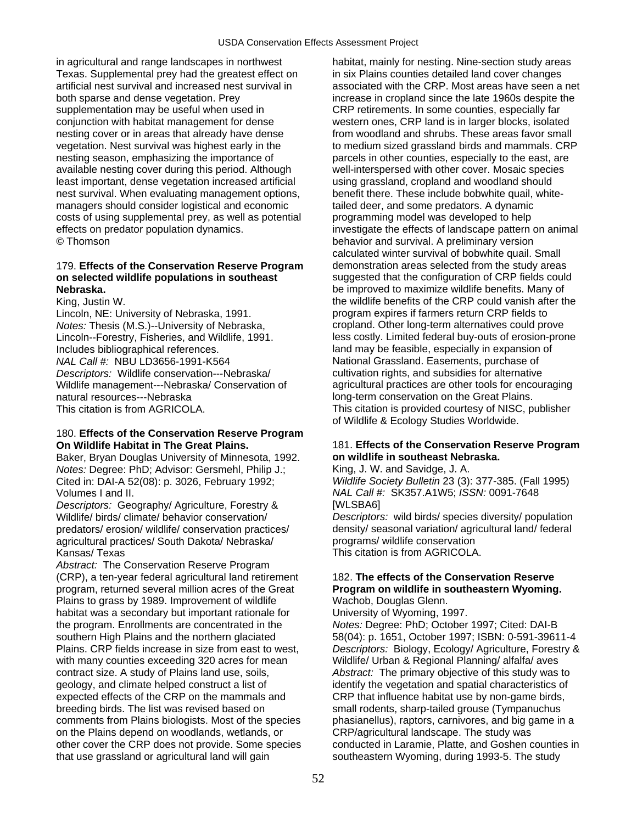in agricultural and range landscapes in northwest habitat, mainly for nesting. Nine-section study areas Texas. Supplemental prey had the greatest effect on in six Plains counties detailed land cover changes both sparse and dense vegetation. Prey increase in cropland since the late 1960s despite the supplementation may be useful when used in CRP retirements. In some counties, especially far conjunction with habitat management for dense western ones, CRP land is in larger blocks, isolated nesting cover or in areas that already have dense from woodland and shrubs. These areas favor small vegetation. Nest survival was highest early in the to medium sized grassland birds and mammals. CRP nesting season, emphasizing the importance of parcels in other counties, especially to the east, are available nesting cover during this period. Although well-interspersed with other cover. Mosaic species least important, dense vegetation increased artificial using grassland, cropland and woodland should nest survival. When evaluating management options, benefit there. These include bobwhite quail, whitemanagers should consider logistical and economic tailed deer, and some predators. A dynamic costs of using supplemental prey, as well as potential programming model was developed to help © Thomson behavior and survival. A preliminary version

### 179. **Effects of the Conservation Reserve Program** demonstration areas selected from the study areas **on selected wildlife populations in southeast** suggested that the configuration of CRP fields could **Nebraska.** be improved to maximize wildlife benefits. Many of

Lincoln, NE: University of Nebraska, 1991. **program expires if farmers return CRP fields to** Includes bibliographical references. land may be feasible, especially in expansion of *NAL Call #:* NBU LD3656-1991-K564 National Grassland. Easements, purchase of Wildlife management---Nebraska/ Conservation of natural resources---Nebraska and in the Great Plains.

## 180. **Effects of the Conservation Reserve Program**

Baker, Bryan Douglas University of Minnesota, 1992. **on wildlife in southeast Neb**ration Nebrashing Metal A.<br>*Notes:* Degree: PhD: Advisor: Gersmehl. Philip J.: King, J. W. and Savidge, J. A. *Notes: Degree: PhD; Advisor: Gersmehl, Philip J.;* Cited in: DAI-A 52(08): p. 3026, February 1992; *Wildlife Society Bulletin* 23 (3): 377-385. (Fall 1995) Volumes I and II. *NAL Call #:* SK357.A1W5; *ISSN:* 0091-7648

*Descriptors:* Geography/ Agriculture, Forestry & [WLSBA6] agricultural practices/ South Dakota/ Nebraska/ programs/ wildlife conservation Kansas/ Texas This citation is from AGRICOLA.

*Abstract:* The Conservation Reserve Program (CRP), a ten-year federal agricultural land retirement 182. **The effects of the Conservation Reserve**  program, returned several million acres of the Great **Program on wildlife in southeastern Wyoming.**  Plains to grass by 1989. Improvement of wildlife Wachob, Douglas Glenn. habitat was a secondary but important rationale for **University of Wyoming, 1997.** the program. Enrollments are concentrated in the *Notes:* Degree: PhD; October 1997; Cited: DAI-B southern High Plains and the northern glaciated 58(04): p. 1651, October 1997; ISBN: 0-591-39611-4 with many counties exceeding 320 acres for mean Wildlife/ Urban & Regional Planning/ alfalfa/ aves contract size. A study of Plains land use, soils, *Abstract:* The primary objective of this study was to geology, and climate helped construct a list of identify the vegetation and spatial characteristics of expected effects of the CRP on the mammals and CRP that influence habitat use by non-game birds, breeding birds. The list was revised based on small rodents, sharp-tailed grouse (Tympanuchus comments from Plains biologists. Most of the species phasianellus), raptors, carnivores, and big game in a on the Plains depend on woodlands, wetlands, or CRP/agricultural landscape. The study was that use grassland or agricultural land will gain southeastern Wyoming, during 1993-5. The study

artificial nest survival and increased nest survival in associated with the CRP. Most areas have seen a net effects on predator population dynamics. investigate the effects of landscape pattern on animal calculated winter survival of bobwhite quail. Small King, Justin W. the wildlife benefits of the CRP could vanish after the *Notes:* Thesis (M.S.)--University of Nebraska, cropland. Other long-term alternatives could prove Lincoln--Forestry, Fisheries, and Wildlife, 1991. less costly. Limited federal buy-outs of erosion-prone *Descriptors:* Wildlife conservation---Nebraska/ cultivation rights, and subsidies for alternative<br>
Wildlife management---Nebraska/ Conservation of agricultural practices are other tools for encouraging This citation is from AGRICOLA. This citation is provided courtesy of NISC, publisher of Wildlife & Ecology Studies Worldwide.

## **On Wildlife Habitat in The Great Plains.** 181. **Effects of the Conservation Reserve Program**

Wildlife/ birds/ climate/ behavior conservation/ *Descriptors:* wild birds/ species diversity/ population predators/ erosion/ wildlife/ conservation practices/ density/ seasonal variation/ agricultural land/ federal

Plains. CRP fields increase in size from east to west, *Descriptors:* Biology, Ecology/ Agriculture, Forestry & other cover the CRP does not provide. Some species conducted in Laramie, Platte, and Goshen counties in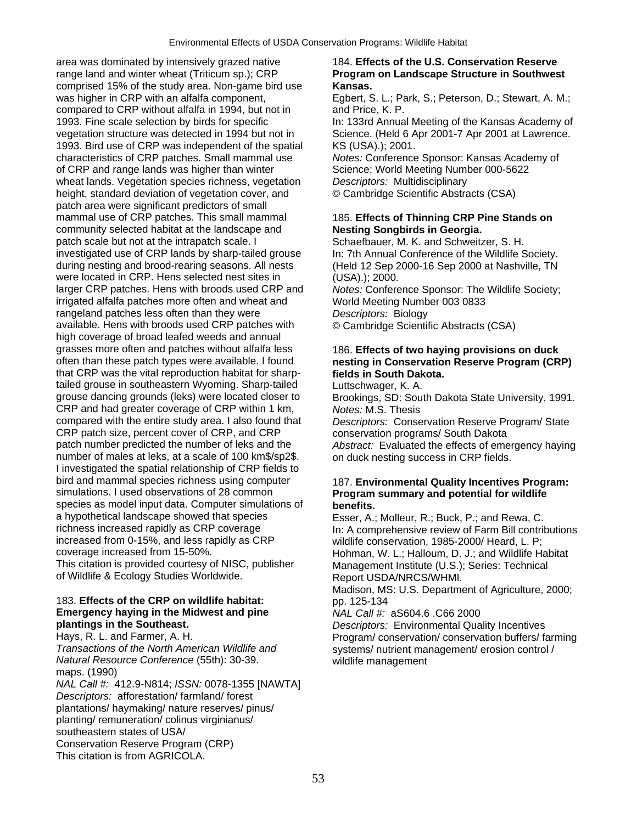area was dominated by intensively grazed native 184. **Effects of the U.S. Conservation Reserve**  range land and winter wheat (Triticum sp.); CRP **Program on Landscape Structure in Southwest**  comprised 15% of the study area. Non-game bird use **Kansas.** was higher in CRP with an alfalfa component, Egbert, S. L.; Park, S.; Peterson, D.; Stewart, A. M.; compared to CRP without alfalfa in 1994, but not in and Price, K. P. 1993. Fine scale selection by birds for specific In: 133rd Annual Meeting of the Kansas Academy of vegetation structure was detected in 1994 but not in Science. (Held 6 Apr 2001-7 Apr 2001 at Lawrence. 1993. Bird use of CRP was independent of the spatial KS (USA).); 2001. characteristics of CRP patches. Small mammal use *Notes:* Conference Sponsor: Kansas Academy of of CRP and range lands was higher than winter Science; World Meeting Number 000-5622 wheat lands. Vegetation species richness, vegetation *Descriptors:* Multidisciplinary height, standard deviation of vegetation cover, and  $\qquad \qquad \odot$  Cambridge Scientific Abstracts (CSA) patch area were significant predictors of small mammal use of CRP patches. This small mammal 185. **Effects of Thinning CRP Pine Stands on** community selected habitat at the landscape and **Nesting Songbirds in Georgia.** patch scale but not at the intrapatch scale. I Schaefbauer, M. K. and Schweitzer, S. H. investigated use of CRP lands by sharp-tailed grouse In: 7th Annual Conference of the Wildlife Society. during nesting and brood-rearing seasons. All nests (Held 12 Sep 2000-16 Sep 2000 at Nashville, TN were located in CRP. Hens selected nest sites in (USA).); 2000. larger CRP patches. Hens with broods used CRP and *Notes:* Conference Sponsor: The Wildlife Society; irrigated alfalfa patches more often and wheat and World Meeting Number 003 0833<br>
rangeland patches less often than they were Descriptors: Biology rangeland patches less often than they were *Descriptors:* Biology available. Hens with broods used CRP patches with high coverage of broad leafed weeds and annual grasses more often and patches without alfalfa less 186. Effects of two haying provisions on duck<br>
often than these patch types were available. I found<br> **nesting in Conservation Reserve Program (CR** that CRP was the vital reproduction habitat for sharp- **fields in South Dakota.**  tailed grouse in southeastern Wyoming. Sharp-tailed<br>grouse dancing grounds (leks) were located closer to CRP and had greater coverage of CRP within 1 km, *Notes:* M.S. Thesis compared with the entire study area. I also found that *Descriptors:* Conservation Reserve Program/ State CRP patch size, percent cover of CRP, and CRP conservation programs/ South Dakota<br>
patch number predicted the number of leks and the *Abstract:* Evaluated the effects of eme number of males at leks, at a scale of 100 km\$/sp2\$. on duck nesting success in CRP fields. I investigated the spatial relationship of CRP fields to bird and mammal species richness using computer 187. **Environmental Quality Incentives Program:**<br>
simulations. I used observations of 28 common<br> **Program summary and potential for wildlife** species as model input data. Computer simulations of **benefits.**<br>a hypothetical landscape showed that species **F** F SSer A a hypothetical landscape showed that species Esser, A.; Molleur, R.; Buck, P.; and Rewa, C.<br>Fichness increased rapidly as CRP coverage The A comprehensive review of Farm Bill contril richness increased rapidly as CRP coverage In: A comprehensive review of Farm Bill contributions<br>
increased from 0-15%, and less rapidly as CRP wildlife conservation, 1985-2000/Heard T. P: increased from 0-15%, and less rapidly as CRP wildlife conservation, 1985-2000/ Heard, L. P;<br>Coverage increased from 15-50%. Whohman W. L.: Halloum D. L.: and Wildlife Ha coverage increased from 15-50%.<br>This citation is provided courtesy of NISC, publisher Management Institute (U.S.): Series: Technical of Wildlife & Ecology Studies Worldwide. Report USDA/NRCS/WHMI.

## 183. **Effects of the CRP on wildlife habitat:** pp. 125-134 **Emergency haying in the Midwest and pine** *NAL Call #:* aS604.6 .C66 2000<br>**plantings in the Southeast.** *Descriptors:* Environmental Qua

*Transactions of the North American Wildlife and* systems/ nutrient management/ erosion control / *Natural Resource Conference* (55th): 30-39. wildlife management maps. (1990)

*NAL Call #:* 412.9-N814; *ISSN:* 0078-1355 [NAWTA] *Descriptors:* afforestation/ farmland/ forest plantations/ haymaking/ nature reserves/ pinus/ planting/ remuneration/ colinus virginianus/ southeastern states of USA/ Conservation Reserve Program (CRP) This citation is from AGRICOLA.

# nesting in Conservation Reserve Program (CRP)

Brookings, SD: South Dakota State University, 1991.

Abstract: Evaluated the effects of emergency haying

# **Program summary and potential for wildlife**

Management Institute (U.S.); Series: Technical

Madison, MS: U.S. Department of Agriculture, 2000;

*Descriptors: Environmental Quality Incentives* Hays, R. L. and Farmer, A. H. Program/ conservation/ conservation buffers/ farming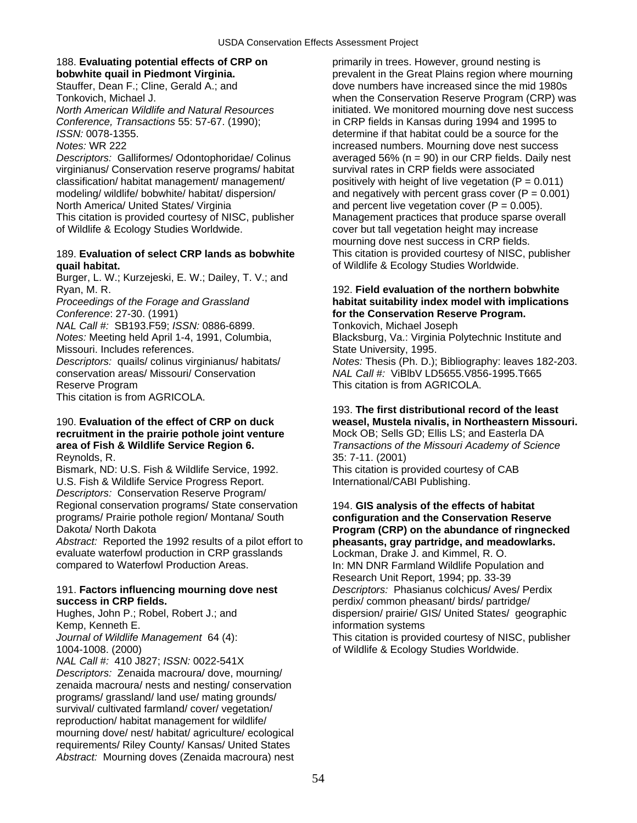## 188. **Evaluating potential effects of CRP on** primarily in trees. However, ground nesting is

virginianus/ Conservation reserve programs/ habitat survival rates in CRP fields were associated classification/ habitat management/ management/  $\qquad \qquad$  positively with height of live vegetation (P = 0.011) modeling/ wildlife/ bobwhite/ habitat/ dispersion/ and negatively with percent grass cover ( $P = 0.001$ ) North America/ United States/ Virginia  $\qquad \qquad \qquad$  and percent live vegetation cover (P = 0.005).

## **quail habitat.** of Wildlife & Ecology Studies Worldwide.

Burger, L. W.; Kurzejeski, E. W.; Dailey, T. V.; and Ryan, M. R. 192. **Field evaluation of the northern bobwhite** 

*Conference*: 27-30. (1991) **for the Conservation Reserve Program.** 

*NAL Call #:* SB193.F59; *ISSN:* 0886-6899. Tonkovich, Michael Joseph Missouri. Includes references. The State University, 1995. conservation areas/ Missouri/ Conservation *NAL Call #:* ViBlbV LD5655.V856-1995.T665 Reserve Program This citation is from AGRICOLA.

This citation is from AGRICOLA.

### **recruitment in the prairie pothole joint venture** Mock OB; Sells GD; Ellis LS; and Easterla DA **area of Fish & Wildlife Service Region 6.** *Transactions of the Missouri Academy of Science*  Reynolds, R. 35: 7-11. (2001)

Bismark, ND: U.S. Fish & Wildlife Service, 1992. This citation is provided courtesy of CAB U.S. Fish & Wildlife Service Progress Report. International/CABI Publishing. *Descriptors:* Conservation Reserve Program/ Regional conservation programs/ State conservation 194. **GIS analysis of the effects of habitat**  Dakota/ North Dakota **Program (CRP) on the abundance of ringnecked** 

*Abstract:* Reported the 1992 results of a pilot effort to **pheasants, gray partridge, and meadowlarks.**  evaluate waterfowl production in CRP grasslands Lockman, Drake J. and Kimmel, R. O.<br>
compared to Waterfowl Production Areas. 
Lockman, Drake J. and Kimmel, R. O.

## 191. **Factors influencing mourning dove nest** *Descriptors:* Phasianus colchicus/ Aves/ Perdix

Kemp, Kenneth E. information systems 1004-1008. (2000) of Wildlife & Ecology Studies Worldwide.

*NAL Call #:* 410 J827; *ISSN:* 0022-541X *Descriptors:* Zenaida macroura/ dove, mourning/ zenaida macroura/ nests and nesting/ conservation programs/ grassland/ land use/ mating grounds/ survival/ cultivated farmland/ cover/ vegetation/ reproduction/ habitat management for wildlife/ mourning dove/ nest/ habitat/ agriculture/ ecological requirements/ Riley County/ Kansas/ United States *Abstract:* Mourning doves (Zenaida macroura) nest

**bobwhite quail in Piedmont Virginia. bobwhite quail in Piedmont Virginia. prevalent in the Great Plains region where mourning Stauffer, Dean F.; Cline, Gerald A.; and development of dove numbers have increased since t** Stauffer, Dean F.; Cline, Gerald A.; and dove numbers have increased since the mid 1980s<br>Tonkovich, Michael J. dove numbers have increased since the mid 1980s when the Conservation Reserve Program (CRP) was *North American Wildlife and Natural Resources* initiated. We monitored mourning dove nest success *Conference, Transactions* 55: 57-67. (1990); in CRP fields in Kansas during 1994 and 1995 to *ISSN:* 0078-1355. *Notes:* WR 222 increased numbers. Mourning dove nest success *Descriptors:* Galliformes/ Odontophoridae/ Colinus averaged 56% (n = 90) in our CRP fields. Daily nest This citation is provided courtesy of NISC, publisher Management practices that produce sparse overall<br>of Wildlife & Ecology Studies Worldwide.<br>cover but tall vegetation height may increase cover but tall vegetation height may increase mourning dove nest success in CRP fields. 189. **Evaluation of select CRP lands as bobwhite** This citation is provided courtesy of NISC, publisher

# *Proceedings of the Forage and Grassland* **habitat suitability index model with implications**

*Notes:* Meeting held April 1-4, 1991, Columbia, Blacksburg, Va.: Virginia Polytechnic Institute and *Descriptors:* quails/ colinus virginianus/ habitats/ *Notes:* Thesis (Ph. D.); Bibliography: leaves 182-203.

## 193. **The first distributional record of the least**  190. **Evaluation of the effect of CRP on duck weasel, Mustela nivalis, in Northeastern Missouri.**

configuration and the Conservation Reserve In: MN DNR Farmland Wildlife Population and Research Unit Report, 1994; pp. 33-39 **success in CRP fields.**<br> **perdix/ common pheasant/ birds/ partridge/**<br> **perdix/ common pheasant/ birds/ partridge/**<br> **dispersion/ prairie/ GIS/ United States/ geo** dispersion/ prairie/ GIS/ United States/ geographic

*Journal of Wildlife Management* 64 (4): This citation is provided courtesy of NISC, publisher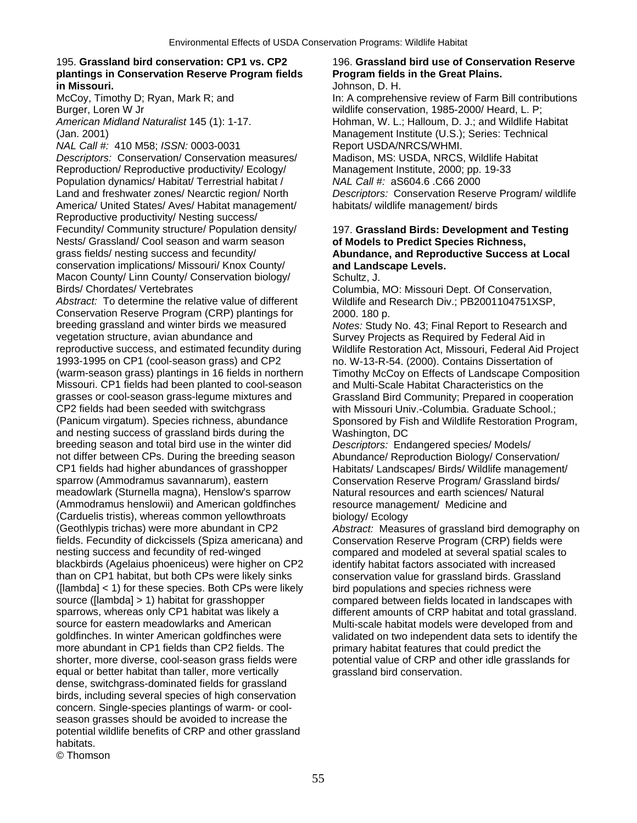### 195. **Grassland bird conservation: CP1 vs. CP2** 196. **Grassland bird use of Conservation Reserve plantings in Conservation Reserve Program fields Program fields in the Great Plains. in Missouri.** Johnson, D. H.

*NAL Call #:* 410 M58; *ISSN:* 0003-0031 Report USDA/NRCS/WHMI. *Descriptors:* Conservation/ Conservation measures/ Madison, MS: USDA, NRCS, Wildlife Habitat Reproduction/ Reproductive productivity/ Ecology/ Management Institute, 2000; pp. 19-33 Population dynamics/ Habitat/ Terrestrial habitat / *NAL Call #:* aS604.6 .C66 2000 America/ United States/ Aves/ Habitat management/ habitats/ wildlife management/ birds Reproductive productivity/ Nesting success/ Fecundity/ Community structure/ Population density/ 197. **Grassland Birds: Development and Testing**  Nests/ Grassland/ Cool season and warm season **of Models to Predict Species Richness,**  grass fields/ nesting success and fecundity/ **Abundance, and Reproductive Success at Local**  conservation implications/ Missouri/ Knox County/ **and Landscape Levels.**  Macon County/ Linn County/ Conservation biology/ Schultz, J. Birds/ Chordates/ Vertebrates Columbia, MO: Missouri Dept. Of Conservation,

*Abstract:* To determine the relative value of different Wildlife and Research Div.; PB2001104751XSP, Conservation Reserve Program (CRP) plantings for 2000. 180 p.<br>breeding grassland and winter birds we measured Notes: Study vegetation structure, avian abundance and Survey Projects as Required by Federal Aid in<br>
reproductive success, and estimated fecundity during Wildlife Restoration Act, Missouri, Federal Aid I 1993-1995 on CP1 (cool-season grass) and CP2 no. W-13-R-54. (2000). Contains Dissertation of Missouri. CP1 fields had been planted to cool-season and Multi-Scale Habitat Characteristics on the grasses or cool-season grass-legume mixtures and Grassland Bird Community; Prepared in cooperation CP2 fields had been seeded with switchgrass with Missouri Univ.-Columbia. Graduate School.;<br>(Panicum virgatum). Species richness, abundance Sponsored by Fish and Wildlife Restoration Progress and nesting success of grassland birds during the Washington, DC breeding season and total bird use in the winter did *Descriptors:* Endangered species/ Models/ CP1 fields had higher abundances of grasshopper Habitats/ Landscapes/ Birds/ Wildlife management/ sparrow (Ammodramus savannarum), eastern Conservation Reserve Program/ Grassland birds/<br>meadowlark (Sturnella magna), Henslow's sparrow Natural resources and earth sciences/ Natural meadowlark (Sturnella magna), Henslow's sparrow (Ammodramus henslowii) and American goldfinches resource management/ Medicine and (Carduelis tristis), whereas common yellowthroats biology/ Ecology<br>(Geothlypis trichas) were more abundant in CP2 Abstract: Measu fields. Fecundity of dickcissels (Spiza americana) and Conservation Reserve Program (CRP) fields were nesting success and fecundity of red-winged compared and modeled at several spatial scales to blackbirds (Agelaius phoeniceus) were higher on CP2 identify habitat factors associated with increased than on CP1 habitat, but both CPs were likely sinks conservation value for grassland birds. Grassland ([lambda] < 1) for these species. Both CPs were likely bird populations and species richness were sparrows, whereas only CP1 habitat was likely a different amounts of CRP habitat and total grassland. source for eastern meadowlarks and American Multi-scale habitat models were developed from and<br>soldfinches. In winter American goldfinches were validated on two independent data sets to identify the more abundant in CP1 fields than CP2 fields. The primary habitat features that could predict the shorter, more diverse, cool-season grass fields were potential value of CRP and other idle grasslands for equal or better habitat than taller, more vertically grassland bird conservation. dense, switchgrass-dominated fields for grassland birds, including several species of high conservation concern. Single-species plantings of warm- or coolseason grasses should be avoided to increase the potential wildlife benefits of CRP and other grassland habitats.

McCoy, Timothy D; Ryan, Mark R; and In: A comprehensive review of Farm Bill contributions Burger, Loren W Jr **Burger, Loren W Jr** wildlife conservation, 1985-2000/ Heard, L. P; *American Midland Naturalist* 145 (1): 1-17. Hohman, W. L.; Halloum, D. J.; and Wildlife Habitat (Jan. 2001) Management Institute (U.S.); Series: Technical Land and freshwater zones/ Nearctic region/ North *Descriptors:* Conservation Reserve Program/ wildlife

**Notes: Study No. 43; Final Report to Research and** Wildlife Restoration Act, Missouri, Federal Aid Project (warm-season grass) plantings in 16 fields in northern Timothy McCoy on Effects of Landscape Composition Sponsored by Fish and Wildlife Restoration Program,

Abundance/ Reproduction Biology/ Conservation/

Abstract: Measures of grassland bird demography on compared between fields located in landscapes with validated on two independent data sets to identify the

© Thomson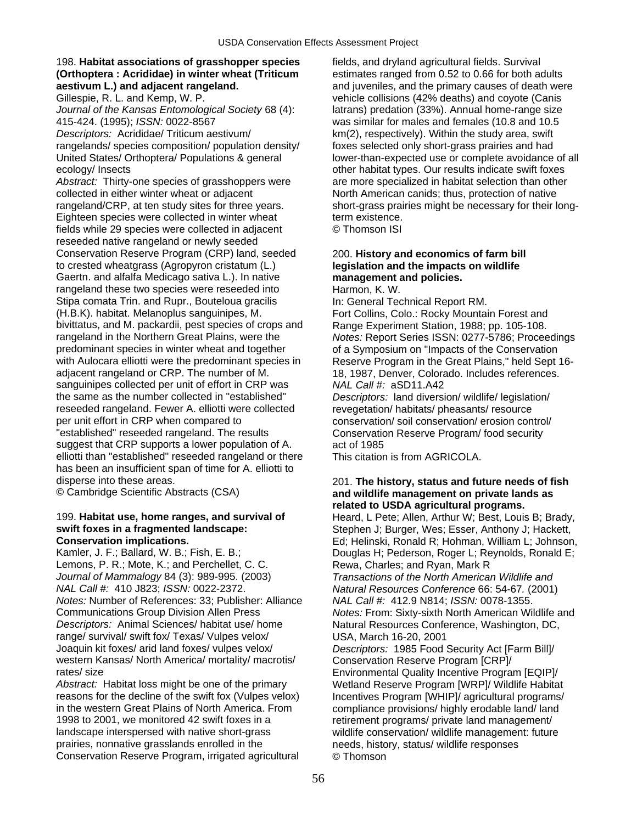### 198. **Habitat associations of grasshopper species** fields, and dryland agricultural fields. Survival **(Orthoptera : Acrididae) in winter wheat (Triticum** estimates ranged from 0.52 to 0.66 for both adults **aestivum L.) and adjacent rangeland. and interest and juveniles, and the primary causes of death were**

*Descriptors:* Acrididae/ Triticum aestivum/ km(2), respectively). Within the study area, swift rangelands/ species composition/ population density/ foxes selected only short-grass prairies and had ecology/ Insects other habitat types. Our results indicate swift foxes

Abstract: Thirty-one species of grasshoppers were are more specialized in habitat selection than other collected in either winter wheat or adjacent North American canids; thus, protection of native rangeland/CRP, at ten study sites for three years. short-grass prairies might be necessary for their long-Eighteen species were collected in winter wheat term existence. fields while 29 species were collected in adjacent © Thomson ISI reseeded native rangeland or newly seeded Conservation Reserve Program (CRP) land, seeded 200. **History and economics of farm bill**  to crested wheatgrass (Agropyron cristatum (L.) **legislation and the impacts on wildlife**  Gaertn. and alfalfa Medicago sativa L.). In native **management and policies.**  rangeland these two species were reseeded into Harmon, K. W. Stipa comata Trin. and Rupr., Bouteloua gracilis In: General Technical Report RM. (H.B.K). habitat. Melanoplus sanguinipes, M. Fort Collins, Colo.: Rocky Mountain Forest and bivittatus, and M. packardii, pest species of crops and Range Experiment Station, 1988; pp. 105-108. rangeland in the Northern Great Plains, were the *Notes:* Report Series ISSN: 0277-5786; Proceedings with Aulocara elliotti were the predominant species in Reserve Program in the Great Plains," held Sept 16adjacent rangeland or CRP. The number of M. 18, 1987, Denver, Colorado. Includes references. sanguinipes collected per unit of effort in CRP was *NAL Call #:* aSD11.A42 the same as the number collected in "established" *Descriptors:* land diversion/ wildlife/ legislation/ reseeded rangeland. Fewer A. elliotti were collected revegetation/ habitats/ pheasants/ resource<br>per unit effort in CRP when compared to conservation/ soil conservation/ erosion con "established" reseeded rangeland. The results Conservation Reserve Program/ food security suggest that CRP supports a lower population of A. act of 1985<br>
elliotti than "established" reseeded rangeland or there This citation is from AGRICOLA. elliotti than "established" reseeded rangeland or there has been an insufficient span of time for A. elliotti to

Kamler, J. F.; Ballard, W. B.; Fish, E. B.; Due Douglas H; Pederson, Roger L; Reynolds, Ronald E; Lemons, P. R.; Mote, K.; and Perchellet, C. C.<br>
Journal of Mammalogy 84 (3): 989-995. (2003) Transactions of the North Americal *Journal of Mammalogy* 84 (3): 989-995. (2003) *Transactions of the North American Wildlife and Notes:* Number of References: 33; Publisher: Alliance *NAL Call #:* 412.9 N814; *ISSN:* 0078-1355. Communications Group Division Allen Press *Notes:* From: Sixty-sixth North American Wildlife and range/ survival/ swift fox/ Texas/ Vulpes velox/ [ISA, March 16-20, 2001]<br>Joaquin kit foxes/ arid land foxes/ vulpes velox/ [ISB Descriptors: 1985 Food \] western Kansas/ North America/ mortality/ macrotis/ Conservation Reserve Program [CRP]/ rates/ size Environmental Quality Incentive Program [EQIP]/

Abstract: Habitat loss might be one of the primary Wetland Reserve Program [WRP]/ Wildlife Habitat reasons for the decline of the swift fox (Vulpes velox) lncentives Program [WHIP]/ agricultural programs/ in the western Great Plains of North America. From compliance provisions/ highly erodable land/ land<br>1998 to 2001, we monitored 42 swift foxes in a retirement programs/ private land management/ landscape interspersed with native short-grass wildlife conservation/ wildlife management: future prairies, nonnative grasslands enrolled in the needs, history, status/ wildlife responses<br>Conservation Reserve Program, irrigated agricultural © Thomson Conservation Reserve Program, irrigated agricultural

Gillespie, R. L. and Kemp, W. P. vehicle collisions (42% deaths) and coyote (Canis *Journal of the Kansas Entomological Society* 68 (4): latrans) predation (33%). Annual home-range size 415-424. (1995); *ISSN:* 0022-8567 was similar for males and females (10.8 and 10.5 United States/ Orthoptera/ Populations & general lower-than-expected use or complete avoidance of all

of a Symposium on "Impacts of the Conservation

conservation/ soil conservation/ erosion control/

### disperse into these areas. 201. **The history, status and future needs of fish**  © Cambridge Scientific Abstracts (CSA) **and wildlife management on private lands as related to USDA agricultural programs.**

199. **Habitat use, home ranges, and survival of** Heard, L Pete; Allen, Arthur W; Best, Louis B; Brady, **swift foxes in a fragmented landscape:** Stephen J; Burger, Wes: Esser, Anthony J; Hackett, **Conservation implications.** Ed; Helinski, Ronald R; Hohman, William L; Johnson,

*Natural Resources Conference* 66: 54-67. (2001) **Natural Resources Conference, Washington, DC,** 

Descriptors: 1985 Food Security Act [Farm Bill]/ retirement programs/ private land management/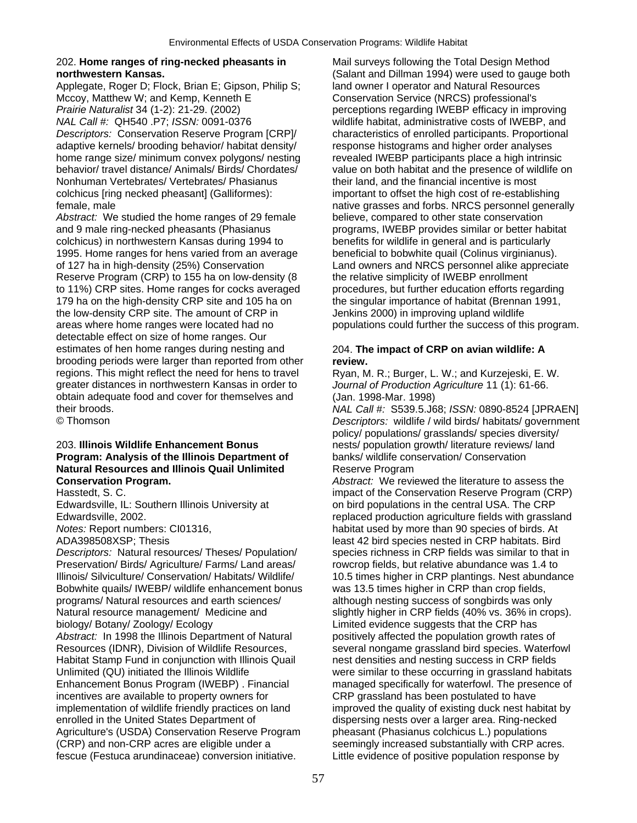## 202. **Home ranges of ring-necked pheasants in** Mail surveys following the Total Design Method

Applegate, Roger D; Flock, Brian E; Gipson, Philip S; Mccoy, Matthew W; and Kemp, Kenneth E Conservation Service (NRCS) professional's *Prairie Naturalist* 34 (1-2): 21-29. (2002) perceptions regarding IWEBP efficacy in improving *NAL Call #:* QH540 .P7; *ISSN:* 0091-0376 wildlife habitat, administrative costs of IWEBP, and *Descriptors:* Conservation Reserve Program [CRP]/ characteristics of enrolled participants. Proportional adaptive kernels/ brooding behavior/ habitat density/ response histograms and higher order analyses home range size/ minimum convex polygons/ nesting revealed IWEBP participants place a high intrinsic behavior/ travel distance/ Animals/ Birds/ Chordates/ value on both habitat and the presence of wildlife on Nonhuman Vertebrates/ Vertebrates/ Phasianus their land, and the financial incentive is most colchicus [ring necked pheasant] (Galliformes): important to offset the high cost of re-establishing female, male native grasses and forbs. NRCS personnel generally

*Abstract:* We studied the home ranges of 29 female believe, compared to other state conservation and 9 male ring-necked pheasants (Phasianus programs, IWEBP provides similar or better habitat colchicus) in northwestern Kansas during 1994 to benefits for wildlife in general and is particularly 1995. Home ranges for hens varied from an average beneficial to bobwhite quail (Colinus virginianus). of 127 ha in high-density (25%) Conservation Land owners and NRCS personnel alike appreciate Reserve Program (CRP) to 155 ha on low-density (8 the relative simplicity of IWEBP enrollment to 11%) CRP sites. Home ranges for cocks averaged procedures, but further education efforts regarding 179 ha on the high-density CRP site and 105 ha on the singular importance of habitat (Brennan 1991, the low-density CRP site. The amount of CRP in Jenkins 2000) in improving upland wildlife areas where home ranges were located had no populations could further the success of this program. detectable effect on size of home ranges. Our estimates of hen home ranges during nesting and 204. **The impact of CRP on avian wildlife: A**  brooding periods were larger than reported from other **review.**  greater distances in northwestern Kansas in order to *Journal of Production Agriculture* 11 (1): 61-66. obtain adequate food and cover for themselves and (Jan. 1998-Mar. 1998)

### 203. **Illinois Wildlife Enhancement Bonus** nests/ population growth/ literature reviews/ land **Program: Analysis of the Illinois Department of Natural Resources and Illinois Quail Unlimited Reserve Program Conservation Program.** *Abstract:* We reviewed the literature to assess the

*Descriptors:* Natural resources/ Theses/ Population/ species richness in CRP fields was similar to that in Preservation/ Birds/ Agriculture/ Farms/ Land areas/ rowcrop fields, but relative abundance was 1.4 to Illinois/ Silviculture/ Conservation/ Habitats/ Wildlife/ 10.5 times higher in CRP plantings. Nest abundance Bobwhite quails/ IWEBP/ wildlife enhancement bonus was 13.5 times higher in CRP than crop fields, programs/ Natural resources and earth sciences/ although nesting success of songbirds was only Natural resource management/ Medicine and slightly higher in CRP fields (40% vs. 36% in crops). biology/ Botany/ Zoology/ Ecology Limited evidence suggests that the CRP has Abstract: In 1998 the Illinois Department of Natural positively affected the population growth rates of Resources (IDNR), Division of Wildlife Resources, several nongame grassland bird species. Waterfowl Habitat Stamp Fund in conjunction with Illinois Quail enest densities and nesting success in CRP fields Unlimited (QU) initiated the Illinois Wildlife were similar to these occurring in grassland habitats Enhancement Bonus Program (IWEBP) . Financial managed specifically for waterfowl. The presence of incentives are available to property owners for CRP grassland has been postulated to have implementation of wildlife friendly practices on land improved the quality of existing duck nest habitat by enrolled in the United States Department of dispersing nests over a larger area. Ring-necked Agriculture's (USDA) Conservation Reserve Program pheasant (Phasianus colchicus L.) populations (CRP) and non-CRP acres are eligible under a seemingly increased substantially with CRP acres. fescue (Festuca arundinaceae) conversion initiative. Little evidence of positive population response by

**northwestern Kansas. northwestern Kansas.** (Salant and Dillman 1994) were used to gauge both Applegate, Roger D; Flock, Brian E; Gipson, Philip S; land owner I operator and Natural Resources

Ryan, M. R.; Burger, L. W.; and Kurzejeski, E. W.

their broods. *NAL Call #:* S539.5.J68; *ISSN:* 0890-8524 [JPRAEN] Descriptors: wildlife / wild birds/ habitats/ government policy/ populations/ grasslands/ species diversity/

Hasstedt, S. C. impact of the Conservation Reserve Program (CRP)<br>Edwardsville. IL: Southern Illinois University at for the conservations in the central USA. The CRP on bird populations in the central USA. The CRP Edwardsville, 2002. **Replaced production agriculture fields with grassland** replaced production agriculture fields with grassland *Notes:* Report numbers: CI01316, habitat used by more than 90 species of birds. At ADA398508XSP; Thesis least 42 bird species nested in CRP habitats. Bird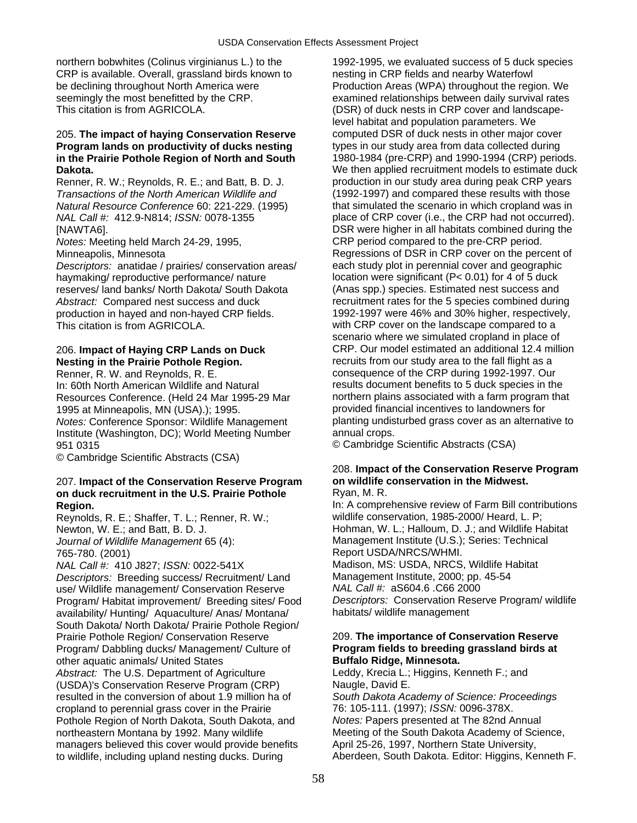northern bobwhites (Colinus virginianus L.) to the 1992-1995, we evaluated success of 5 duck species CRP is available. Overall, grassland birds known to nesting in CRP fields and nearby Waterfowl<br>be declining throughout North America were Production Areas (WPA) throughout the regi This citation is from AGRICOLA. (DSR) of duck nests in CRP cover and landscape-

## 205. **The impact of haying Conservation Reserve** computed DSR of duck nests in other major cover **Program lands on productivity of ducks nesting** types in our study area from data collected during

*Descriptors:* anatidae / prairies/ conservation areas/ each study plot in perennial cover and geographic haymaking/ reproductive performance/ nature location were significant (P< 0.01) for 4 of 5 duck reserves/ land banks/ North Dakota/ South Dakota (Anas spp.) species. Estimated nest success and Abstract: Compared nest success and duck recruitment rates for the 5 species combined during production in hayed and non-hayed CRP fields. 1992-1997 were 46% and 30% higher, respectively,<br>This citation is from AGRICOLA. with CRP cover on the landscape compared to a

In: 60th North American Wildlife and Natural results document benefits to 5 duck species in the 1995 at Minneapolis, MN (USA).); 1995. provided financial incentives to landowners for Institute (Washington, DC); World Meeting Number 951 0315 © Cambridge Scientific Abstracts (CSA)

© Cambridge Scientific Abstracts (CSA)

### 207. Impact of the Conservation Reserve Program on wildlife conservation in the Midwest.<br>
on duck recruitment in the U.S. Prairie Pothole<br>
Ryan, M. R. on duck recruitment in the U.S. Prairie Pothole **Region.** In: A comprehensive review of Farm Bill contributions

765-780. (2001) Report USDA/NRCS/WHMI.

*NAL Call #:* 410 J827; *ISSN:* 0022-541X Madison, MS: USDA, NRCS, Wildlife Habitat Descriptors: Breeding success/ Recruitment/ Land Management Institute, 2000; pp. 45-54 *Descriptors:* Breeding success/ Recruitment/ Land Management Institute, 2000; pp.<br>use/ Wildlife management/ Conservation Reserve MAL Call #: aS604.6 .C66 2000 use/ Wildlife management/ Conservation Reserve *NAL Call #:* aS604.6 .C66 2000 Program/ Habitat improvement/ Breeding sites/ Food *Descriptors:* Conservation Res<br>availability/ Hunting/ Aguaculture/ Anas/ Montana/ habitats/ wildlife management availability/ Hunting/ Aquaculture/ Anas/ Montana/ South Dakota/ North Dakota/ Prairie Pothole Region/ Prairie Pothole Region/ Conservation Reserve 209. **The importance of Conservation Reserve**  Program/ Dabbling ducks/ Management/ Culture of **Program fields to breeding grassland birds at**  other aquatic animals/ United States **Buffalo Ridge, Minnesota.**  Abstract: The U.S. Department of Agriculture Leddy, Krecia L.; Higgins, Kenneth F.; and (USDA)'s Conservation Reserve Program (CRP) <br>
resulted in the conversion of about 1.9 million ha of South Dakota Academy of Science: Proceedings resulted in the conversion of about 1.9 million ha of *South Dakota Academy of Science: Pro*cropland to perennial grass cover in the Prairie 76: 105-111. (1997); *ISSN:* 0096-378X. cropland to perennial grass cover in the Prairie Pothole Region of North Dakota, South Dakota, and *Notes:* Papers presented at The 82nd Annual northeastern Montana by 1992. Many wildlife Meeting of the South Dakota Academy of Science, managers believed this cover would provide benefits April 25-26, 1997, Northern State University, to wildlife, including upland nesting ducks. During Aberdeen, South Dakota. Editor: Higgins, Kenneth F.

Production Areas (WPA) throughout the region. We seemingly the most benefitted by the CRP. examined relationships between daily survival rates level habitat and population parameters. We **in the Prairie Pothole Region of North and South** 1980-1984 (pre-CRP) and 1990-1994 (CRP) periods. **Dakota. Dakota. Dakota. We then applied recruitment models to estimate duck** Renner, R. W.; Reynolds, R. E.; and Batt, B. D. J. production in our study area during peak CRP years *Transactions of the North American Wildlife and* (1992-1997) and compared these results with those *Natural Resource Conference* 60: 221-229. (1995) that simulated the scenario in which cropland was in *NAL Call #:* 412.9-N814; *ISSN:* 0078-1355 place of CRP cover (i.e., the CRP had not occurred). [NAWTA6]. DSR were higher in all habitats combined during the *Notes:* Meeting held March 24-29, 1995, CRP period compared to the pre-CRP period. Minneapolis, Minnesota **Regressions of DSR** in CRP cover on the percent of with CRP cover on the landscape compared to a scenario where we simulated cropland in place of 206. **Impact of Haying CRP Lands on Duck** CRP. Our model estimated an additional 12.4 million **Nesting in the Prairie Pothole Region.** The recruits from our study area to the fall flight as a Renner, R. W. and Reynolds, R. E. Commence of the CRP during 1992-1997. Our Resources Conference. (Held 24 Mar 1995-29 Mar northern plains associated with a farm program that *Notes:* Conference Sponsor: Wildlife Management planting undisturbed grass cover as an alternative to Institute (Washington, DC): World Meeting Number annual crops.

## 208. **Impact of the Conservation Reserve Program**

Reynolds, R. E.; Shaffer, T. L.; Renner, R. W.; wildlife conservation, 1985-2000/ Heard, L. P; Newton, W. E.; and Batt, B. D. J. Hohman, W. L.; Halloum, D. J.; and Wildlife Habitat *Journal of Wildlife Management* 65 (4): Management Institute (U.S.); Series: Technical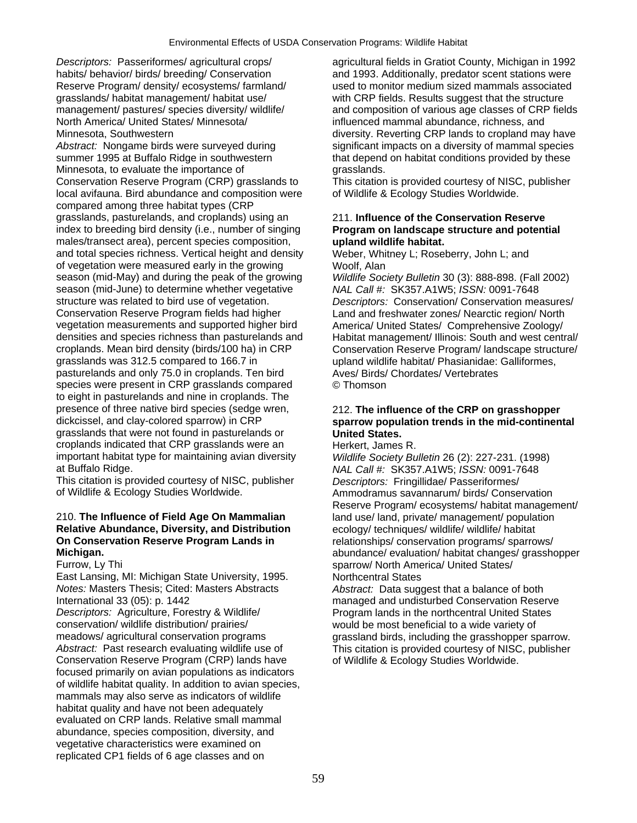*Descriptors:* Passeriformes/ agricultural crops/ agricultural fields in Gratiot County, Michigan in 1992

Abstract: Nongame birds were surveyed during significant impacts on a diversity of mammal species summer 1995 at Buffalo Ridge in southwestern that depend on habitat conditions provided by these Minnesota, to evaluate the importance of grasslands. Conservation Reserve Program (CRP) grasslands to This citation is provided courtesy of NISC, publisher local avifauna. Bird abundance and composition were of Wildlife & Ecology Studies Worldwide. compared among three habitat types (CRP grasslands, pasturelands, and croplands) using an 211. **Influence of the Conservation Reserve**  index to breeding bird density (i.e., number of singing **Program on landscape structure and potential**  males/transect area), percent species composition, **upland wildlife habitat.**  and total species richness. Vertical height and density Weber, Whitney L; Roseberry, John L; and of vegetation were measured early in the growing Woolf, Alan season (mid-May) and during the peak of the growing *Wildlife Society Bulletin* 30 (3): 888-898. (Fall 2002) season (mid-June) to determine whether vegetative *NAL Call #:* SK357.A1W5; *ISSN:* 0091-7648 structure was related to bird use of vegetation. *Descriptors:* Conservation/ Conservation measures/ Conservation Reserve Program fields had higher Land and freshwater zones/ Nearctic region/ North vegetation measurements and supported higher bird America/ United States/ Comprehensive Zoology/ densities and species richness than pasturelands and Habitat management/ Illinois: South and west central/<br>croplands. Mean bird density (birds/100 ha) in CRP Conservation Reserve Program/ landscape structure/ croplands. Mean bird density (birds/100 ha) in CRP Conservation Reserve Program/ landscape structure/<br>grasslands was 312.5 compared to 166.7 in example and wildlife habitat/ Phasianidae: Galliformes, pasturelands and only 75.0 in croplands. Ten bird Aves/ Birds/ Chordates/ Vertebrates species were present in CRP grasslands compared  $\heartsuit$  Thomson to eight in pasturelands and nine in croplands. The presence of three native bird species (sedge wren, 212. **The influence of the CRP on grasshopper**  grasslands that were not found in pasturelands or **United States.**  croplands indicated that CRP grasslands were an Herkert, James R. important habitat type for maintaining avian diversity *Wildlife Society Bulletin* 26 (2): 227-231. (1998)

This citation is provided courtesy of NISC, publisher *Descriptors:* Fringillidae/ Passeriformes/

## 210. **The Influence of Field Age On Mammalian** land use/ land, private/ management/ population **Relative Abundance, Diversity, and Distribution** ecology/ techniques/ wildlife/ wildlife/ habitat **On Conservation Reserve Program Lands in** relationships/ conservation programs/ sparrows/

East Lansing, MI: Michigan State University, 1995. *Notes:* Masters Thesis; Cited: Masters Abstracts *Abstract:* Data suggest that a balance of both International 33 (05): p. 1442<br>
Descriptors: Agriculture, Forestry & Wildlife/<br>
Program lands in the northcentral United States *Descriptors:* Agriculture, Forestry & Wildlife/ Program lands in the northcentral United States<br>
conservation/ wildlife distribution/ prairies/ would be most beneficial to a wide variety of meadows/ agricultural conservation programs grassland birds, including the grasshopper sparrow.<br>Abstract: Past research evaluating wildlife use of This citation is provided courtesy of NISC, publisher Conservation Reserve Program (CRP) lands have of Wildlife & Ecology Studies Worldwide. focused primarily on avian populations as indicators of wildlife habitat quality. In addition to avian species, mammals may also serve as indicators of wildlife habitat quality and have not been adequately evaluated on CRP lands. Relative small mammal abundance, species composition, diversity, and vegetative characteristics were examined on replicated CP1 fields of 6 age classes and on

habits/ behavior/ birds/ breeding/ Conservation and 1993. Additionally, predator scent stations were<br>Reserve Program/ density/ ecosystems/ farmland/ and sused to monitor medium sized mammals associated Reserve Program/ density/ ecosystems/ farmland/ used to monitor medium sized mammals associated<br>
grasslands/ habitat management/ habitat use/ with CRP fields. Results suggest that the structure with CRP fields. Results suggest that the structure management/ pastures/ species diversity/ wildlife/ and composition of various age classes of CRP fields<br>North America/ United States/ Minnesota/ entity of the influenced mammal abundance, richness, and influenced mammal abundance, richness, and Minnesota, Southwestern diversity. Reverting CRP lands to cropland may have

upland wildlife habitat/ Phasianidae: Galliformes,

# sparrow population trends in the mid-continental

at Buffalo Ridge. *NAL Call #:* SK357.A1W5; *ISSN:* 0091-7648 Ammodramus savannarum/ birds/ Conservation Reserve Program/ ecosystems/ habitat management/ **Michigan.** abundance/ evaluation/ habitat changes/ grasshopper Furrow, Ly Thi<br>
East Lansing, MI: Michigan State University, 1995. <br>
Northcentral States

would be most beneficial to a wide variety of This citation is provided courtesy of NISC, publisher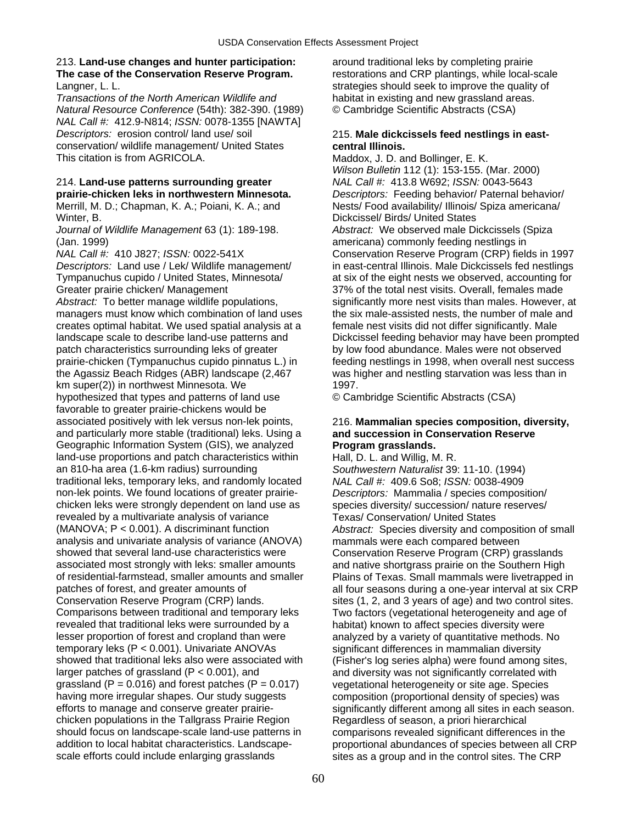### 213. **Land-use changes and hunter participation:** around traditional leks by completing prairie **The case of the Conservation Reserve Program.** restorations and CRP plantings, while local-scale Langner, L. L. Strategies should seek to improve the quality of

*Transactions of the North American Wildlife and* habitat in existing and new grassland areas. *Natural Resource Conference* (54th): 382-390. (1989) © Cambridge Scientific Abstracts (CSA) *NAL Call #:* 412.9-N814; *ISSN:* 0078-1355 [NAWTA] *Descriptors:* erosion control/ land use/ soil 215. **Male dickcissels feed nestlings in east**conservation/ wildlife management/ United States **central Illinois.**  This citation is from AGRICOLA. Maddox, J. D. and Bollinger, E. K.

## 214. **Land-use patterns surrounding greater** *NAL Call #:* 413.8 W692; *ISSN:* 0043-5643 **prairie-chicken leks in northwestern Minnesota.** *Descriptors:* Feeding behavior/ Paternal behavior/

Winter, B. Dickcissel/ Birds/ United States

(Jan. 1999) **americana**) commonly feeding nestlings in the same of the same americana) commonly feeding nestlings in

Tympanuchus cupido / United States, Minnesota/ at six of the eight nests we observed, accounting for Greater prairie chicken/ Management 37% of the total nest visits. Overall, females made Abstract: To better manage wildlife populations, significantly more nest visits than males. However, at managers must know which combination of land uses the six male-assisted nests, the number of male and creates optimal habitat. We used spatial analysis at a female nest visits did not differ significantly. Male landscape scale to describe land-use patterns and Dickcissel feeding behavior may have been prompted patch characteristics surrounding leks of greater by low food abundance. Males were not observed prairie-chicken (Tympanuchus cupido pinnatus L.) in feeding nestlings in 1998, when overall nest success the Agassiz Beach Ridges (ABR) landscape (2,467 was higher and nestling starvation was less than in km super $(2)$ ) in northwest Minnesota. We 1997. hypothesized that types and patterns of land use © Cambridge Scientific Abstracts (CSA) favorable to greater prairie-chickens would be associated positively with lek versus non-lek points, 216. **Mammalian species composition, diversity,**  and particularly more stable (traditional) leks. Using a **and succession in Conservation Reserve**  Geographic Information System (GIS), we analyzed **Program grasslands.**  land-use proportions and patch characteristics within Hall, D. L. and Willig, M. R. an 810-ha area (1.6-km radius) surrounding *Southwestern Naturalist* 39: 11-10. (1994) traditional leks, temporary leks, and randomly located *NAL Call #:* 409.6 So8; *ISSN:* 0038-4909 non-lek points. We found locations of greater prairie- *Descriptors:* Mammalia / species composition/ chicken leks were strongly dependent on land use as species diversity/ succession/ nature reserves/ revealed by a multivariate analysis of variance Texas/ Conservation/ United States (MANOVA; P < 0.001). A discriminant function *Abstract:* Species diversity and composition of small analysis and univariate analysis of variance (ANOVA) mammals were each compared between showed that several land-use characteristics were Conservation Reserve Program (CRP) grasslands associated most strongly with leks: smaller amounts and native shortgrass prairie on the Southern High<br>of residential-farmstead, smaller amounts and smaller Plains of Texas. Small mammals were livetrapped i patches of forest, and greater amounts of all four seasons during a one-year interval at six CRP Conservation Reserve Program (CRP) lands. sites (1, 2, and 3 years of age) and two control sites. Comparisons between traditional and temporary leks Two factors (vegetational heterogeneity and age of revealed that traditional leks were surrounded by a habitat) known to affect species diversity were lesser proportion of forest and cropland than were analyzed by a variety of quantitative methods. No temporary leks (P < 0.001). Univariate ANOVAs significant differences in mammalian diversity showed that traditional leks also were associated with (Fisher's log series alpha) were found among sites, larger patches of grassland  $(P < 0.001)$ , and and diversity was not significantly correlated with grassland ( $P = 0.016$ ) and forest patches ( $P = 0.017$ ) vegetational heterogeneity or site age. Species having more irregular shapes. Our study suggests composition (proportional density of species) was efforts to manage and conserve greater prairie- significantly different among all sites in each season. chicken populations in the Tallgrass Prairie Region Regardless of season, a priori hierarchical should focus on landscape-scale land-use patterns in comparisons revealed significant differences in the addition to local habitat characteristics. Landscape-<br>scale efforts could include enlarging grasslands<br>sites as a group and in the control sites. The CRP

*Wilson Bulletin* 112 (1): 153-155. (Mar. 2000) Merrill, M. D.; Chapman, K. A.; Poiani, K. A.; and Nests/ Food availability/ Illinois/ Spiza americana/ *Journal of Wildlife Management* 63 (1): 189-198. *Abstract:* We observed male Dickcissels (Spiza *NAL Call #:* 410 J827; *ISSN:* 0022-541X Conservation Reserve Program (CRP) fields in 1997 *Descriptors:* Land use / Lek/ Wildlife management/ in east-central Illinois. Male Dickcissels fed nestlings

Plains of Texas. Small mammals were livetrapped in sites as a group and in the control sites. The CRP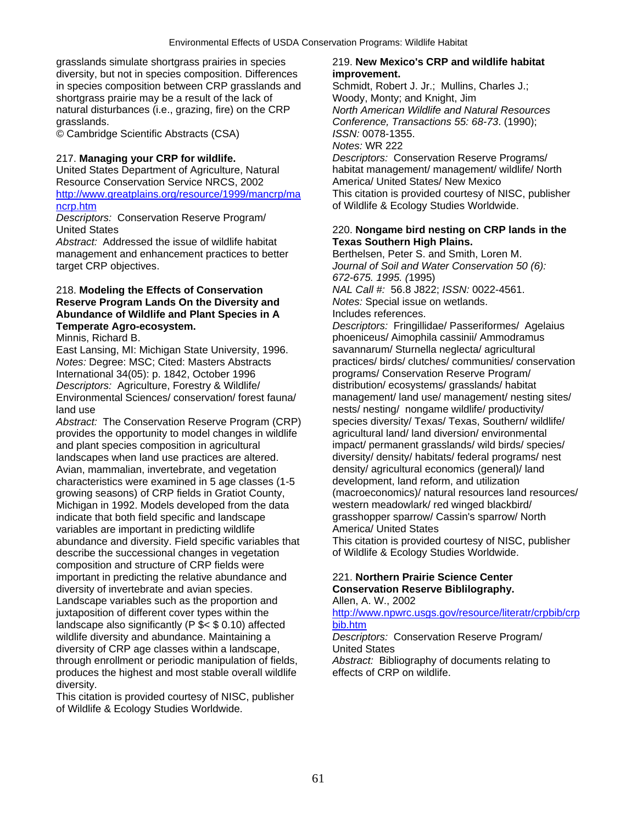grasslands simulate shortgrass prairies in species 219. **New Mexico's CRP and wildlife habitat**  diversity, but not in species composition. Differences **improvement.**<br>
in species composition between CRP grasslands and Schmidt, Robert J. Jr.; Mullins, Charles J.; in species composition between CRP grasslands and shortgrass prairie may be a result of the lack of Woody, Monty; and Knight, Jim natural disturbances (i.e., grazing, fire) on the CRP *North American Wildlife and Natural Resources*  grasslands. *Conference, Transactions 55: 68-73*. (1990);

© Cambridge Scientific Abstracts (CSA) *ISSN:* 0078-1355.

Resource Conservation Service NRCS, 2002 America/ United States/ New Mexico [http://www.greatplains.org/resource/1999/mancrp/ma](http://www.greatplains.org/resource/1999/mancrp/mancrp.htm) This citation is provided courtesy of NISC, publisher [ncrp.htm](http://www.greatplains.org/resource/1999/mancrp/mancrp.htm) of Wildlife & Ecology Studies Worldwide.

*Descriptors:* Conservation Reserve Program/

*Abstract:* Addressed the issue of wildlife habitat **Texas Southern High Plains.**  management and enhancement practices to better **Berthelsen, Peter S. and Smith, Loren M.** target CRP objectives. *Journal of Soil and Water Conservation 50 (6):* 

## 218. **Modeling the Effects of Conservation** *NAL Call #:* 56.8 J822; *ISSN:* 0022-4561. **Reserve Program Lands On the Diversity and** *Notes:* **Special issue on wetlands.<br><b>Abundance of Wildlife and Plant Species in A** *Includes references.* **Abundance of Wildlife and Plant Species in A**

East Lansing, MI: Michigan State University, 1996. savannarum/ Sturnella neglecta/ agricultural International 34(05): p. 1842, October 1996 **programs/ Conservation Reserve Program**/ *Descriptors:* Agriculture, Forestry & Wildlife/ distribution/ecosystems/grasslands/habitat<br>
Environmental Sciences/conservation/forest fauna/ management/ land use/ management/ nesting sites/ Environmental Sciences/ conservation/ forest fauna/ land use nests/ nesting/ nongame wildlife/ productivity/

*Abstract:* The Conservation Reserve Program (CRP) species diversity/ Texas/ Texas, Southern/ wildlife/<br>provides the opportunity to model changes in wildlife agricultural land/ land diversion/ environmental provides the opportunity to model changes in wildlife and plant species composition in agricultural impact/ permanent grasslands/ wild birds/ species/<br>landscapes when land use practices are altered. diversity/ density/ habitats/ federal programs/ nest landscapes when land use practices are altered. diversity/ density/ habitats/ federal programs/ networkshill b<br>Avian, mammalian, invertebrate, and vegetation density/ agricultural economics (general)/ land Avian, mammalian, invertebrate, and vegetation characteristics were examined in 5 age classes (1-5 development, land reform, and utilization growing seasons) of CRP fields in Gratiot County, (macroeconomics) natural resources land resources meatures in Michigan in 1992. Models developed from the data Michigan in 1992. Models developed from the data indicate that both field specific and landscape grasshopper sparrow/ Cassin's sparrow/ North variables are important in predicting wildlife **America** America United States abundance and diversity. Field specific variables that This citation is provided courtesy of NISC, publisher describe the successional changes in vegetation of Wildlife & Ecology Studies Worldwide. composition and structure of CRP fields were important in predicting the relative abundance and 221. **Northern Prairie Science Center**  diversity of invertebrate and avian species. **Conservation Reserve Biblilography.**  Landscape variables such as the proportion and Allen, A. W., 2002 landscape also significantly ( $P$  \$  $\lt$  \$ 0.10) affected [bib.htm](http://www.npwrc.usgs.gov/resource/literatr/crpbib/crpbib.htm) wildlife diversity and abundance. Maintaining a *Descriptors:* Conservation Reserve Program/ diversity of CRP age classes within a landscape, United States through enrollment or periodic manipulation of fields, *Abstract:* Bibliography of documents relating to produces the highest and most stable overall wildlife effects of CRP on wildlife. diversity.

This citation is provided courtesy of NISC, publisher of Wildlife & Ecology Studies Worldwide.

*Notes:* WR 222 217. **Managing your CRP for wildlife.** *Descriptors:* Conservation Reserve Programs/ United States Department of Agriculture, Natural habitat management/ management/ wildlife/ North

## United States 220. **Nongame bird nesting on CRP lands in the**

*672-675. 1995. (*1995) **Temperate Agro-ecosystem.** *Descriptors:* Fringillidae/ Passeriformes/ Agelaius Minnis, Richard B. phoeniceus/ Aimophila cassinii/ Ammodramus *Notes:* Degree: MSC; Cited: Masters Abstracts practices/ birds/ clutches/ communities/ conservation

juxtaposition of different cover types within the [http://www.npwrc.usgs.gov/resource/literatr/crpbib/crp](http://www.npwrc.usgs.gov/resource/literatr/crpbib/crpbib.htm)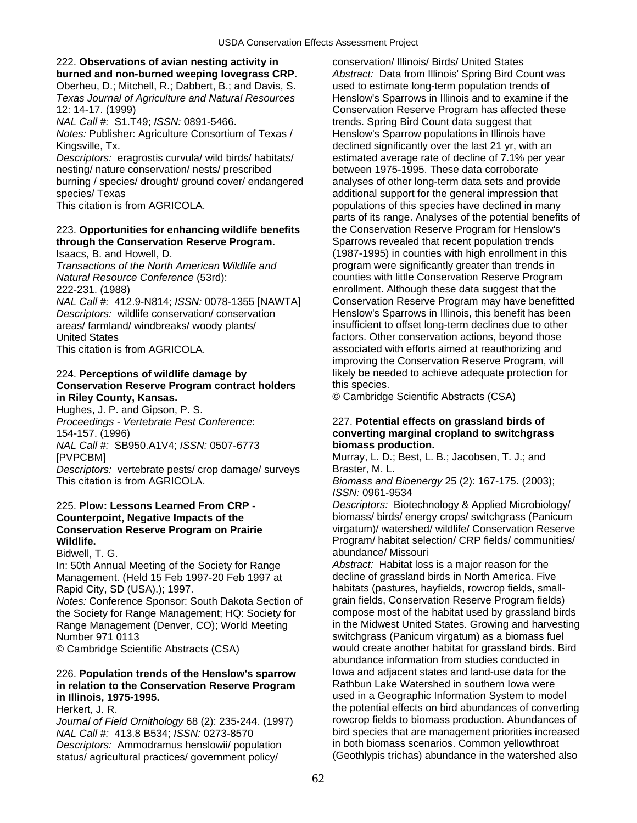### 222. **Observations of avian nesting activity in** conservation/ Illinois/ Birds/ United States **burned and non-burned weeping lovegrass CRP.** *Abstract:* Data from Illinois' Spring Bird Count was

Oberheu, D.; Mitchell, R.; Dabbert, B.; and Davis, S. used to estimate long-term population trends of Texas Journal of Agriculture and Natural Resources Henslow's Sparrows in Illinois and to examine if the **Texas Journal of Agriculture and Natural Resources** 12: 14-17. (1999) Conservation Reserve Program has affected these

*Notes:* Publisher: Agriculture Consortium of Texas / Henslow's Sparrow populations in Illinois have Kingsville, Tx. **Example 3** and the last 21 yr, with an declined significantly over the last 21 yr, with an

*Descriptors:* eragrostis curvula/ wild birds/ habitats/ estimated average rate of decline of 7.1% per year nesting/ nature conservation/ nests/ prescribed between 1975-1995. These data corroborate burning / species/ drought/ ground cover/ endangered analyses of other long-term data sets and provide species/ Texas **and the species/** Texas additional support for the general impression that

### 223. **Opportunities for enhancing wildlife benefits** the Conservation Reserve Program for Henslow's through the Conservation Reserve Program.

*NAL Call #:* 412.9-N814; *ISSN:* 0078-1355 [NAWTA] Conservation Reserve Program may have benefitted *Descriptors:* wildlife conservation/ conservation **Henslow's Sparrows in Illinois, this benefit has been**<br>areas/ farmland/ windbreaks/ woody plants/ **insufficient to offset long-term declines** due to other

## **Conservation Reserve Program contract holders** this species. **in Riley County, Kansas.** © Cambridge Scientific Abstracts (CSA)

Hughes, J. P. and Gipson, P. S. *Proceedings - Vertebrate Pest Conference*: 227. **Potential effects on grassland birds of**  154-157. (1996) **converting marginal cropland to switchgrass**  *NAL Call #:* SB950.A1V4; *ISSN:* 0507-6773 **biomass production.**  [PVPCBM] Murray, L. D.; Best, L. B.; Jacobsen, T. J.; and *Descriptors:* vertebrate pests/ crop damage/ surveys Braster, M. L.<br>This citation is from AGRICOLA. Biomass and

In: 50th Annual Meeting of the Society for Range *Abstract:* Habitat loss is a major reason for the Management. (Held 15 Feb 1997-20 Feb 1997 at

Range Management (Denver, CO); World Meeting Number 971 0113 switchgrass (Panicum virgatum) as a biomass fuel

### 226. **Population trends of the Henslow's sparrow** Iowa and adjacent states and land-use data for the in relation to the Conservation Reserve Program **in Illinois, 1975-1995.** used in a Geographic Information System to model

*Descriptors:* Ammodramus henslowii/ population in both biomass scenarios. Common yellowthroat

*NAL Call #:* S1.T49; *ISSN:* 0891-5466. trends. Spring Bird Count data suggest that This citation is from AGRICOLA. **populations of this species have declined in many** parts of its range. Analyses of the potential benefits of the Conservation Reserve Program for Henslow's Isaacs, B. and Howell, D. (1987-1995) in counties with high enrollment in this *Transactions of the North American Wildlife and* program were significantly greater than trends in *Natural Resource Conference* (53rd): counties with little Conservation Reserve Program 222-231. (1988) enrollment. Although these data suggest that the insufficient to offset long-term declines due to other United States<br>
This citation is from AGRICOLA.<br>
This citation is from AGRICOLA.<br>
This citation is from AGRICOLA. associated with efforts aimed at reauthorizing and improving the Conservation Reserve Program, will 224. **Perceptions of wildlife damage by** likely be needed to achieve adequate protection for

Biomass and Bioenergy 25 (2): 167-175. (2003); *ISSN:* 0961-9534

225. **Plow: Lessons Learned From CRP -** *Descriptors:* Biotechnology & Applied Microbiology/ **Counterpoint, Negative Impacts of the** biomass/ birds/ energy crops/ switchgrass (Panicum **Conservation Reserve Program on Prairie** virgatum)/ watershed/ wildlife/ Conservation Reserve **Wildlife. Program/ habitat selection/ CRP fields/ communities/ Program/ habitat selection/ CRP fields/ communities/** Bidwell, T. G.<br>
In: 50th Annual Meeting of the Society for Range *Abstract:* Habitat loss is a major reason for the

Rapid City, SD (USA).); 1997. habitats (pastures, hayfields, rowcrop fields, small-<br>
Notes: Conference Sponsor: South Dakota Section of grain fields, Conservation Reserve Program fields) *Notes:* Conference Sponsor: South Dakota Section of grain fields, Conservation Reserve Program fields)<br>the Society for Range Management: HQ: Society for compose most of the habitat used by grassland birds the Society for Range Management; HQ: Society for compose most of the habitat used by grassland birds<br>Range Management (Denver, CO): World Meeting in the Midwest United States. Growing and harvesting © Cambridge Scientific Abstracts (CSA) would create another habitat for grassland birds. Bird abundance information from studies conducted in Herkert, J. R. the potential effects on bird abundances of converting Journal of Field Ornithology 68 (2): 235-244. (1997) rowcrop fields to biomass production. Abundances of *NAL Call #:* 413.8 B534; *ISSN:* 0273-8570 bird species that are management priorities increased status/ agricultural practices/ government policy/ (Geothlypis trichas) abundance in the watershed also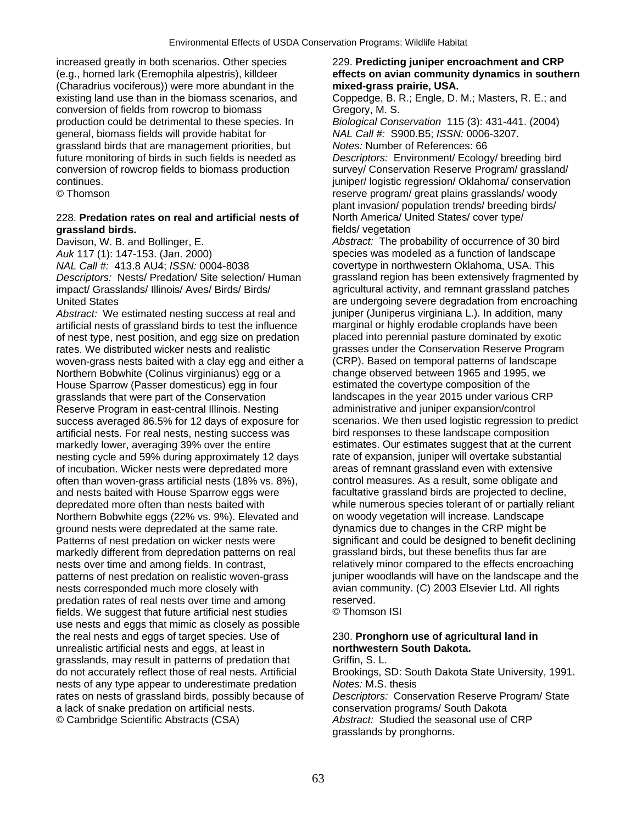increased greatly in both scenarios. Other species 229. **Predicting juniper encroachment and CRP**  (Charadrius vociferous)) were more abundant in the existing land use than in the biomass scenarios, and Coppedge, B. R.; Engle, D. M.; Masters, R. E.; and conversion of fields from rowcrop to biomass Gregory, M. S. production could be detrimental to these species. In *Biological Conservation* 115 (3): 431-441. (2004) general, biomass fields will provide habitat for grassland birds that are management priorities, but *Notes:* Number of References: 66 future monitoring of birds in such fields is needed as *Descriptors:* Environment/ Ecology/ breeding bird conversion of rowcrop fields to biomass production survey/ Conservation Reserve Program/ grassland/ continues. juniper/ logistic regression/ Oklahoma/ conservation

### 228. **Predation rates on real and artificial nests of** North America/ United States/ cover type/ grassland birds. **and in the set of the set of the set of the set of the set of the set of the set of the set of the set of the set of the set of the set of the set of the set of the set of the set of the set of the set of**

*Auk* 117 (1): 147-153. (Jan. 2000) species was modeled as a function of landscape *NAL Call #:* 413.8 AU4; *ISSN:* 0004-8038 covertype in northwestern Oklahoma, USA. This impact/ Grasslands/ Illinois/ Aves/ Birds/ Birds/ and agricultural activity, and remnant grassland patches

artificial nests of grassland birds to test the influence of nest type, nest position, and egg size on predation placed into perennial pasture dominated by exotic rates. We distributed wicker nests and realistic grasses under the Conservation Reserve Program<br>woven-grass nests baited with a clay egg and either a (CRP). Based on temporal patterns of landscape woven-grass nests baited with a clay egg and either a Northern Bobwhite (Colinus virginianus) egg or a change observed between 1965 and 1995, we<br>House Sparrow (Passer domesticus) egg in four estimated the covertype composition of the House Sparrow (Passer domesticus) egg in four grasslands that were part of the Conservation landscapes in the year 2015 under various CRP Reserve Program in east-central Illinois. Nesting administrative and juniper expansion/control success averaged 86.5% for 12 days of exposure for scenarios. We then used logistic regression to predict artificial nests. For real nests, nesting success was bird responses to these landscape composition markedly lower, averaging 39% over the entire estimates. Our estimates suggest that at the current<br>
nesting cycle and 59% during approximately 12 days rate of expansion, juniper will overtake substantial nesting cycle and 59% during approximately 12 days rate of expansion, juniper will overtake substantiant of incubation. Wicker nests were depredated more areas of remnant grassland even with extensive of incubation. Wicker nests were depredated more often than woven-grass artificial nests (18% vs. 8%), control measures. As a result, some obligate and and nests baited with House Sparrow eggs were facultative grassland birds are projected to decline, depredated more often than nests baited with while numerous species tolerant of or partially reliant Northern Bobwhite eggs (22% vs. 9%). Elevated and on woody vegetation will increase. Landscape<br>
on woody vegetation will increase. Landscape<br>
on woody vegetation will increase. Landscape<br>
on woody vegetation will increase. ground nests were depredated at the same rate. Patterns of nest predation on wicker nests were significant and could be designed to benefit declining markedly different from depredation patterns on real grassland birds, but these benefits thus far are nests over time and among fields. In contrast, relatively minor compared to the effects encroaching patterns of nest predation on realistic woven-grass juniper woodlands will have on the landscape and the nests corresponded much more closely with avian community. (C) 2003 Elsevier Ltd. All rights<br>predation rates of real nests over time and among reserved. predation rates of real nests over time and among fields. We suggest that future artificial nest studies © Thomson ISI use nests and eggs that mimic as closely as possible the real nests and eggs of target species. Use of 230. **Pronghorn use of agricultural land in**  unrealistic artificial nests and eggs, at least in **northwestern South Dakota.**  grasslands, may result in patterns of predation that Griffin, S. L. do not accurately reflect those of real nests. Artificial Brookings, SD: South Dakota State University, 1991. nests of any type appear to underestimate predation *Notes:* M.S. thesis rates on nests of grassland birds, possibly because of *Descriptors:* Conservation Reserve Program/ State a lack of snake predation on artificial nests. conservation programs/ South Dakota © Cambridge Scientific Abstracts (CSA) *Abstract:* Studied the seasonal use of CRP

# (e.g., horned lark (Eremophila alpestris), killdeer **eitects on avian community dynamics in southern**<br>(Charadrius vociferous)) were more abundant in the **mixed-grass prairie, USA**.

© Thomson reserve program/ great plains grasslands/ woody plant invasion/ population trends/ breeding birds/

Davison, W. B. and Bollinger, E. *Abstract:* The probability of occurrence of 30 bird *Descriptors:* Nests/ Predation/ Site selection/ Human grassland region has been extensively fragmented by United States are undergoing severe degradation from encroaching *Abstract:* We estimated nesting success at real and juniper (Juniperus virginiana L.). In addition, many artificial nests of grassland birds to test the influence marginal or highly erodable croplands have been

grasslands by pronghorns.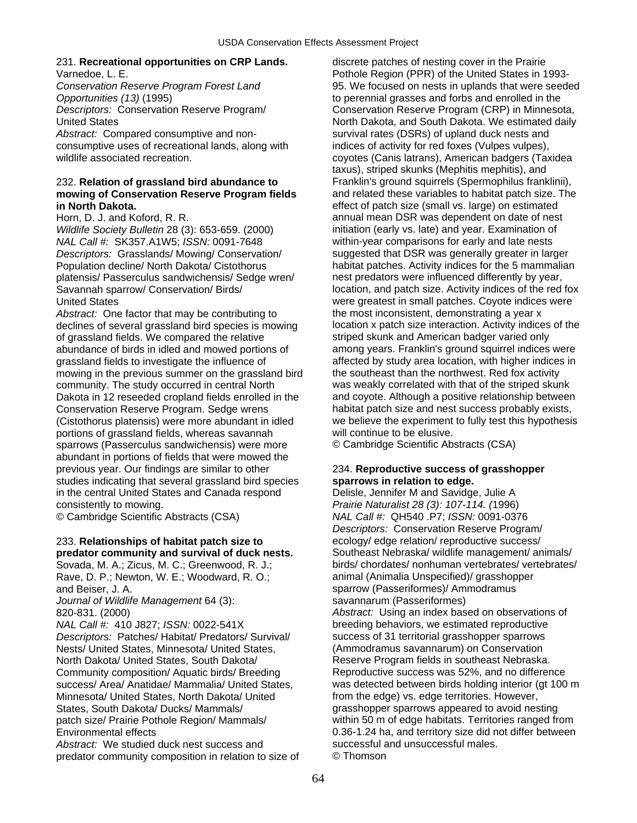### 231. **Recreational opportunities on CRP Lands.** discrete patches of nesting cover in the Prairie

consumptive uses of recreational lands, along with indices of activity for red foxes (Vulpes vulpes),

## 232. **Relation of grassland bird abundance to** Franklin's ground squirrels (Spermophilus franklinii), **in North Dakota.** effect of patch size (small vs. large) on estimated

*Wildlife Society Bulletin* 28 (3): 653-659. (2000) initiation (early vs. late) and year. Examination of *NAL Call #:* SK357.A1W5: *ISSN:* 0091-7648 **Descriptors:** Grasslands/ Mowing/ Conservation/ suggested that DSR was generally greater in larger platensis/ Passerculus sandwichensis/ Sedge wren/ nest predators were influenced differently by year,

declines of several grassland bird species is mowing of grassland fields. We compared the relative striped skunk and American badger varied only<br>
striped skund and mowed portions of among years. Franklin's ground squirrel indices were abundance of birds in idled and mowed portions of grassland fields to investigate the influence of a saffected by study area location, with higher indices in mowing in the previous summer on the grassland bird the southeast than the northwest. Red fox activity community. The study occurred in central North was weakly correlated with that of the striped skunk Dakota in 12 reseeded cropland fields enrolled in the and coyote. Although a positive relationship between Conservation Reserve Program. Sedge wrens habitat patch size and nest success probably exists, portions of grassland fields, whereas savannah will continue to be elusive. sparrows (Passerculus sandwichensis) were more © Cambridge Scientific Abstracts (CSA) abundant in portions of fields that were mowed the previous year. Our findings are similar to other 234. **Reproductive success of grasshopper**  studies indicating that several grassland bird species **sparrows in relation to edge.**  in the central United States and Canada respond Delisle, Jennifer M and Savidge, Julie A consistently to mowing. *Prairie Naturalist 28 (3): 107-114. (*1996)

## 233. **Relationships of habitat patch size to** ecology/ edge relation/ reproductive success/

Sovada, M. A.; Zicus, M. C.; Greenwood, R. J.; birds/ chordates/ nonhuman vertebrates/ ver<br>Rave, D. P.; Newton, W. E.; Woodward, R. O.; animal (Animalia Unspecified)/ grasshopper Rave, D. P.; Newton, W. E.; Woodward, R. O.; and Beiser, J. A. Sparrow (Passeriformes)/ Ammodramus

*Journal of Wildlife Management* 64 (3): savannarum (Passeriformes)

*Descriptors:* Patches/ Habitat/ Predators/ Survival/ success of 31 territorial grasshopper sparrows Nests/ United States, Minnesota/ United States, North Dakota/ United States, South Dakota/ Reserve Program fields in southeast Nebraska. Community composition/ Aquatic birds/ Breeding Reproductive success was 52%, and no difference Minnesota/ United States, North Dakota/ United from the edge) vs. edge territories. However, States, South Dakota/ Ducks/ Mammals/ grasshopper sparrows appeared to avoid nesting<br>
patch size/ Prairie Pothole Region/ Mammals/ within 50 m of edge habitats. Territories ranged from

*Abstract:* We studied duck nest success and successful and unsuccessful males.<br>
predator community composition in relation to size of © Thomson predator community composition in relation to size of

Varnedoe, L. E.<br>Conservation Reserve Program Forest Land Porthole Region (PPR) of the United States in 1993-<br>95. We focused on nests in uplands that were seeder *Conservation Reserve Program Forest Land* 95. We focused on nests in uplands that were seeded to perennial grasses and forbs and enrolled in the *Descriptors:* Conservation Reserve Program/ Conservation Reserve Program (CRP) in Minnesota, North Dakota, and South Dakota. We estimated daily *Abstract:* Compared consumptive and non- survival rates (DSRs) of upland duck nests and wildlife associated recreation. covers in covotes (Canis latrans), American badgers (Taxidea taxus), striped skunks (Mephitis mephitis), and **mowing of Conservation Reserve Program fields** and related these variables to habitat patch size. The Horn, D. J. and Koford, R. R. **Annual mean DSR** was dependent on date of nest within-year comparisons for early and late nests Population decline/ North Dakota/ Cistothorus habitat patches. Activity indices for the 5 mammalian Savannah sparrow/ Conservation/ Birds/ location, and patch size. Activity indices of the red fox United States were greatest in small patches. Coyote indices were *Abstract:* One factor that may be contributing to the most inconsistent, demonstrating a year x<br>declines of several grassland bird species is mowing location x patch size interaction. Activity indices of the (Cistothorus platensis) were more abundant in idled we believe the experiment to fully test this hypothesis

© Cambridge Scientific Abstracts (CSA) *NAL Call #:* QH540 .P7; *ISSN:* 0091-0376 *Descriptors:* Conservation Reserve Program/ **predator community and survival of duck nests.** Southeast Nebraska/ wildlife management/ animals/<br>Sovada, M. A.: Zicus, M. C.: Greenwood, R. J.: birds/ chordates/ nonhuman vertebrates/ vertebrates/

820-831. (2000) *Abstract:* Using an index based on observations of *NAL Call #:* 410 J827; *ISSN:* 0022-541X breeding behaviors, we estimated reproductive success/ Area/ Anatidae/ Mammalia/ United States, was detected between birds holding interior (gt 100 m within 50 m of edge habitats. Territories ranged from Environmental effects 0.36-1.24 ha, and territory size did not differ between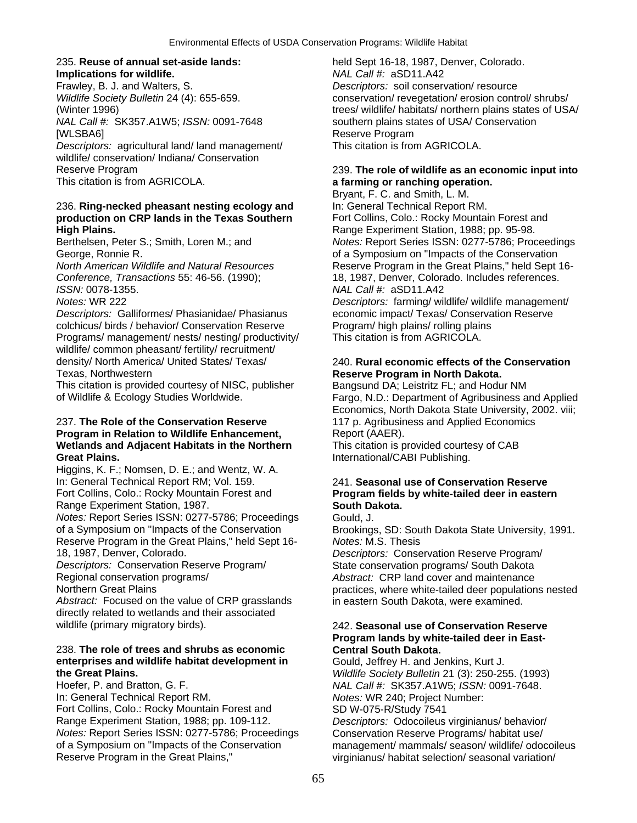## **Implications for wildlife.** *NAL Call #:* aSD11.A42

Frawley, B. J. and Walters, S. *Descriptors:* soil conservation/ resource *NAL Call #: SK357.A1W5; ISSN: 0091-7648* 

[WLSBA6] Reserve Program

*Descriptors:* agricultural land/ land management/ This citation is from AGRICOLA. wildlife/ conservation/ Indiana/ Conservation

## 236. **Ring-necked pheasant nesting ecology and** In: General Technical Report RM.

## **High Plains.** Range Experiment Station, 1988; pp. 95-98.

*ISSN:* 0078-1355. *NAL Call #:* aSD11.A42

*Descriptors:* Galliformes/ Phasianidae/ Phasianus economic impact/ Texas/ Conservation Reserve colchicus/ birds / behavior/ Conservation Reserve Program/ high plains/ rolling plains Programs/ management/ nests/ nesting/ productivity/ This citation is from AGRICOLA. wildlife/ common pheasant/ fertility/ recruitment/ density/ North America/ United States/ Texas/ 240. **Rural economic effects of the Conservation**  Texas, Northwestern **Reserve Program in North Dakota.** 

This citation is provided courtesy of NISC, publisher Bangsund DA; Leistritz FL; and Hodur NM<br>
of Wildlife & Ecology Studies Worldwide. Fargo, N.D.; Department of Agribusiness a

### 237. **The Role of the Conservation Reserve** 117 p. Agribusiness and Applied Economics **Program in Relation to Wildlife Enhancement, Seport (AAER). Wetlands and Adjacent Habitats in the Northern** This citation is provided courtesy of CAB **Great Plains.** International/CABI Publishing.

Higgins, K. F.; Nomsen, D. E.; and Wentz, W. A. In: General Technical Report RM; Vol. 159. 241. **Seasonal use of Conservation Reserve**  Fort Collins, Colo.: Rocky Mountain Forest and **Program fields by white-tailed deer in eastern**  Range Experiment Station, 1987. **South Dakota.** 

*Notes:* Report Series ISSN: 0277-5786; Proceedings Gould, J. of a Symposium on "Impacts of the Conservation Brookings, SD: South Dakota State University, 1991. Reserve Program in the Great Plains," held Sept 16- *Notes:* M.S. Thesis 18, 1987, Denver, Colorado. *Descriptors:* Conservation Reserve Program/

*Descriptors:* Conservation Reserve Program/ State conservation programs/ South Dakota<br>
Regional conservation programs/ **State State CRP** land cover and maintenance

*Abstract:* Focused on the value of CRP grasslands in eastern South Dakota, were examined. directly related to wetlands and their associated wildlife (primary migratory birds). 242. **Seasonal use of Conservation Reserve** 

## 238. **The role of trees and shrubs as economic Central South Dakota. enterprises and wildlife habitat development in Francish Gould, Jeffrey H. and Jenkins, Kurt J.**

In: General Technical Report RM. *Notes:* WR 240; Project Number: Fort Collins, Colo.: Rocky Mountain Forest and SD W-075-R/Study 7541 Range Experiment Station, 1988; pp. 109-112. *Descriptors:* Odocoileus virginianus/ behavior/ *Notes:* Report Series ISSN: 0277-5786; Proceedings Conservation Reserve Programs/ habitat use/<br>
of a Symposium on "Impacts of the Conservation management/ mammals/ season/ wildlife/ odor Reserve Program in the Great Plains," virginianus/ habitat selection/ seasonal variation/

235. **Reuse of annual set-aside lands:** held Sept 16-18, 1987, Denver, Colorado. *Wildlife Society Bulletin* 24 (4): 655-659. conservation/ revegetation/ erosion control/ shrubs/ (Winter 1996)<br>
MAL Call #: SK357.A1W5; ISSN: 0091-7648 southern plains states of USA/ Conservation<br>
southern plains states of USA/ Conservation

### Reserve Program **Reserve Program** 239. **The role of wildlife as an economic input into**<br>This citation is from AGRICOLA. **A summer contained a farming or ranching operation.** a farming or ranching operation.

Bryant, F. C. and Smith, L. M. **production on CRP lands in the Texas Southern** Fort Collins, Colo.: Rocky Mountain Forest and Berthelsen, Peter S.; Smith, Loren M.; and *Notes:* Report Series ISSN: 0277-5786; Proceedings George, Ronnie R. **Conservation** of a Symposium on "Impacts of the Conservation" *North American Wildlife and Natural Resources* Reserve Program in the Great Plains," held Sept 16-*Conference, Transactions* 55: 46-56. (1990); 18, 1987, Denver, Colorado. Includes references. *Notes:* WR 222 *Descriptors:* farming/ wildlife/ wildlife management/

Fargo, N.D.: Department of Agribusiness and Applied. Economics, North Dakota State University, 2002. viii;

Regional conservation programs/ *Abstract:* CRP land cover and maintenance<br>Northern Great Plains<br>practices. where white-tailed deer population practices, where white-tailed deer populations nested

# **Program lands by white-tailed deer in East-**

**the Great Plains.** *Wildlife Society Bulletin* 21 (3): 250-255. (1993) NAL Call #: SK357.A1W5; *ISSN:* 0091-7648.

management/ mammals/ season/ wildlife/ odocoileus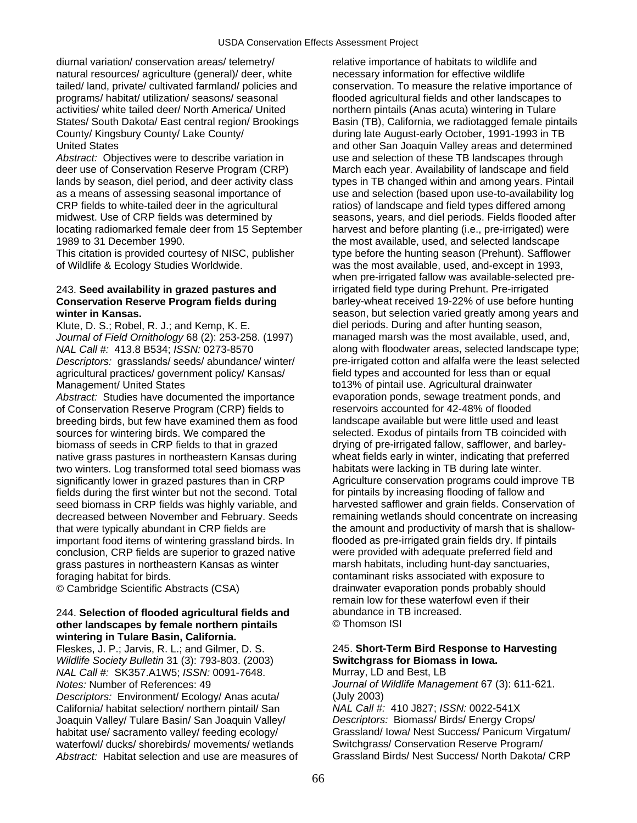diurnal variation/ conservation areas/ telemetry/ relative importance of habitats to wildlife and natural resources/ agriculture (general)/ deer, white necessary information for effective wildlife tailed/ land, private/ cultivated farmland/ policies and conservation. To measure the relative importance of programs/ habitat/ utilization/ seasons/ seasonal flooded agricultural fields and other landscapes to activities/ white tailed deer/ North America/ United northern pintails (Anas acuta) wintering in Tulare County/ Kingsbury County/ Lake County/ during late August-early October, 1991-1993 in TB

*Abstract:* Objectives were to describe variation in use and selection of these TB landscapes through deer use of Conservation Reserve Program (CRP) March each year. Availability of landscape and field lands by season, diel period, and deer activity class types in TB changed within and among years. Pintail as a means of assessing seasonal importance of use and selection (based upon use-to-availability log CRP fields to white-tailed deer in the agricultural ratios) of landscape and field types differed among midwest. Use of CRP fields was determined by seasons, years, and diel periods. Fields flooded after locating radiomarked female deer from 15 September harvest and before planting (i.e., pre-irrigated) were 1989 to 31 December 1990. the most available, used, and selected landscape

of Wildlife & Ecology Studies Worldwide. was the most available, used, and-except in 1993,

# 243. **Seed availability in grazed pastures and** irrigated field type during Prehunt. Pre-irrigated

Klute, D. S.; Robel, R. J.; and Kemp, K. E. diel periods. During and after hunting season, *Journal of Field Ornithology* 68 (2): 253-258. (1997) managed marsh was the most available, used, and, agricultural practices/ government policy/ Kansas/ field types and accounted for less than or equal Management/ United States to the total to tonagement/ United States to the total to the tonagement/ United States

Abstract: Studies have documented the importance evaporation ponds, sewage treatment ponds, and of Conservation Reserve Program (CRP) fields to reservoirs accounted for 42-48% of flooded<br>breeding birds, but few have examined them as food landscape available but were little used and least breeding birds, but few have examined them as food sources for wintering birds. We compared the selected. Exodus of pintails from TB coincided with biomass of seeds in CRP fields to that in grazed drying of pre-irrigated fallow, safflower, and barley-<br>native grass pastures in northeastern Kansas during wheat fields early in winter, indicating that preferred native grass pastures in northeastern Kansas during two winters. Log transformed total seed biomass was habitats were lacking in TB during late winter. fields during the first winter but not the second. Total important food items of wintering grassland birds. In flooded as pre-irrigated grain fields dry. If pintails conclusion, CRP fields are superior to grazed native were provided with adequate preferred field and<br>
grass pastures in northeastern Kansas as winter marsh habitats, including hunt-day sanctuaries, grass pastures in northeastern Kansas as winter foraging habitat for birds. contaminant risks associated with exposure to

### 244. **Selection of flooded agricultural fields and** abundance in TB increased.<br> **other landscapes by female northern pintails** © Thomson ISI other landscapes by female northern pintails **wintering in Tulare Basin, California.**

Fleskes, J. P.; Jarvis, R. L.; and Gilmer, D. S. 245. **Short-Term Bird Response to Harvesting**  *Wildlife Society Bulletin* 31 (3): 793-803. (2003) **Switchgrass for Biomass in Iowa.**  *NAL Call #:* SK357.A1W5: *ISSN:* 0091-7648. Murray, LD and Best, LB *Notes:* Number of References: 49 *Journal of Wildlife Management* 67 (3): 611-621. *Descriptors:* Environment/ Ecology/ Anas acuta/ (July 2003) California/ habitat selection/ northern pintail/ San *NAL Call #:* 410 J827; *ISSN:* 0022-541X Joaquin Valley/ Tulare Basin/ San Joaquin Valley/

*Abstract:* Habitat selection and use are measures of

States/ South Dakota/ East central region/ Brookings Basin (TB), California, we radiotagged female pintails United States and other San Joaquin Valley areas and determined This citation is provided courtesy of NISC, publisher type before the hunting season (Prehunt). Safflower when pre-irrigated fallow was available-selected pre-**Conservation Reserve Program fields during** barley-wheat received 19-22% of use before hunting **winter in Kansas. season**, but selection varied greatly among years and **winter** *NAL Call #:* 413.8 B534; *ISSN:* 0273-8570 along with floodwater areas, selected landscape type; *Descriptors:* grasslands/ seeds/ abundance/ winter/ pre-irrigated cotton and alfalfa were the least selected significantly lower in grazed pastures than in CRP<br>
fields during the first winter but not the second. Total for pintails by increasing flooding of fallow and seed biomass in CRP fields was highly variable, and harvested safflower and grain fields. Conservation of decreased between November and February. Seeds remaining wetlands should concentrate on increasing that were typically abundant in CRP fields are the amount and productivity of marsh that is shallow-© Cambridge Scientific Abstracts (CSA) drainwater evaporation ponds probably should remain low for these waterfowl even if their

habitat use/ sacramento valley/ feeding ecology/ Grassland/ Iowa/ Nest Success/ Panicum Virgatum/ waterfowl/ ducks/ shorebirds/ movements/ wetlands Switchgrass/ Conservation Reserve Program/<br>
Abstract: Habitat selection and use are measures of Grassland Birds/ Nest Success/ North Dakota/ CRP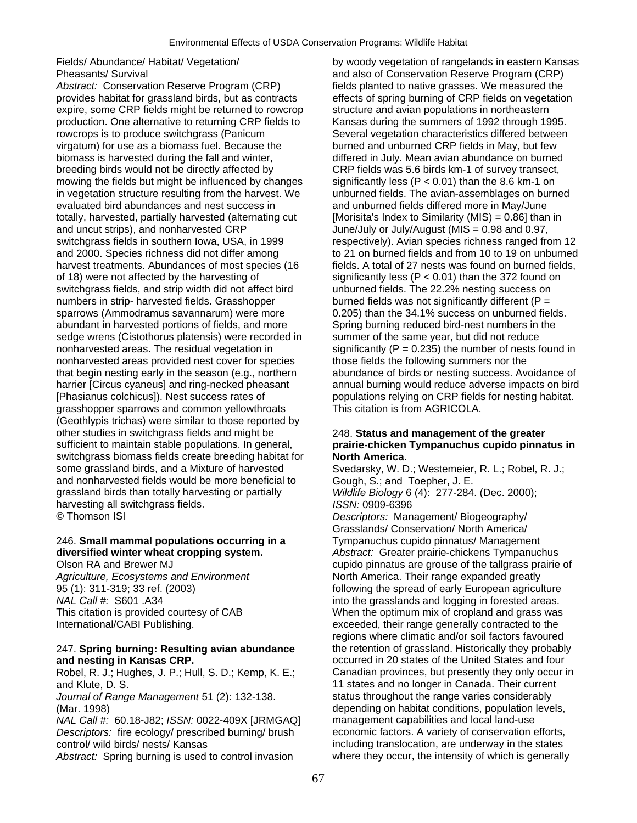provides habitat for grassland birds, but as contracts effects of spring burning of CRP fields on vegetation expire, some CRP fields might be returned to rowcrop structure and avian populations in northeastern production. One alternative to returning CRP fields to Kansas during the summers of 1992 through 1995. rowcrops is to produce switchgrass (Panicum Several vegetation characteristics differed between virgatum) for use as a biomass fuel. Because the burned and unburned CRP fields in May, but few biomass is harvested during the fall and winter, differed in July. Mean avian abundance on burned breeding birds would not be directly affected by CRP fields was 5.6 birds km-1 of survey transect, mowing the fields but might be influenced by changes significantly less ( $P < 0.01$ ) than the 8.6 km-1 on in vegetation structure resulting from the harvest. We unburned fields. The avian-assemblages on burned evaluated bird abundances and nest success in and unburned fields differed more in May/June totally, harvested, partially harvested (alternating cut [Morisita's Index to Similarity (MIS) = 0.86] than in and uncut strips), and nonharvested CRP June/July or July/August ( $MIS = 0.98$  and 0.97, switchgrass fields in southern Iowa, USA, in 1999 respectively). Avian species richness ranged from 12 and 2000. Species richness did not differ among to 21 on burned fields and from 10 to 19 on unburned harvest treatments. Abundances of most species (16 fields. A total of 27 nests was found on burned fields, of 18) were not affected by the harvesting of significantly less ( $P < 0.01$ ) than the 372 found on switchgrass fields, and strip width did not affect bird unburned fields. The 22.2% nesting success on numbers in strip- harvested fields. Grasshopper burned fields was not significantly different ( $P =$ sparrows (Ammodramus savannarum) were more 0.205) than the 34.1% success on unburned fields. abundant in harvested portions of fields, and more Spring burning reduced bird-nest numbers in the sedge wrens (Cistothorus platensis) were recorded in summer of the same year, but did not reduce nonharvested areas. The residual vegetation in  $\qquad \qquad$  significantly (P = 0.235) the number of nests found in nonharvested areas provided nest cover for species those fields the following summers nor the that begin nesting early in the season (e.g., northern abundance of birds or nesting success. Avoidance of harrier [Circus cyaneus] and ring-necked pheasant annual burning would reduce adverse impacts on bird [Phasianus colchicus]). Nest success rates of populations relying on CRP fields for nesting habitat. grasshopper sparrows and common yellowthroats This citation is from AGRICOLA. (Geothlypis trichas) were similar to those reported by other studies in switchgrass fields and might be 248. **Status and management of the greater**  sufficient to maintain stable populations. In general, **prairie-chicken Tympanuchus cupido pinnatus in**  switchgrass biomass fields create breeding habitat for **North America.** some grassland birds, and a Mixture of harvested Svedarsky, W. D.; Westemeier, R. L.; Robel, R. J.; and nonharvested fields would be more beneficial to Gough, S.; and Toepher, J. E. grassland birds than totally harvesting or partially *Wildlife Biology* 6 (4): 277-284. (Dec. 2000); harvesting all switchgrass fields. *ISSN:* 0909-6396 © Thomson ISI *Descriptors:* Management/ Biogeography/

### 246. **Small mammal populations occurring in a** Tympanuchus cupido pinnatus/ Management **diversified winter wheat cropping system.** *Abstract:* Greater prairie-chickens Tympanuchus

## **and nesting in Kansas CRP.** *occurred in 20 states of the United States and four**occurred in 20 states of the United States and four*

and Klute, D. S. 11 states and no longer in Canada. Their current

*NAL Call #:* 60.18-J82; *ISSN:* 0022-409X [JRMGAQ] management capabilities and local land-use *Descriptors:* fire ecology/ prescribed burning/ brush

*Abstract: Spring burning is used to control invasion* 

Fields/ Abundance/ Habitat/ Vegetation/ by woody vegetation of rangelands in eastern Kansas Pheasants/ Survival **and also of Conservation Reserve Program (CRP)**<br>Abstract: Conservation Reserve Program (CRP) fields planted to native grasses. We measured the fields planted to native grasses. We measured the

Grasslands/ Conservation/ North America/ Olson RA and Brewer MJ cupido pinnatus are grouse of the tallgrass prairie of Agriculture, Ecosystems and Environment<br>
95 (1): 311-319; 33 ref. (2003) To all the spread of early European agricu following the spread of early European agriculture *NAL Call #:* S601 .A34 into the grasslands and logging in forested areas. This citation is provided courtesy of CAB When the optimum mix of cropland and grass was International/CABI Publishing. The exceeded, their range generally contracted to the regions where climatic and/or soil factors favoured 247. **Spring burning: Resulting avian abundance** the retention of grassland. Historically they probably Robel, R. J.; Hughes, J. P.; Hull, S. D.; Kemp, K. E.; Canadian provinces, but presently they only occur in *Journal of Range Management* 51 (2): 132-138. status throughout the range varies considerably (Mar. 1998)<br>
MAL Call #: 60.18-J82: ISSN: 0022-409X IJRMGAQI management capabilities and local land-use control/ wild birds/ nests/ Kansas including translocation, are underway in the states<br> *Abstract:* Spring burning is used to control invasion where they occur, the intensity of which is generally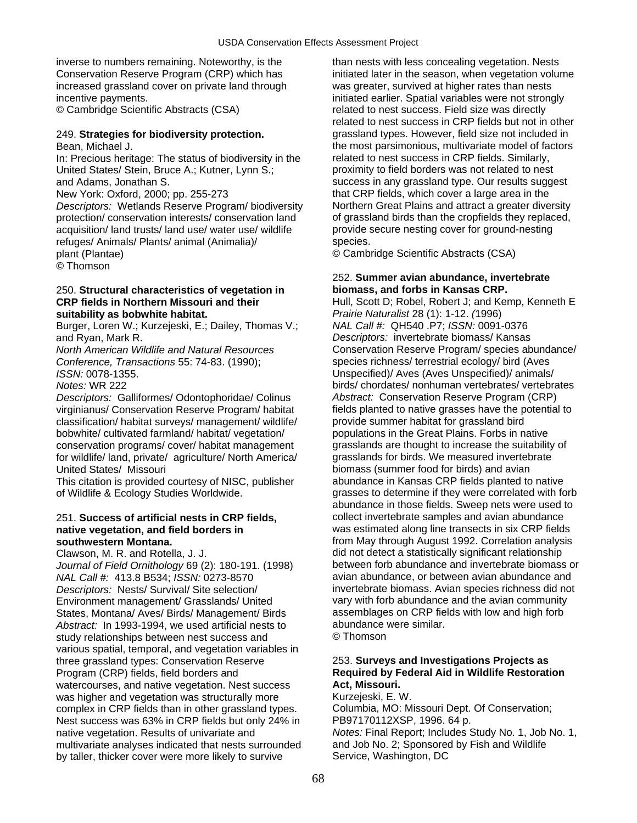inverse to numbers remaining. Noteworthy, is the than nests with less concealing vegetation. Nests increased grassland cover on private land through was greater, survived at higher rates than nests incentive payments. **initiated earlier.** Spatial variables were not strongly

United States/ Stein, Bruce A.; Kutner, Lynn S.; proximity to field borders was not related to nest and Adams, Jonathan S. Success in any grassland type. Our results suggest

*Descriptors: Wetlands Reserve Program/ biodiversity* protection/ conservation interests/ conservation land of grassland birds than the cropfields they replaced, acquisition/ land trusts/ land use/ water use/ wildlife provide secure nesting cover for ground-nesting refuges/ Animals/ Plants/ animal (Animalia)/ species. plant (Plantae) © Cambridge Scientific Abstracts (CSA) © Thomson

# 250. **Structural characteristics of vegetation in biomass, and forbs in Kansas CRP.**

Burger, Loren W.; Kurzejeski, E.; Dailey, Thomas V.; *NAL Call #: P1560 .P* and Ryan, Mark R. *Descriptors:* invertebrate biomass/ Kansas

*Conference, Transactions* 55: 74-83. (1990); species richness/ terrestrial ecology/ bird (Aves

*Descriptors: Galliformes/ Odontophoridae/ Colinus* virginianus/ Conservation Reserve Program/ habitat fields planted to native grasses have the potential to classification/ habitat surveys/ management/ wildlife/ provide summer habitat for grassland bird bobwhite/ cultivated farmland/ habitat/ vegetation/ populations in the Great Plains. Forbs in native conservation programs/ cover/ habitat management grasslands are thought to increase the suitability of for wildlife/ land, private/ agriculture/ North America/ grasslands for birds. We measured invertebrate United States/ Missouri biomass (summer food for birds) and avian

This citation is provided courtesy of NISC, publisher abundance in Kansas CRP fields planted to native

*Journal of Field Ornithology* 69 (2): 180-191. (1998) between forb abundance and invertebrate biomass or between avian abundance and NAL Call #: 413 8 B534: ISSN: 0273-8570 *NAL Call #:* 413.8 B534; *ISSN:* 0273-8570 *Descriptors:* Nests/ Survival/ Site selection/ invertebrate biomass. Avian species richness did not Environment management/ Grasslands/ United vary with forb abundance and the avian community<br>States, Montana/ Aves/ Birds/ Management/ Birds assemblages on CRP fields with low and high forb States, Montana/ Aves/ Birds/ Management/ Birds assemblages on CRP fields and high and high and high and high for *Abstract:* In 1993-1994, we used artificial nests to study relationships between nest success and © Thomson various spatial, temporal, and vegetation variables in three grassland types: Conservation Reserve 253. **Surveys and Investigations Projects as**  Program (CRP) fields, field borders and **Required by Federal Aid in Wildlife Restoration**  watercourses, and native vegetation. Nest success **Act, Missouri.**<br>
was higher and vegetation was structurally more **Kurzejeski, E. W.** was higher and vegetation was structurally more complex in CRP fields than in other grassland types. Columbia, MO: Missouri Dept. Of Conservation; Nest success was 63% in CRP fields but only 24% in PB97170112XSP, 1996. 64 p. native vegetation. Results of univariate and *Notes:* Final Report; Includes Study No. 1, Job No. 1, multivariate analyses indicated that nests surrounded and Job No. 2; Sponsored by Fish and Wildlife by taller, thicker cover were more likely to survive Service, Washington, DC

Conservation Reserve Program (CRP) which has initiated later in the season, when vegetation volume © Cambridge Scientific Abstracts (CSA) related to nest success. Field size was directly related to nest success in CRP fields but not in other 249. **Strategies for biodiversity protection.** grassland types. However, field size not included in Bean, Michael J. the most parsimonious, multivariate model of factors In: Precious heritage: The status of biodiversity in the related to nest success in CRP fields. Similarly, New York: Oxford, 2000; pp. 255-273 that CRP fields, which cover a large area in the<br>
Descriptors: Wetlands Reserve Program/ biodiversity Northern Great Plains and attract a greater diversity

## 252. **Summer avian abundance, invertebrate**

**CRP fields in Northern Missouri and their Hull**, Scott D; Robel, Robert J; and Kemp, Kenneth E **suitability as bobwhite habitat.** *Prairie Naturalist* 28 (1): 1-12. *(*1996) *North American Wildlife and Natural Resources* Conservation Reserve Program/ species abundance/ *ISSN:* 0078-1355. Unspecified)/ Aves (Aves Unspecified)/ animals/ *Notes:* WR 222 birds/ chordates/ nonhuman vertebrates/ vertebrates of Wildlife & Ecology Studies Worldwide. grasses to determine if they were correlated with forb abundance in those fields. Sweep nets were used to 251. **Success of artificial nests in CRP fields,** collect invertebrate samples and avian abundance **native vegetation, and field borders in** was estimated along line transects in six CRP fields **southwestern Montana.** *from May through August 1992. Correlation analysis**from May through August 1992. Correlation analysis* Clawson, M. R. and Rotella, J. J. (Clawson, M. R. and Rotella, J. J. did not detect a statistically significant relationship<br>Claurnal of Field Ornithology 69 (2): 180-191 (1998) between forb abundance and invertebrate biom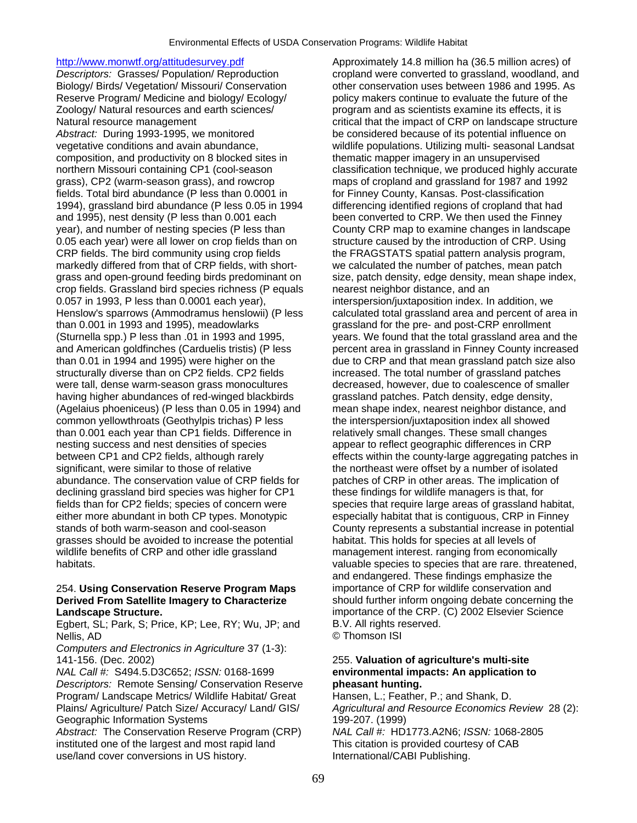### <http://www.monwtf.org/attitudesurvey.pdf> Approximately 14.8 million ha (36.5 million acres) of

Biology/ Birds/ Vegetation/ Missouri/ Conservation other conservation uses between 1986 and 1995. As Reserve Program/ Medicine and biology/ Ecology/ policy makers continue to evaluate the future of the Zoology/ Natural resources and earth sciences/ program and as scientists examine its effects, it is Abstract: During 1993-1995, we monitored beconsidered because of its potential influence on vegetative conditions and avain abundance, wildlife populations. Utilizing multi- seasonal Landsat composition, and productivity on 8 blocked sites in thematic mapper imagery in an unsupervised grass), CP2 (warm-season grass), and rowcrop maps of cropland and grassland for 1987 and 1992 fields. Total bird abundance (P less than 0.0001 in for Finney County, Kansas. Post-classification 1994), grassland bird abundance (P less 0.05 in 1994 differencing identified regions of cropland that had and 1995), nest density (P less than 0.001 each been converted to CRP. We then used the Finney year), and number of nesting species (P less than County CRP map to examine changes in landscape 0.05 each year) were all lower on crop fields than on structure caused by the introduction of CRP. Using CRP fields. The bird community using crop fields the FRAGSTATS spatial pattern analysis program, markedly differed from that of CRP fields, with short- we calculated the number of patches, mean patch grass and open-ground feeding birds predominant on size, patch density, edge density, mean shape index, crop fields. Grassland bird species richness (P equals nearest neighbor distance, and an 0.057 in 1993, P less than 0.0001 each year), interspersion/juxtaposition index. In addition, we Henslow's sparrows (Ammodramus henslowii) (P less calculated total grassland area and percent of area in than 0.001 in 1993 and 1995), meadowlarks grassland for the pre- and post-CRP enrollment (Sturnella spp.) P less than .01 in 1993 and 1995, years. We found that the total grassland area and the than 0.01 in 1994 and 1995) were higher on the due to CRP and that mean grassland patch size also structurally diverse than on CP2 fields. CP2 fields increased. The total number of grassland patches were tall, dense warm-season grass monocultures decreased, however, due to coalescence of smaller having higher abundances of red-winged blackbirds grassland patches. Patch density, edge density, (Agelaius phoeniceus) (P less than 0.05 in 1994) and mean shape index, nearest neighbor distance, and common yellowthroats (Geothylpis trichas) P less the interspersion/juxtaposition index all showed than 0.001 each year than CP1 fields. Difference in relatively small changes. These small changes nesting success and nest densities of species appear to reflect geographic differences in CRP significant, were similar to those of relative the northeast were offset by a number of isolated abundance. The conservation value of CRP fields for patches of CRP in other areas. The implication of declining grassland bird species was higher for CP1 these findings for wildlife managers is that, for fields than for CP2 fields; species of concern were species that require large areas of grassland habitat, either more abundant in both CP types. Monotypic especially habitat that is contiguous, CRP in Finney stands of both warm-season and cool-season County represents a substantial increase in potential grasses should be avoided to increase the potential habitat. This holds for species at all levels of wildlife benefits of CRP and other idle grassland management interest. ranging from economically habitats. valuable species to species that are rare. threatened,

# 254. **Using Conservation Reserve Program Maps** importance of CRP for wildlife conservation and

Egbert, SL; Park, S; Price, KP; Lee, RY; Wu, JP; and Nellis, AD © Thomson ISI

*Computers and Electronics in Agriculture* 37 (1-3): 141-156. (Dec. 2002) 255. **Valuation of agriculture's multi-site** 

*NAL Call #:* S494.5.D3C652; *ISSN:* 0168-1699 **environmental impacts: An application to**  *Descriptors:* Remote Sensing/ Conservation Reserve **pheasant hunting.**  Program/ Landscape Metrics/ Wildlife Habitat/ Great Hansen, L.; Feather, P.; and Shank, D. Geographic Information Systems 199-207. (1999)

*Abstract:* The Conservation Reserve Program (CRP) *NAL Call #:* HD1773.A2N6; *ISSN:* 1068-2805 instituted one of the largest and most rapid land This citation is provided courtesy of CAB use/land cover conversions in US history. International/CABI Publishing.

*Descriptors:* Grasses/ Population/ Reproduction cropland were converted to grassland, woodland, and Natural resource management example and critical that the impact of CRP on landscape structure northern Missouri containing CP1 (cool-season classification technique, we produced highly accurate and American goldfinches (Carduelis tristis) (P less percent area in grassland in Finney County increased between CP1 and CP2 fields, although rarely effects within the county-large aggregating patches in and endangered. These findings emphasize the **Derived From Satellite Imagery to Characterize** should further inform ongoing debate concerning the **Landscape Structure.** importance of the CRP. (C) 2002 Elsevier Science

Plains/ Agriculture/ Patch Size/ Accuracy/ Land/ GIS/ *Agricultural and Resource Economics Review* 28 (2):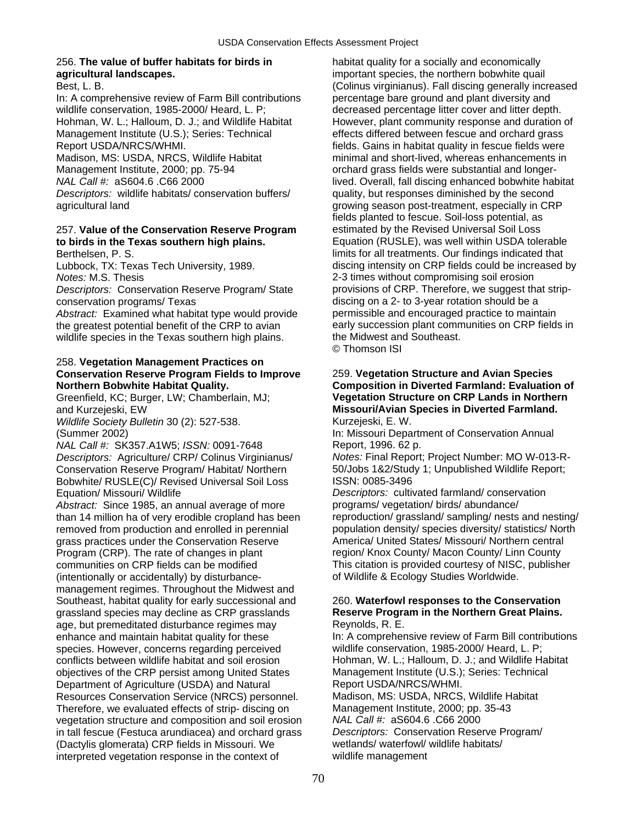## 256. **The value of buffer habitats for birds in** habitat quality for a socially and economically

In: A comprehensive review of Farm Bill contributions percentage bare ground and plant diversity and wildlife conservation, 1985-2000/ Heard, L. P; decreased percentage litter cover and litter depth. Hohman, W. L.; Halloum, D. J.; and Wildlife Habitat However, plant community response and duration of Management Institute (U.S.); Series: Technical effects differed between fescue and orchard grass Report USDA/NRCS/WHMI. fields. Gains in habitat quality in fescue fields were Madison, MS: USDA, NRCS, Wildlife Habitat minimal and short-lived, whereas enhancements in Management Institute, 2000; pp. 75-94 orchard grass fields were substantial and longer-*NAL Call #:* aS604.6 .C66 2000 lived. Overall, fall discing enhanced bobwhite habitat *Descriptors:* wildlife habitats/ conservation buffers/ quality, but responses diminished by the second

### 257. **Value of the Conservation Reserve Program** estimated by the Revised Universal Soil Loss **to birds in the Texas southern high plains.** Equation (RUSLE), was well within USDA tolerable

*Notes:* M.S. Thesis 2-3 times without compromising soil erosion

conservation programs/ Texas discing on a 2- to 3-year rotation should be a

the greatest potential benefit of the CRP to avian wildlife species in the Texas southern high plains. The Midwest and Southeast.

### 258. **Vegetation Management Practices on Conservation Reserve Program Fields to Improve** 259. **Vegetation Structure and Avian Species Northern Bobwhite Habitat Quality. Composition in Diverted Farmland: Evaluation of**

*Wildlife Society Bulletin* 30 (2): 527-538. Kurzejeski, E. W.

*NAL Call #:* SK357.A1W5; *ISSN:* 0091-7648 Report, 1996. 62 p. *Descriptors:* Agriculture/ CRP/ Colinus Virginianus/ *Notes:* Final Report; Project Number: MO W-013-R-Conservation Reserve Program/ Habitat/ Northern Bobwhite/ RUSLE(C)/ Revised Universal Soil Loss ISSN: 0085-3496 Equation/ Missouri/ Wildlife *Descriptors:* cultivated farmland/ conservation

Abstract: Since 1985, an annual average of more programs/ vegetation/ birds/ abundance/ than 14 million ha of very erodible cropland has been reproduction/ grassland/ sampling/ nests and nesting/ removed from production and enrolled in perennial population density/ species diversity/ statistics/ North grass practices under the Conservation Reserve **America** United States/ Missouri/ Northern central Program (CRP). The rate of changes in plant region/ Knox County/ Macon County/ Linn County communities on CRP fields can be modified<br>
(intentionally or accidentally) by disturbance-<br>
of Wildlife & Ecology Studies Worldwide. (intentionally or accidentally) by disturbancemanagement regimes. Throughout the Midwest and Southeast, habitat quality for early successional and 260. **Waterfowl responses to the Conservation**  grassland species may decline as CRP grasslands. age, but premeditated disturbance regimes may Reynolds, R. E. enhance and maintain habitat quality for these In: A comprehensive review of Farm Bill contributions<br>species. However, concerns regarding perceived wildlife conservation, 1985-2000/Heard, L. P: species. However, concerns regarding perceived conflicts between wildlife habitat and soil erosion Hohman, W. L.; Halloum, D. J.; and Wildlife Habitat objectives of the CRP persist among United States Management Institute (U.S.); Series: Technical Department of Agriculture (USDA) and Natural Report USDA/NRCS/WHMI. Resources Conservation Service (NRCS) personnel. Madison, MS: USDA, NRCS, Wildlife Habitat Therefore, we evaluated effects of strip- discing on Management Institute, 2000; pp. 35-43<br>vegetation structure and composition and soil erosion MAL Call #: aS604.6 .C66 2000 vegetation structure and composition and soil erosion in tall fescue (Festuca arundiacea) and orchard grass *Descriptors:* Conservation Reserve Program/ (Dactylis glomerata) CRP fields in Missouri. We wetlands/ waterfowl/ wildlife habitats/<br>
interpreted vegetation response in the context of wildlife management interpreted vegetation response in the context of

**agricultural landscapes. inclusively important species, the northern bobwhite quail** Best, L. B. (Colinus virginianus). Fall discing generally increased agricultural land growing season post-treatment, especially in CRP fields planted to fescue. Soil-loss potential, as Berthelsen. P. S. **Exercía Elimits for all treatments. Our findings indicated that** Lubbock, TX: Texas Tech University, 1989. discing intensity on CRP fields could be increased by **Descriptors: Conservation Reserve Program/ State example provisions of CRP. Therefore, we suggest that strip-**Abstract: Examined what habitat type would provide permissible and encouraged practice to maintain<br>the greatest potential benefit of the CRP to avian early succession plant communities on CRP fields in

© Thomson ISI

## Greenfield, KC; Burger, LW; Chamberlain, MJ; **Vegetation Structure on CRP Lands in Northern**  and Kurzejeski, EW **Missouri/Avian Species in Diverted Farmland.**

(Summer 2002) In: Missouri Department of Conservation Annual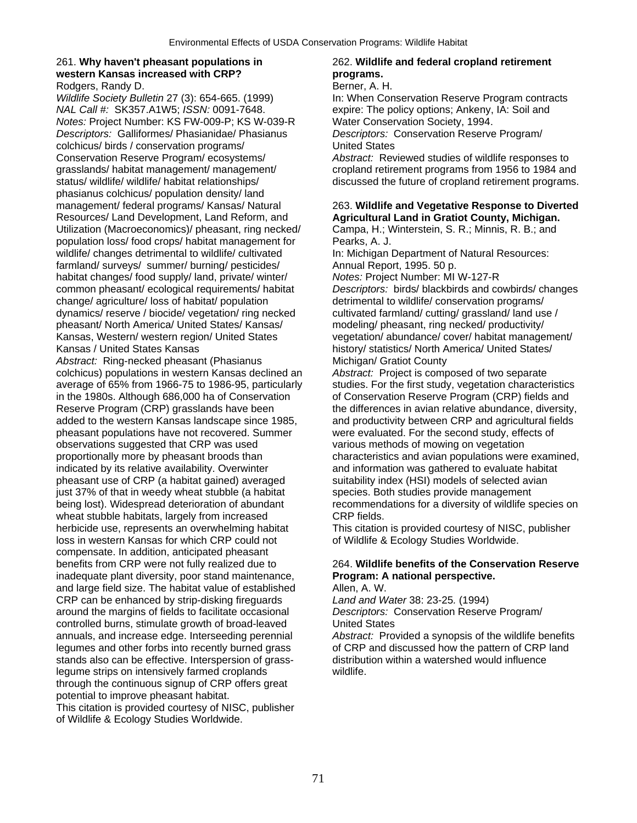## western Kansas increased with CRP? **programs. programs.**

Rodgers, Randy D. (Read point of the Serner, A. H. Former, A. H. and point of the Society Bulletin 27 (3): 654-665. (1999) *Wildlife Society Bulletin* 27 (3): 654-665. (1999) In: When Conservation Reserve Program contracts<br> *NAL Call #:* SK357.A1W5: *ISSN:* 0091-7648. expire: The policy options: Ankeny, IA: Soil and *Notes:* Project Number: KS FW-009-P; KS W-039-R Water Conservation Society, 1994. *Descriptors:* Galliformes/ Phasianidae/ Phasianus *Descriptors:* Conservation Reserve Program/ colchicus/ birds / conservation programs/ United States Conservation Reserve Program/ ecosystems/ *Abstract:* Reviewed studies of wildlife responses to grasslands/ habitat management/ management/ cropland retirement programs from 1956 to 1984 and phasianus colchicus/ population density/ land management/ federal programs/ Kansas/ Natural 263. **Wildlife and Vegetative Response to Diverted**  Resources/ Land Development, Land Reform, and **Agricultural Land in Gratiot County, Michigan.**<br>
Utilization (Macroeconomics)/ pheasant, ring necked/ Campa, H.; Winterstein, S. R.; Minnis, R. B.; and Utilization (Macroeconomics)/ pheasant, ring necked/ population loss/ food crops/ habitat management for Pearks, A. J. wildlife/ changes detrimental to wildlife/ cultivated In: Michigan Department of Natural Resources:<br>
farmland/ surveys/ summer/ burning/ pesticides/ Annual Report, 1995. 50 p. farmland/ surveys/ summer/ burning/ pesticides/ habitat changes/ food supply/ land, private/ winter/ *Notes:* Project Number: MI W-127-R common pheasant/ ecological requirements/ habitat *Descriptors:* birds/ blackbirds and cowbirds/ changes change/ agriculture/ loss of habitat/ population detrimental to wildlife/ conservation programs/ dynamics/ reserve / biocide/ vegetation/ ring necked cultivated farmland/ cutting/ grassland/ land use / pheasant/ North America/ United States/ Kansas/ modeling/ pheasant, ring necked/ productivity/ Kansas, Western/ western region/ United States vegetation/ abundance/ cover/ habitat management/ Kansas / United States Kansas **history/ statistics/ North America/ United States/** Abstract: Ring-necked pheasant (Phasianus Michigan/ Gratiot County<br>
colchicus) populations in western Kansas declined an Abstract: Project is composed of two separate colchicus) populations in western Kansas declined an average of 65% from 1966-75 to 1986-95, particularly studies. For the first study, vegetation characteristics in the 1980s. Although 686,000 ha of Conservation of Conservation Reserve Program (CRP) fields and Reserve Program (CRP) grasslands have been the differences in avian relative abundance, diversity, added to the western Kansas landscape since 1985, and productivity between CRP and agricultural fields pheasant populations have not recovered. Summer were evaluated. For the second study, effects of observations suggested that CRP was used various methods of mowing on vegetation indicated by its relative availability. Overwinter and information was gathered to evaluate habitat pheasant use of CRP (a habitat gained) averaged suitability index (HSI) models of selected avian just 37% of that in weedy wheat stubble (a habitat species. Both studies provide management wheat stubble habitats, largely from increased CRP fields. herbicide use, represents an overwhelming habitat This citation is provided courtesy of NISC, publisher loss in western Kansas for which CRP could not of Wildlife & Ecology Studies Worldwide. compensate. In addition, anticipated pheasant inadequate plant diversity, poor stand maintenance, **Program: A national perspective.**  and large field size. The habitat value of established Allen, A. W. CRP can be enhanced by strip-disking fireguards *Land and Water* 38: 23-25*.* (1994) around the margins of fields to facilitate occasional *Descriptors:* Conservation Reserve Program/ controlled burns, stimulate growth of broad-leaved United States annuals, and increase edge. Interseeding perennial *Abstract:* Provided a synopsis of the wildlife benefits legumes and other forbs into recently burned grass of CRP and discussed how the pattern of CRP land<br>stands also can be effective. Interspersion of grass-<br>distribution within a watershed would influence stands also can be effective. Interspersion of grasslegume strips on intensively farmed croplands wildlife. through the continuous signup of CRP offers great

potential to improve pheasant habitat. This citation is provided courtesy of NISC, publisher of Wildlife & Ecology Studies Worldwide.

## 261. **Why haven't pheasant populations in** 262. **Wildlife and federal cropland retirement**

expire: The policy options; Ankeny, IA: Soil and

status/ wildlife/ wildlife/ habitat relationships/ discussed the future of cropland retirement programs.

proportionally more by pheasant broods than characteristics and avian populations were examined, being lost). Widespread deterioration of abundant recommendations for a diversity of wildlife species on

## benefits from CRP were not fully realized due to 264. **Wildlife benefits of the Conservation Reserve**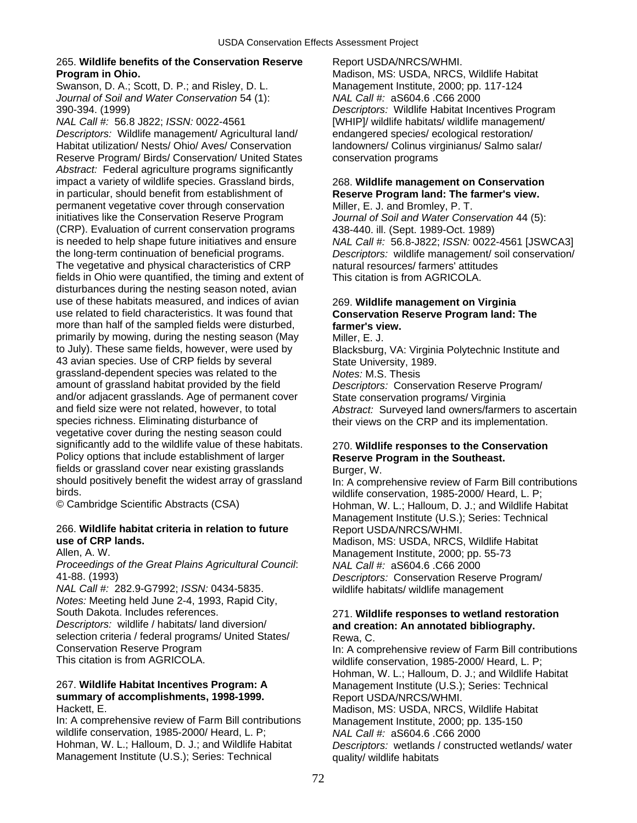### 265. **Wildlife benefits of the Conservation Reserve** Report USDA/NRCS/WHMI. **Program in Ohio. Madison, MS: USDA, NRCS, Wildlife Habitat** Madison, MS: USDA, NRCS, Wildlife Habitat

Swanson, D. A.; Scott, D. P.; and Risley, D. L. Management Institute, 2000; pp. 117-124 *Journal of Soil and Water Conservation* 54 (1): *NAL Call #:* aS604.6 .C66 2000

*Descriptors:* Wildlife management/ Agricultural land/ endangered species/ ecological restoration/ Habitat utilization/ Nests/ Ohio/ Aves/ Conservation landowners/ Colinus virginianus/ Salmo salar/ Reserve Program/ Birds/ Conservation/ United States conservation programs *Abstract:* Federal agriculture programs significantly impact a variety of wildlife species. Grassland birds, 268. **Wildlife management on Conservation**  in particular, should benefit from establishment of **Reserve Program land: The farmer's view.** permanent vegetative cover through conservation Miller, E. J. and Bromley, P. T. initiatives like the Conservation Reserve Program *Journal of Soil and Water Conservation* 44 (5): (CRP). Evaluation of current conservation programs 438-440. ill. (Sept. 1989-Oct. 1989) is needed to help shape future initiatives and ensure *NAL Call #:* 56.8-J822; *ISSN:* 0022-4561 [JSWCA3] the long-term continuation of beneficial programs. *Descriptors:* wildlife management/ soil conservation/ The vegetative and physical characteristics of CRP natural resources/ farmers' attitudes fields in Ohio were quantified, the timing and extent of This citation is from AGRICOLA. disturbances during the nesting season noted, avian use of these habitats measured, and indices of avian 269. **Wildlife management on Virginia**  use related to field characteristics. It was found that **Conservation Reserve Program land: The**  more than half of the sampled fields were disturbed, **farmer's view.** primarily by mowing, during the nesting season (May Miller, E. J. to July). These same fields, however, were used by Blacksburg 43 avian species. Use of CRP fields by several State University, 1989. grassland-dependent species was related to the *Notes:* M.S. Thesis and/or adjacent grasslands. Age of permanent cover State conservation programs/ Virginia and field size were not related, however, to total *Abstract:* Surveyed land owners/farmers to ascertain species richness. Eliminating disturbance of the their views on the CRP and its implementation. vegetative cover during the nesting season could significantly add to the wildlife value of these habitats. 270. **Wildlife responses to the Conservation**  Policy options that include establishment of larger **Reserve Program in the Southeast.** fields or grassland cover near existing grasslands Burger, W.<br>
should positively benefit the widest array of grassland In: A compre should positively benefit the widest array of grassland In: A comprehensive review of Farm Bill contributions<br>Anidlife conservation 1985-2000/Heard ID:

## 266. **Wildlife habitat criteria in relation to future** Report USDA/NRCS/WHMI.

*Proceedings of the Great Plains Agricultural Council*: *NAL Call #:* aS604.6 .C66 2000

*NAL Call #:* 282.9-G7992; *ISSN:* 0434-5835. wildlife habitats/ wildlife management *Notes:* Meeting held June 2-4, 1993, Rapid City, South Dakota. Includes references.<br> *Descriptors:* wildlife / habitats/ land diversion/ **271. Wildlife responses to wetland restoration**<br> **and creation: An annotated bibliography** selection criteria / federal programs/ United States/ Rewa, C.<br>Conservation Reserve Program (Register on the Algomi

# **summary of accomplishments, 1998-1999. Report USDA/NRCS/WHMI.**<br>Hackett. E. **Madison, MS: USDA, NRCS**

In: A comprehensive review of Farm Bill contributions Management Institute, 2000; pp. 135-150 wildlife conservation, 1985-2000/ Heard, L. P;<br>
Hohman, W. L.; Halloum, D. J.; and Wildlife Habitat *Descriptors:* wetlands / construc Management Institute (U.S.); Series: Technical quality/ wildlife habitats

390-394. (1999) *Descriptors:* Wildlife Habitat Incentives Program *NAL Call #:* 56.8 J822; *ISSN:* 0022-4561 [WHIP]/ wildlife habitats/ wildlife management/

Blacksburg, VA: Virginia Polytechnic Institute and Descriptors: Conservation Reserve Program/

birds.<br>© Cambridge Scientific Abstracts (CSA) and Wildlife conservation, 1985-2000/ Heard, L. P;<br>Hohman, W. L.: Halloum, D. J.: and Wildlife H Hohman, W. L.; Halloum, D. J.; and Wildlife Habitat Management Institute (U.S.); Series: Technical **use of CRP lands.**<br> **Allen, A. W.**<br>
Management Institute. 2000: pp. 55-73 Management Institute, 2000; pp. 55-73 Descriptors: Conservation Reserve Program/

## and creation: An annotated bibliography.

Conservation Reserve Program In: A comprehensive review of Farm Bill contributions<br>This citation is from AGRICOLA. This citation is the matrix wildlife conservation 1985-2000/Heard I. P wildlife conservation, 1985-2000/ Heard, L. P; Hohman, W. L.; Halloum, D. J.; and Wildlife Habitat 267. **Wildlife Habitat Incentives Program: A** Management Institute (U.S.); Series: Technical Madison, MS: USDA, NRCS, Wildlife Habitat Descriptors: wetlands / constructed wetlands/ water